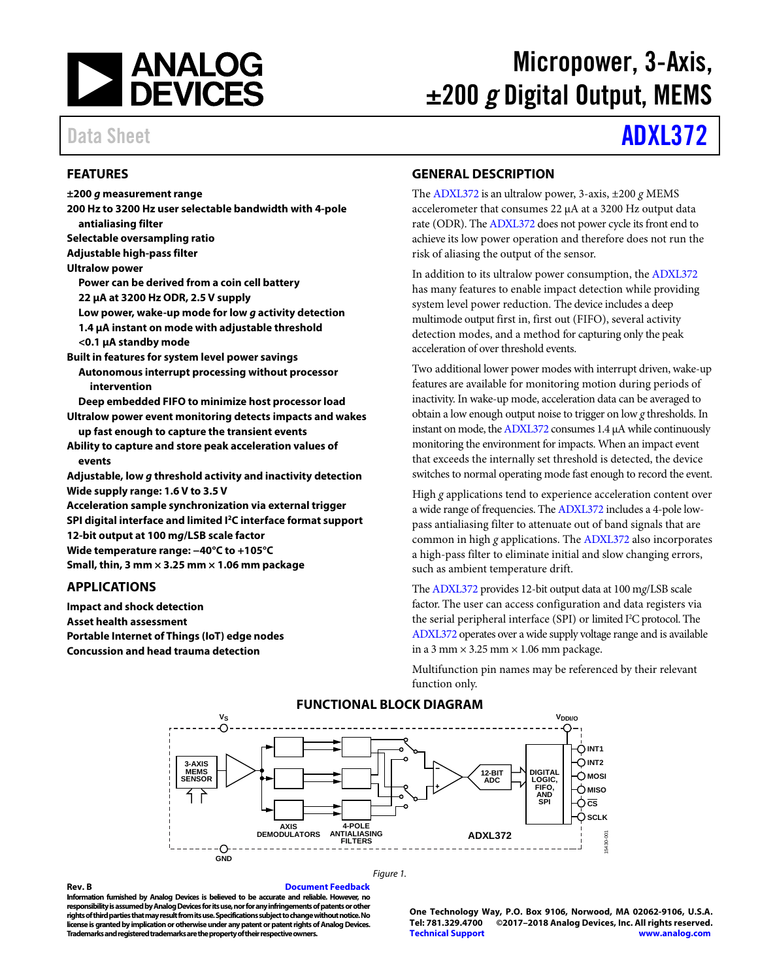

# Micropower, 3-Axis, ±200 *g* Digital Output, MEMS

# Data Sheet **[ADXL372](http://www.analog.com/ADXL372?doc=ADXL372.pdf)**

# <span id="page-0-0"></span>**FEATURES**

**±200** *g* **measurement range 200 Hz to 3200 Hz user selectable bandwidth with 4-pole antialiasing filter Selectable oversampling ratio Adjustable high-pass filter Ultralow power Power can be derived from a coin cell battery 22 µA at 3200 Hz ODR, 2.5 V supply Low power, wake-up mode for low** *g* **activity detection 1.4 µA instant on mode with adjustable threshold <0.1 µA standby mode Built in features for system level power savings Autonomous interrupt processing without processor intervention Deep embedded FIFO to minimize host processor load Ultralow power event monitoring detects impacts and wakes up fast enough to capture the transient events Ability to capture and store peak acceleration values of events Adjustable, low** *g* **threshold activity and inactivity detection Wide supply range: 1.6 V to 3.5 V Acceleration sample synchronization via external trigger SPI digital interface and limited I2C interface format support 12-bit output at 100 m***g***/LSB scale factor Wide temperature range: −40°C to +105°C Small, thin, 3 mm × 3.25 mm × 1.06 mm package**

# <span id="page-0-1"></span>**APPLICATIONS**

<span id="page-0-3"></span>**Impact and shock detection Asset health assessment Portable Internet of Things (IoT) edge nodes Concussion and head trauma detection**

# <span id="page-0-2"></span>**GENERAL DESCRIPTION**

The [ADXL372](http://www.analog.com/ADXL372?doc=ADXL372.pdf) is an ultralow power, 3-axis, ±200 *g* MEMS accelerometer that consumes 22 µA at a 3200 Hz output data rate (ODR). Th[e ADXL372](http://www.analog.com/ADXL372?doc=ADXL372.pdf) does not power cycle its front end to achieve its low power operation and therefore does not run the risk of aliasing the output of the sensor.

In addition to its ultralow power consumption, the [ADXL372](http://www.analog.com/ADXL372?doc=ADXL372.pdf) has many features to enable impact detection while providing system level power reduction. The device includes a deep multimode output first in, first out (FIFO), several activity detection modes, and a method for capturing only the peak acceleration of over threshold events.

Two additional lower power modes with interrupt driven, wake-up features are available for monitoring motion during periods of inactivity. In wake-up mode, acceleration data can be averaged to obtain a low enough output noise to trigger on low *g* thresholds. In instant on mode, th[e ADXL372](http://www.analog.com/ADXL372?doc=ADXL372.pdf) consumes 1.4 µA while continuously monitoring the environment for impacts. When an impact event that exceeds the internally set threshold is detected, the device switches to normal operating mode fast enough to record the event.

High *g* applications tend to experience acceleration content over a wide range of frequencies. Th[e ADXL372](http://www.analog.com/ADXL372?doc=ADXL372.pdf) includes a 4-pole lowpass antialiasing filter to attenuate out of band signals that are common in high *g* applications. Th[e ADXL372](http://www.analog.com/ADXL372?doc=ADXL372.pdf) also incorporates a high-pass filter to eliminate initial and slow changing errors, such as ambient temperature drift.

Th[e ADXL372](http://www.analog.com/ADXL372?doc=ADXL372.pdf) provides 12-bit output data at 100 m*g*/LSB scale factor. The user can access configuration and data registers via the serial peripheral interface (SPI) or limited I 2 C protocol. The [ADXL372](http://www.analog.com/ADXL372?doc=ADXL372.pdf) operates over a wide supply voltage range and is available in a 3 mm  $\times$  3.25 mm  $\times$  1.06 mm package.

Multifunction pin names may be referenced by their relevant function only.



# **FUNCTIONAL BLOCK DIAGRAM**

*Figure 1.*

**Rev. B [Document Feedback](https://form.analog.com/Form_Pages/feedback/documentfeedback.aspx?doc=ADXL372.pdf&product=ADXL372&rev=B) Information furnished by Analog Devices is believed to be accurate and reliable. However, no responsibility is assumed by Analog Devices for its use, nor for any infringements of patents or other rights of third parties that may result from its use. Specifications subject to change without notice. No license is granted by implication or otherwise under any patent or patent rights of Analog Devices. Trademarks and registered trademarks are the property of their respective owners.**

**One Technology Way, P.O. Box 9106, Norwood, MA 02062-9106, U.S.A. Tel: 781.329.4700 ©2017–2018 Analog Devices, Inc. All rights reserved. [Technical Support](http://www.analog.com/en/content/technical_support_page/fca.html) [www.analog.com](http://www.analog.com/)**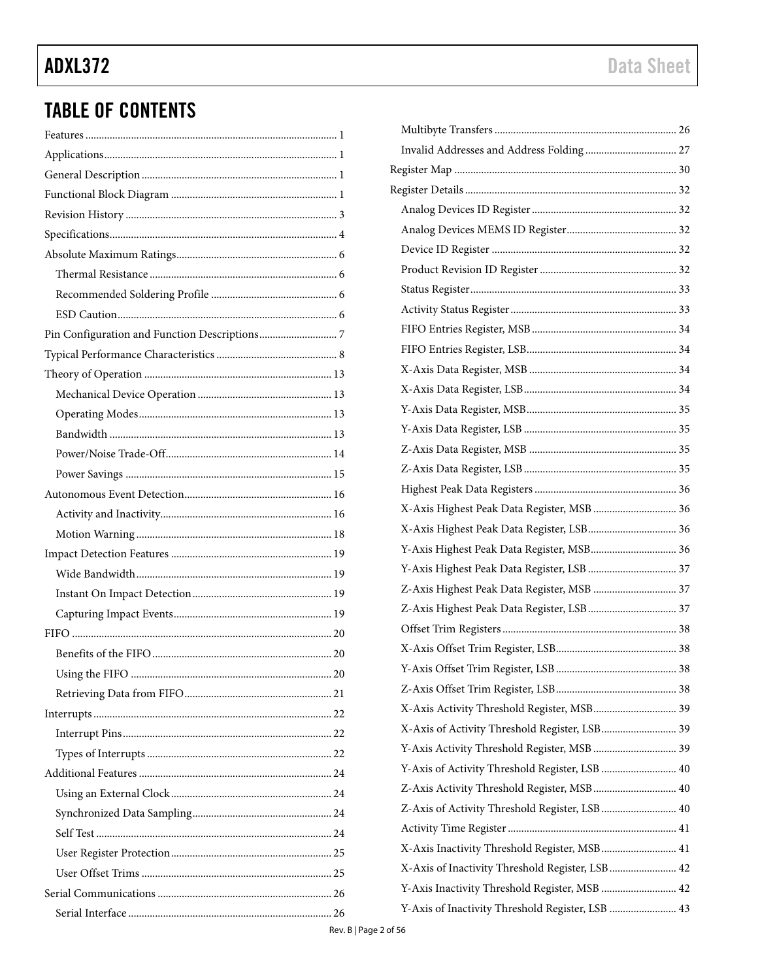# **TABLE OF CONTENTS**

| X-Axis Highest Peak Data Register, MSB  36       |  |
|--------------------------------------------------|--|
| X-Axis Highest Peak Data Register, LSB 36        |  |
| Y-Axis Highest Peak Data Register, MSB 36        |  |
| Y-Axis Highest Peak Data Register, LSB  37       |  |
| Z-Axis Highest Peak Data Register, MSB  37       |  |
|                                                  |  |
|                                                  |  |
|                                                  |  |
|                                                  |  |
|                                                  |  |
| X-Axis Activity Threshold Register, MSB 39       |  |
| X-Axis of Activity Threshold Register, LSB 39    |  |
| Y-Axis Activity Threshold Register, MSB  39      |  |
| Y-Axis of Activity Threshold Register, LSB  40   |  |
| Z-Axis Activity Threshold Register, MSB 40       |  |
| Z-Axis of Activity Threshold Register, LSB 40    |  |
|                                                  |  |
| X-Axis Inactivity Threshold Register, MSB 41     |  |
| X-Axis of Inactivity Threshold Register, LSB 42  |  |
| Y-Axis Inactivity Threshold Register, MSB  42    |  |
| Y-Axis of Inactivity Threshold Register, LSB  43 |  |
|                                                  |  |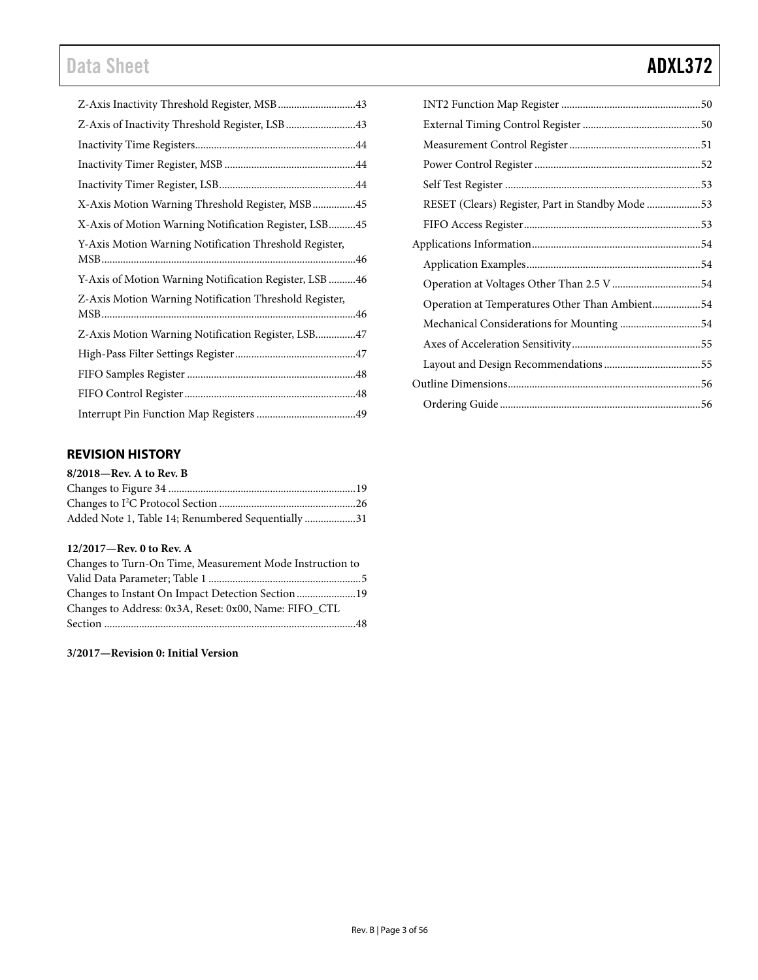# Data Sheet **ADXL372**

| Z-Axis Inactivity Threshold Register, MSB43            |  |
|--------------------------------------------------------|--|
| Z-Axis of Inactivity Threshold Register, LSB  43       |  |
|                                                        |  |
|                                                        |  |
|                                                        |  |
| X-Axis Motion Warning Threshold Register, MSB45        |  |
| X-Axis of Motion Warning Notification Register, LSB45  |  |
| Y-Axis Motion Warning Notification Threshold Register, |  |
|                                                        |  |
| Y-Axis of Motion Warning Notification Register, LSB 46 |  |
| Z-Axis Motion Warning Notification Threshold Register, |  |
|                                                        |  |
| Z-Axis Motion Warning Notification Register, LSB47     |  |
|                                                        |  |
|                                                        |  |
|                                                        |  |
|                                                        |  |
|                                                        |  |

# <span id="page-2-0"></span>**REVISION HISTORY**

| $8/2018$ —Rev. A to Rev. B                         |  |
|----------------------------------------------------|--|
|                                                    |  |
|                                                    |  |
| Added Note 1, Table 14; Renumbered Sequentially 31 |  |

## **12/2017—Rev. 0 to Rev. A**

| Changes to Turn-On Time, Measurement Mode Instruction to |  |
|----------------------------------------------------------|--|
|                                                          |  |
|                                                          |  |
| Changes to Address: 0x3A, Reset: 0x00, Name: FIFO_CTL    |  |
|                                                          |  |

**3/2017—Revision 0: Initial Version**

| RESET (Clears) Register, Part in Standby Mode  |  |
|------------------------------------------------|--|
|                                                |  |
|                                                |  |
|                                                |  |
|                                                |  |
| Operation at Temperatures Other Than Ambient54 |  |
| Mechanical Considerations for Mounting 54      |  |
|                                                |  |
|                                                |  |
|                                                |  |
|                                                |  |
|                                                |  |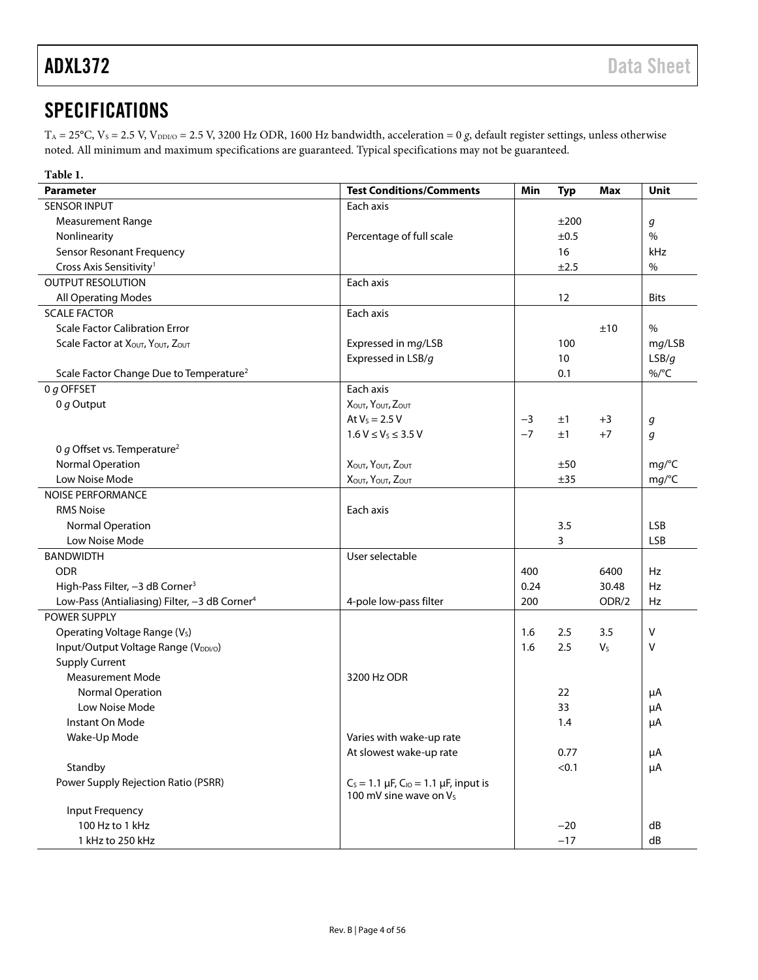# <span id="page-3-0"></span>**SPECIFICATIONS**

T<sub>A</sub> = 25°C, V<sub>s</sub> = 2.5 V, V<sub>DDI/O</sub> = 2.5 V, 3200 Hz ODR, 1600 Hz bandwidth, acceleration = 0 *g*, default register settings, unless otherwise noted. All minimum and maximum specifications are guaranteed. Typical specifications may not be guaranteed.

<span id="page-3-2"></span><span id="page-3-1"></span>

| Table 1.                                                  |                                                                                  |      |            |                |             |
|-----------------------------------------------------------|----------------------------------------------------------------------------------|------|------------|----------------|-------------|
| <b>Parameter</b>                                          | <b>Test Conditions/Comments</b>                                                  | Min  | <b>Typ</b> | <b>Max</b>     | Unit        |
| <b>SENSOR INPUT</b>                                       | Each axis                                                                        |      |            |                |             |
| <b>Measurement Range</b>                                  |                                                                                  |      | ±200       |                | g           |
| Nonlinearity                                              | Percentage of full scale                                                         |      | ±0.5       |                | $\%$        |
| <b>Sensor Resonant Frequency</b>                          |                                                                                  |      | 16         |                | kHz         |
| Cross Axis Sensitivity <sup>1</sup>                       |                                                                                  |      | ±2.5       |                | $\%$        |
| <b>OUTPUT RESOLUTION</b>                                  | Each axis                                                                        |      |            |                |             |
| All Operating Modes                                       |                                                                                  |      | 12         |                | <b>Bits</b> |
| <b>SCALE FACTOR</b>                                       | Each axis                                                                        |      |            |                |             |
| <b>Scale Factor Calibration Error</b>                     |                                                                                  |      |            | ±10            | $\%$        |
| Scale Factor at XOUT, YOUT, ZOUT                          | Expressed in mg/LSB                                                              |      | 100        |                | mg/LSB      |
|                                                           | Expressed in LSB/g                                                               |      | 10         |                | LSB/g       |
| Scale Factor Change Due to Temperature <sup>2</sup>       |                                                                                  |      | 0.1        |                | $\%$ /°C    |
| 0 $g$ OFFSET                                              | Each axis                                                                        |      |            |                |             |
| 0 $g$ Output                                              | XOUT, YOUT, ZOUT                                                                 |      |            |                |             |
|                                                           | At $V_s = 2.5 V$                                                                 | $-3$ | ±1         | $+3$           | g           |
|                                                           | $1.6 V \le V_S \le 3.5 V$                                                        | $-7$ | ±1         | $+7$           | g           |
| 0 g Offset vs. Temperature <sup>2</sup>                   |                                                                                  |      |            |                |             |
| <b>Normal Operation</b>                                   | Χουτ, Υουτ, Ζουτ                                                                 |      | ±50        |                | mg/C        |
| Low Noise Mode                                            | Χουτ, Υουτ, Ζουτ                                                                 |      | ±35        |                | mg/°C       |
| <b>NOISE PERFORMANCE</b>                                  |                                                                                  |      |            |                |             |
| <b>RMS Noise</b>                                          | Each axis                                                                        |      |            |                |             |
| Normal Operation                                          |                                                                                  |      | 3.5        |                | <b>LSB</b>  |
| Low Noise Mode                                            |                                                                                  |      | 3          |                | <b>LSB</b>  |
| <b>BANDWIDTH</b>                                          | User selectable                                                                  |      |            |                |             |
| <b>ODR</b>                                                |                                                                                  | 400  |            | 6400           | Hz          |
| High-Pass Filter, -3 dB Corner <sup>3</sup>               |                                                                                  | 0.24 |            | 30.48          | Hz          |
| Low-Pass (Antialiasing) Filter, -3 dB Corner <sup>4</sup> | 4-pole low-pass filter                                                           | 200  |            | ODR/2          | Hz          |
| POWER SUPPLY                                              |                                                                                  |      |            |                |             |
| Operating Voltage Range (V <sub>s</sub> )                 |                                                                                  | 1.6  | 2.5        | 3.5            | V           |
| Input/Output Voltage Range (VDDI/O)                       |                                                                                  | 1.6  | 2.5        | V <sub>S</sub> | v           |
| <b>Supply Current</b>                                     |                                                                                  |      |            |                |             |
| <b>Measurement Mode</b>                                   | 3200 Hz ODR                                                                      |      |            |                |             |
| Normal Operation                                          |                                                                                  |      | 22         |                | μA          |
| Low Noise Mode                                            |                                                                                  |      | 33         |                | μA          |
| Instant On Mode                                           |                                                                                  |      | 1.4        |                | μA          |
| Wake-Up Mode                                              | Varies with wake-up rate                                                         |      |            |                |             |
|                                                           | At slowest wake-up rate                                                          |      | 0.77       |                | μA          |
| Standby                                                   |                                                                                  |      | < 0.1      |                | μA          |
| Power Supply Rejection Ratio (PSRR)                       | $C_s = 1.1 \mu F$ , $C_{10} = 1.1 \mu F$ , input is<br>100 mV sine wave on $V_s$ |      |            |                |             |
| Input Frequency                                           |                                                                                  |      |            |                |             |
| 100 Hz to 1 kHz                                           |                                                                                  |      | $-20$      |                | dB          |
| 1 kHz to 250 kHz                                          |                                                                                  |      | $-17$      |                | dB          |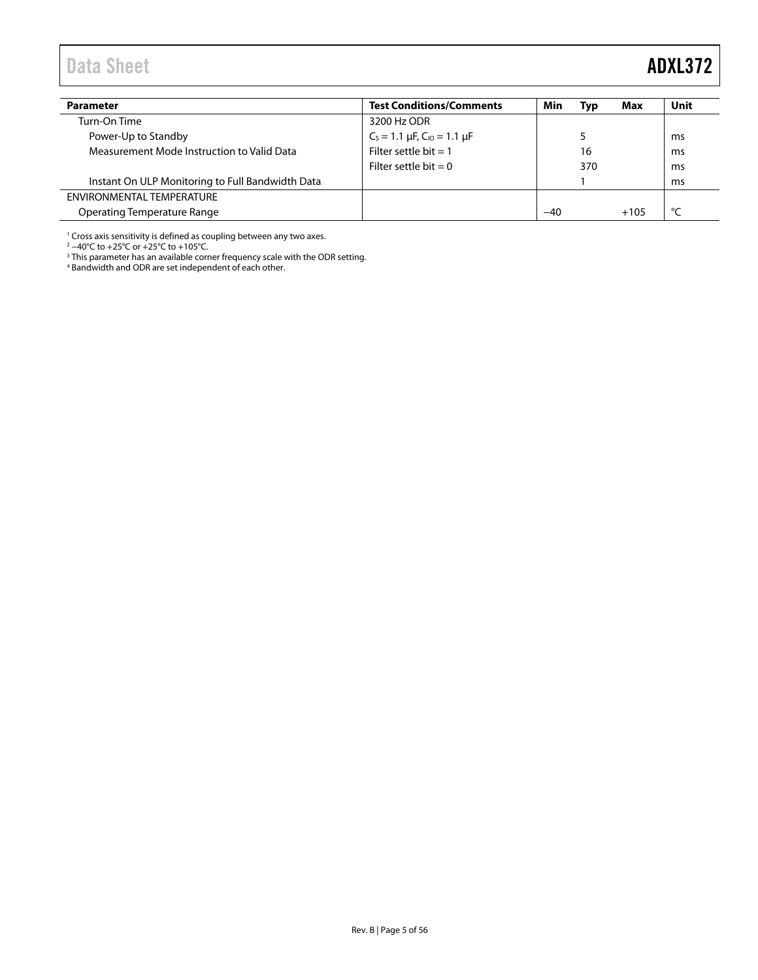# <span id="page-4-0"></span>Data Sheet **ADXL372**

| <b>Parameter</b>                                 | <b>Test Conditions/Comments</b>          | Min   | Typ | Max    | Unit |
|--------------------------------------------------|------------------------------------------|-------|-----|--------|------|
| Turn-On Time                                     | 3200 Hz ODR                              |       |     |        |      |
| Power-Up to Standby                              | $C_s = 1.1 \mu F$ , $C_{10} = 1.1 \mu F$ |       |     |        | ms   |
| Measurement Mode Instruction to Valid Data       | Filter settle bit $= 1$                  |       | 16  |        | ms   |
|                                                  | Filter settle bit = $0$                  |       | 370 |        | ms   |
| Instant On ULP Monitoring to Full Bandwidth Data |                                          |       |     |        | ms   |
| ENVIRONMENTAL TEMPERATURE                        |                                          |       |     |        |      |
| Operating Temperature Range                      |                                          | $-40$ |     | $+105$ | ۰    |

<sup>1</sup> Cross axis sensitivity is defined as coupling between any two axes.

<sup>2</sup> −40°C to +25°C or +25°C to +105°C.

<sup>3</sup> This parameter has an available corner frequency scale with the ODR setting.

<sup>4</sup> Bandwidth and ODR are set independent of each other.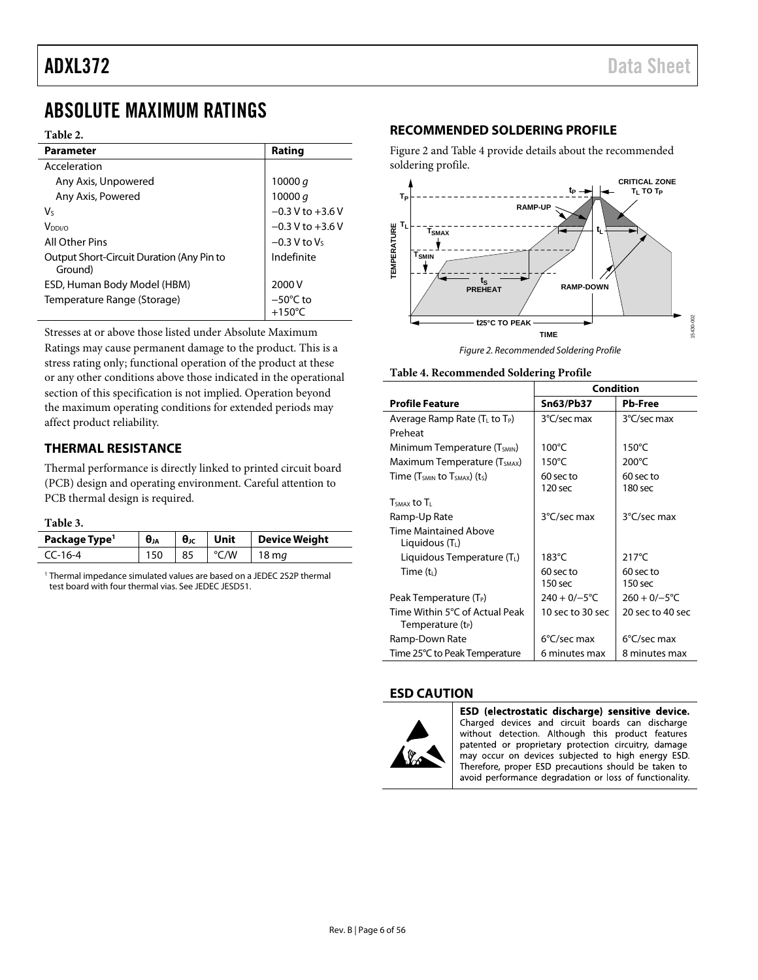# <span id="page-5-0"></span>ABSOLUTE MAXIMUM RATINGS

#### **Table 2.**

| <b>Parameter</b>                                     | Rating                                 |
|------------------------------------------------------|----------------------------------------|
|                                                      |                                        |
| Acceleration                                         |                                        |
| Any Axis, Unpowered                                  | 10000 $q$                              |
| Any Axis, Powered                                    | 10000 $q$                              |
| V٢                                                   | $-0.3 V$ to $+3.6 V$                   |
| V <sub>DDI/O</sub>                                   | $-0.3$ V to $+3.6$ V                   |
| All Other Pins                                       | $-0.3$ V to V <sub>s</sub>             |
| Output Short-Circuit Duration (Any Pin to<br>Ground) | Indefinite                             |
| ESD, Human Body Model (HBM)                          | 2000 V                                 |
| Temperature Range (Storage)                          | $-50^{\circ}$ C to<br>$+150^{\circ}$ C |

Stresses at or above those listed under Absolute Maximum Ratings may cause permanent damage to the product. This is a stress rating only; functional operation of the product at these or any other conditions above those indicated in the operational section of this specification is not implied. Operation beyond the maximum operating conditions for extended periods may affect product reliability.

# <span id="page-5-1"></span>**THERMAL RESISTANCE**

Thermal performance is directly linked to printed circuit board (PCB) design and operating environment. Careful attention to PCB thermal design is required.

#### **Table 3.**

| Package Type <sup>1</sup> | $\theta_{JA}$ | $\theta_{\rm JC}$ | Unit | Device Weight     |
|---------------------------|---------------|-------------------|------|-------------------|
| CC-16-4                   | 150           | 85                | °C/W | $18 \,\mathrm{m}$ |

<sup>1</sup> Thermal impedance simulated values are based on a JEDEC 2S2P thermal test board with four thermal vias. See JEDEC JESD51.

## <span id="page-5-2"></span>**RECOMMENDED SOLDERING PROFILE**

[Figure 2](#page-5-4) an[d Table 4](#page-5-5) provide details about the recommended soldering profile.



*Figure 2. Recommended Soldering Profile*

<span id="page-5-5"></span><span id="page-5-4"></span>

|  | Table 4. Recommended Soldering Profile |  |  |
|--|----------------------------------------|--|--|
|--|----------------------------------------|--|--|

|                                                                 | Condition             |                       |  |
|-----------------------------------------------------------------|-----------------------|-----------------------|--|
| <b>Profile Feature</b>                                          | Sn63/Pb37             | <b>Pb-Free</b>        |  |
| Average Ramp Rate ( $T_L$ to $T_P$ )                            | 3°C/sec max           | 3°C/sec max           |  |
| Preheat                                                         |                       |                       |  |
| Minimum Temperature (T <sub>SMIN</sub> )                        | $100^{\circ}$ C       | $150^{\circ}$ C       |  |
| Maximum Temperature (T <sub>SMAX</sub> )                        | $150^{\circ}$ C       | $200^{\circ}$ C       |  |
| Time ( $T_{SMIN}$ to $T_{SMAX}$ ) ( $t_S$ )                     | 60 sec to             | 60 sec to             |  |
|                                                                 | 120 sec               | 180 sec               |  |
| $TSMAX$ to $T1$                                                 |                       |                       |  |
| Ramp-Up Rate                                                    | 3°C/sec max           | 3°C/sec max           |  |
| <b>Time Maintained Above</b><br>Liquidous $(T_L)$               |                       |                       |  |
| Liquidous Temperature (TL)                                      | $183^{\circ}$ C       | $217^{\circ}$ C       |  |
| Time $(t_L)$                                                    | 60 sec to             | $60$ sec to           |  |
|                                                                 | 150 <sub>sec</sub>    | $150$ sec             |  |
| Peak Temperature (T <sub>P</sub> )                              | $240 + 0/-5$ °C       | $260 + 0/-5$ °C       |  |
| Time Within 5°C of Actual Peak<br>Temperature (t <sub>P</sub> ) | 10 sec to 30 sec      | 20 sec to 40 sec      |  |
| Ramp-Down Rate                                                  | $6^{\circ}$ C/sec max | $6^{\circ}$ C/sec max |  |
| Time 25°C to Peak Temperature                                   | 6 minutes max         | 8 minutes max         |  |

# <span id="page-5-3"></span>**ESD CAUTION**



ESD (electrostatic discharge) sensitive device. Charged devices and circuit boards can discharge without detection. Although this product features patented or proprietary protection circuitry, damage may occur on devices subjected to high energy ESD. Therefore, proper ESD precautions should be taken to avoid performance degradation or loss of functionality.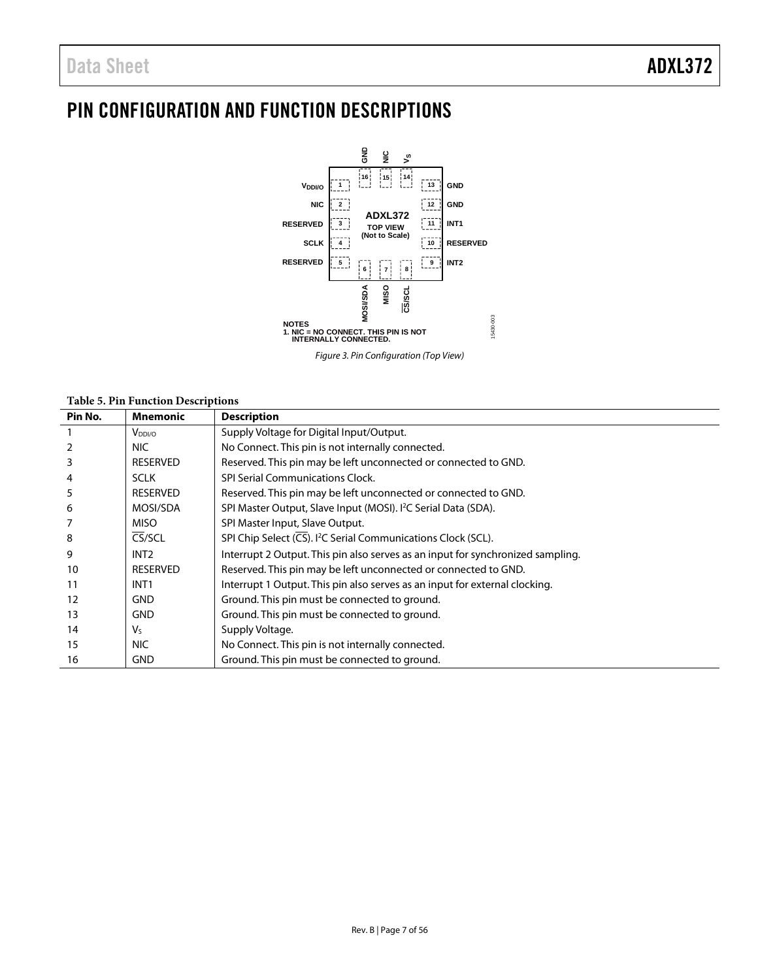# <span id="page-6-0"></span>PIN CONFIGURATION AND FUNCTION DESCRIPTIONS



*Figure 3. Pin Configuration (Top View)*

#### **Table 5. Pin Function Descriptions**

| Pin No. | <b>Mnemonic</b>    | <b>Description</b>                                                              |
|---------|--------------------|---------------------------------------------------------------------------------|
|         | V <sub>DDI/O</sub> | Supply Voltage for Digital Input/Output.                                        |
|         | NIC.               | No Connect. This pin is not internally connected.                               |
| 3       | <b>RESERVED</b>    | Reserved. This pin may be left unconnected or connected to GND.                 |
| 4       | <b>SCLK</b>        | SPI Serial Communications Clock.                                                |
| 5       | <b>RESERVED</b>    | Reserved. This pin may be left unconnected or connected to GND.                 |
| 6       | MOSI/SDA           | SPI Master Output, Slave Input (MOSI). <sup>2</sup> C Serial Data (SDA).        |
|         | <b>MISO</b>        | SPI Master Input, Slave Output.                                                 |
| 8       | CS/SCL             | SPI Chip Select (CS). <sup>12</sup> C Serial Communications Clock (SCL).        |
| 9       | INT <sub>2</sub>   | Interrupt 2 Output. This pin also serves as an input for synchronized sampling. |
| 10      | <b>RESERVED</b>    | Reserved. This pin may be left unconnected or connected to GND.                 |
| 11      | INT <sub>1</sub>   | Interrupt 1 Output. This pin also serves as an input for external clocking.     |
| 12      | <b>GND</b>         | Ground. This pin must be connected to ground.                                   |
| 13      | <b>GND</b>         | Ground. This pin must be connected to ground.                                   |
| 14      | V٢                 | Supply Voltage.                                                                 |
| 15      | NIC.               | No Connect. This pin is not internally connected.                               |
| 16      | <b>GND</b>         | Ground. This pin must be connected to ground.                                   |
|         |                    |                                                                                 |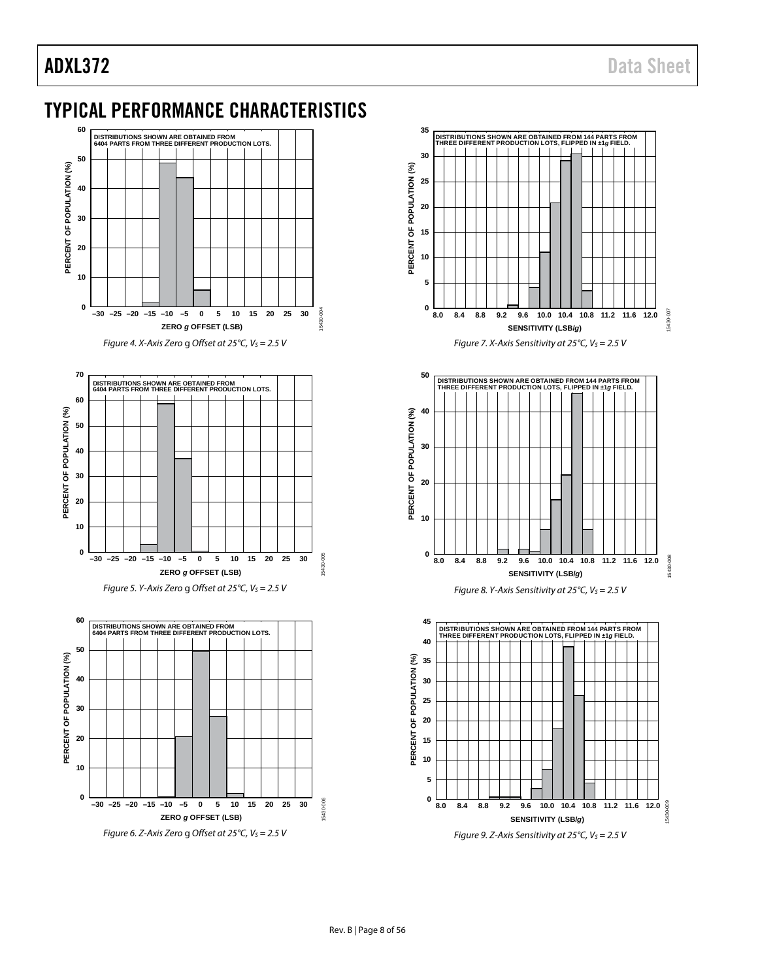**0**

**10**

# <span id="page-7-0"></span>TYPICAL PERFORMANCE CHARACTERISTICS



**–30 –25 –20 –15 –10 –5 0 5 10 15 20 25 30**

**ZERO** *g* **OFFSET (LSB)**

*Figure 6. Z-Axis Zero* g *Offset at 25°C, V<sub>S</sub> = 2.5 V* 



15430-006

5430-006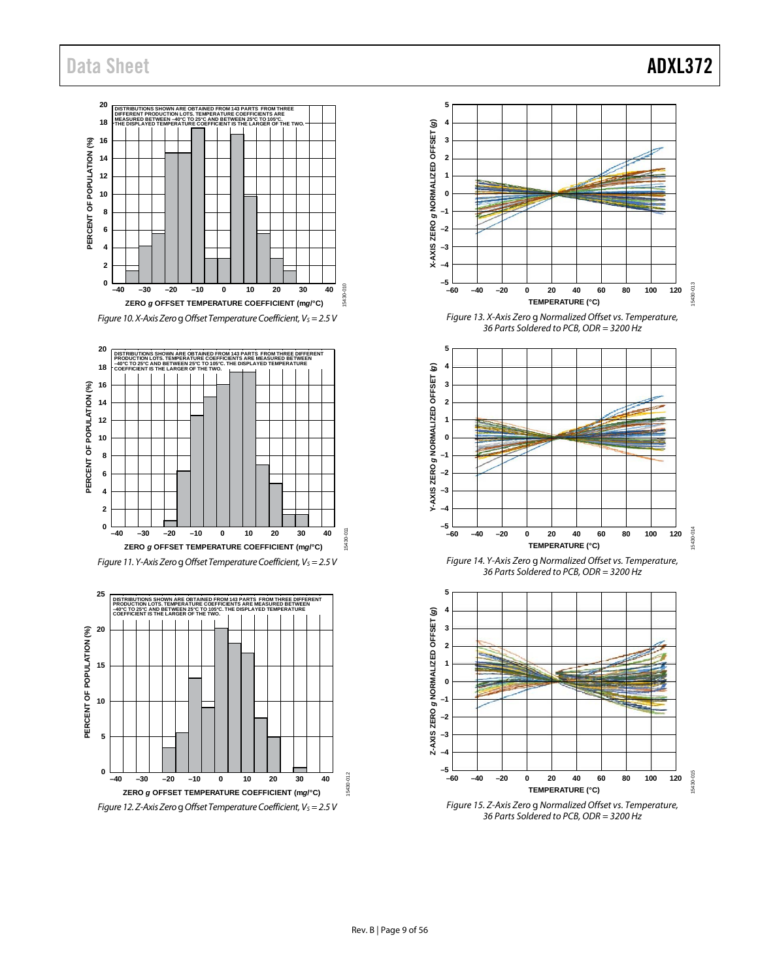# Data Sheet **ADXL372**



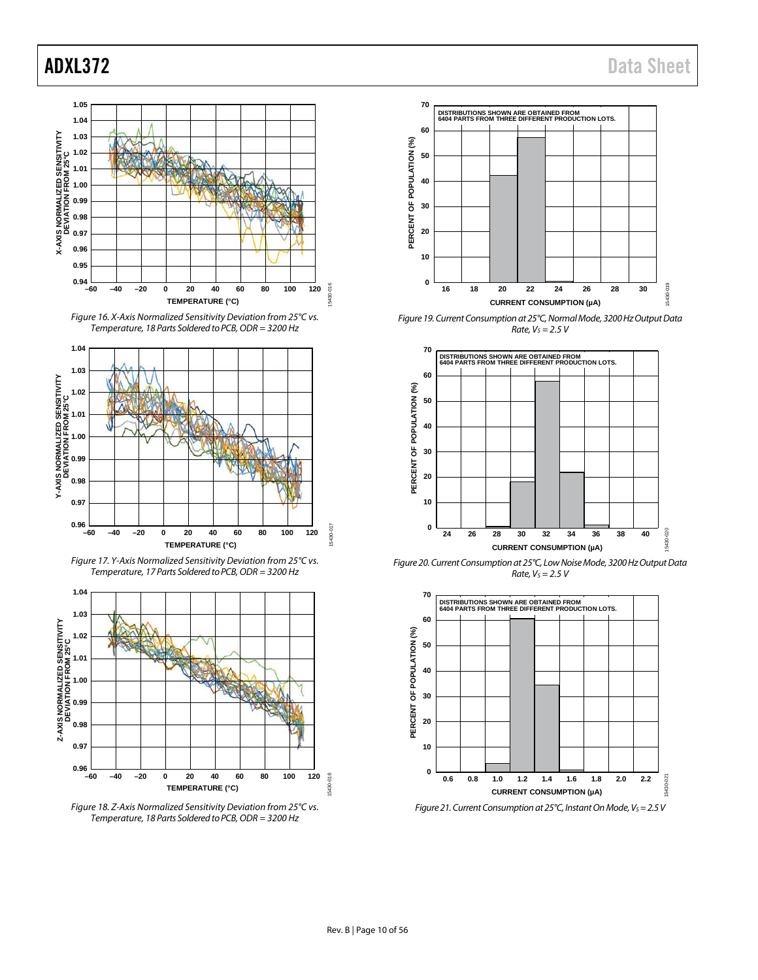









*Figure 18. Z-Axis Normalized Sensitivity Deviation from 25°C vs. Temperature, 18 Parts Soldered to PCB, ODR = 3200 Hz*



*Figure 19. Current Consumption at 25°C, Normal Mode, 3200 Hz Output Data Rate, VS = 2.5 V*



*Figure 20. Current Consumption at 25°C, Low Noise Mode, 3200 Hz Output Data Rate, VS = 2.5 V*



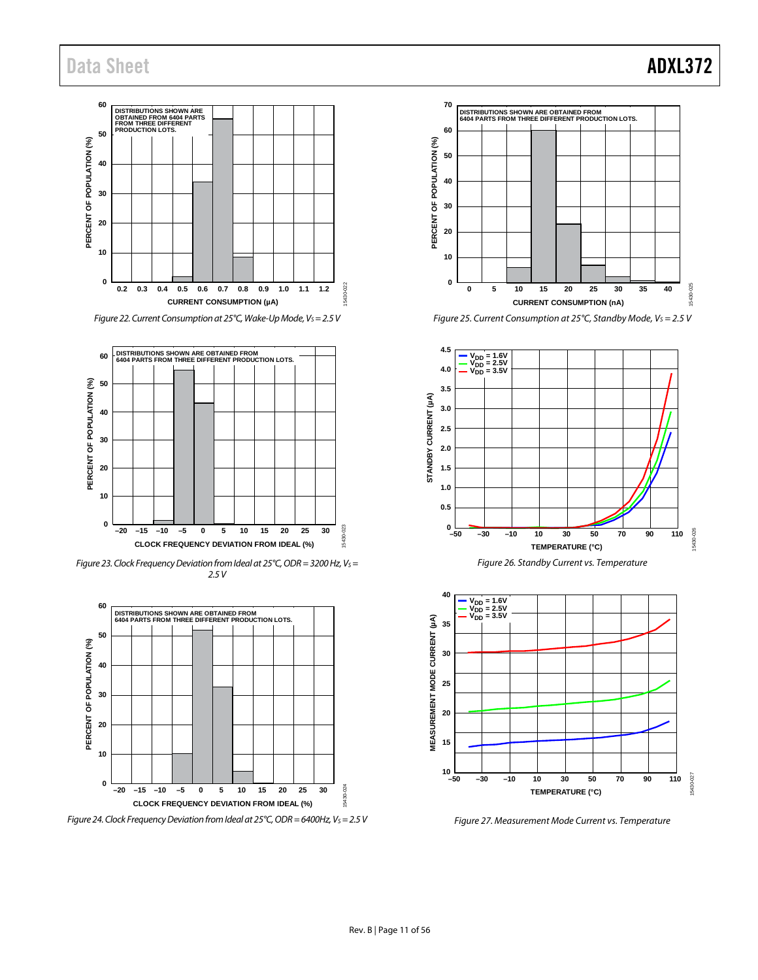# Data Sheet **ADXL372**

# **60 DISTRIBUTIONS SHOWN ARE OBTAINED FROM 6404 PARTS FROM THREE DIFFERENT PRODUCTION LOTS. 50** PERCENT OF POPULATION (%) **PERCENT OF POPULATION (%) 40 30 20 10 0** 5430-022 15430-022 **0.2 0.3 0.4 0.5 0.6 0.7 0.8 0.9 1.0 1.1 1.2 CURRENT CONSUMPTION (µA)** *Figure 22. Current Consumption at 25°C, Wake-Up Mode, Vs* = 2.5 V



*Figure 23. Clock Frequency Deviation from Ideal at 25°C, ODR = 3200 Hz, Vs* = *2.5V*



*Figure 24. Clock Frequency Deviation from Ideal at 25°C, ODR = 6400Hz, Vs = 2.5 V* 

# **70 DISTRIBUTIONS SHOWN ARE OBTAINED FROM 6404 PARTS FROM THREE DIFFERENT PRODUCTION LOTS. 60** PERCENT OF POPULATION (%) **PERCENT OF POPULATION (%) 50 40 30 20 10 0** 15430-025 15430-025 **0 5 10 15 20 25 30 35 40**



**CURRENT CONSUMPTION (nA)**





*Figure 27. Measurement Mode Current vs. Temperature*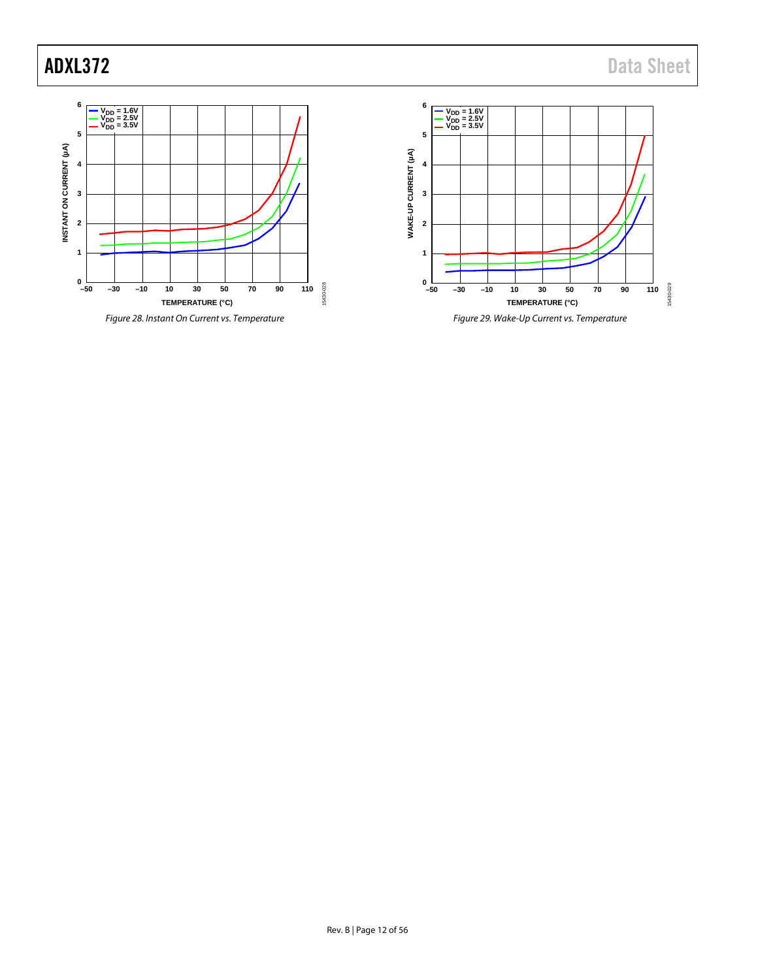

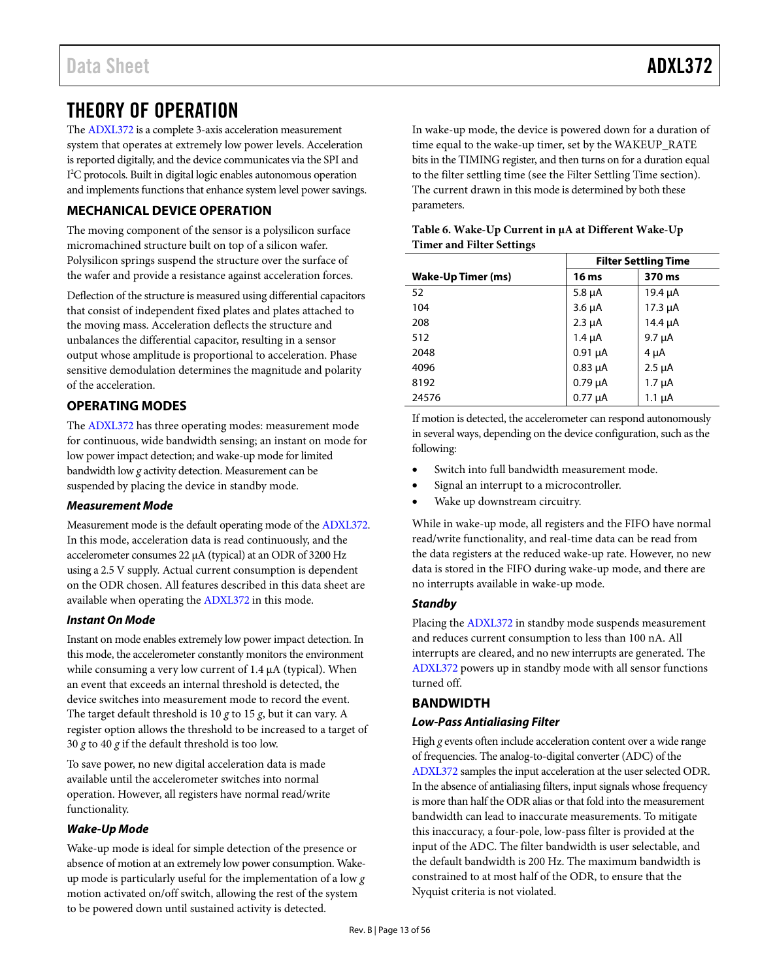# <span id="page-12-0"></span>THEORY OF OPERATION

The [ADXL372](http://www.analog.com/ADXL372?doc=ADXL372.pdf) is a complete 3-axis acceleration measurement system that operates at extremely low power levels. Acceleration is reported digitally, and the device communicates via the SPI and I 2 C protocols. Built in digital logic enables autonomous operation and implements functions that enhance system level power savings.

# <span id="page-12-1"></span>**MECHANICAL DEVICE OPERATION**

The moving component of the sensor is a polysilicon surface micromachined structure built on top of a silicon wafer. Polysilicon springs suspend the structure over the surface of the wafer and provide a resistance against acceleration forces.

Deflection of the structure is measured using differential capacitors that consist of independent fixed plates and plates attached to the moving mass. Acceleration deflects the structure and unbalances the differential capacitor, resulting in a sensor output whose amplitude is proportional to acceleration. Phase sensitive demodulation determines the magnitude and polarity of the acceleration.

# <span id="page-12-2"></span>**OPERATING MODES**

The [ADXL372](http://www.analog.com/ADXL372?doc=ADXL372.pdf) has three operating modes: measurement mode for continuous, wide bandwidth sensing; an instant on mode for low power impact detection; and wake-up mode for limited bandwidth low *g* activity detection. Measurement can be suspended by placing the device in standby mode.

### *Measurement Mode*

Measurement mode is the default operating mode of th[e ADXL372.](http://www.analog.com/ADXL372?doc=ADXL372.pdf)  In this mode, acceleration data is read continuously, and the accelerometer consumes 22 µA (typical) at an ODR of 3200 Hz using a 2.5 V supply. Actual current consumption is dependent on the ODR chosen. All features described in this data sheet are available when operating th[e ADXL372](http://www.analog.com/ADXL372?doc=ADXL372.pdf) in this mode.

### *Instant On Mode*

Instant on mode enables extremely low power impact detection. In this mode, the accelerometer constantly monitors the environment while consuming a very low current of 1.4  $\mu$ A (typical). When an event that exceeds an internal threshold is detected, the device switches into measurement mode to record the event. The target default threshold is 10 *g* to 15 *g*, but it can vary. A register option allows the threshold to be increased to a target of 30 *g* to 40 *g* if the default threshold is too low.

To save power, no new digital acceleration data is made available until the accelerometer switches into normal operation. However, all registers have normal read/write functionality.

### <span id="page-12-4"></span>*Wake-Up Mode*

Wake-up mode is ideal for simple detection of the presence or absence of motion at an extremely low power consumption. Wakeup mode is particularly useful for the implementation of a low *g* motion activated on/off switch, allowing the rest of the system to be powered down until sustained activity is detected.

In wake-up mode, the device is powered down for a duration of time equal to the wake-up timer, set by the WAKEUP\_RATE bits in the TIMING register, and then turns on for a duration equal to the filter settling time (see the [Filter Settling](#page-13-1) Time section). The current drawn in this mode is determined by both these parameters.

|                    | <b>Filter Settling Time</b> |              |  |  |  |
|--------------------|-----------------------------|--------------|--|--|--|
| Wake-Up Timer (ms) | 16 ms                       | 370 ms       |  |  |  |
| 52                 | $5.8 \mu A$                 | $19.4 \mu A$ |  |  |  |
| 104                | $3.6 \mu A$                 | $17.3 \mu A$ |  |  |  |
| 208                | $2.3 \mu A$                 | 14.4 $\mu$ A |  |  |  |
| 512                | $1.4 \mu A$                 | $9.7 \mu A$  |  |  |  |
| 2048               | $0.91 \mu A$                | $4 \mu A$    |  |  |  |
| 4096               | $0.83 \mu A$                | $2.5 \mu A$  |  |  |  |
| 8192               | $0.79 \mu A$                | $1.7 \mu A$  |  |  |  |
| 24576              | $0.77 \mu A$                | $1.1 \mu A$  |  |  |  |

### **Table 6. Wake-Up Current in µA at Different Wake-Up Timer and Filter Settings**

If motion is detected, the accelerometer can respond autonomously in several ways, depending on the device configuration, such as the following:

- Switch into full bandwidth measurement mode.
- Signal an interrupt to a microcontroller.
- Wake up downstream circuitry.

While in wake-up mode, all registers and the FIFO have normal read/write functionality, and real-time data can be read from the data registers at the reduced wake-up rate. However, no new data is stored in the FIFO during wake-up mode, and there are no interrupts available in wake-up mode.

### *Standby*

Placing th[e ADXL372](http://www.analog.com/ADXL372?doc=ADXL372.pdf) in standby mode suspends measurement and reduces current consumption to less than 100 nA. All interrupts are cleared, and no new interrupts are generated. The [ADXL372](http://www.analog.com/ADXL372?doc=ADXL372.pdf) powers up in standby mode with all sensor functions turned off.

# <span id="page-12-3"></span>**BANDWIDTH**

# *Low-Pass Antialiasing Filter*

High *g* events often include acceleration content over a wide range of frequencies. The analog-to-digital converter (ADC) of the [ADXL372](http://www.analog.com/ADXL372?doc=ADXL372.pdf) samples the input acceleration at the user selected ODR. In the absence of antialiasing filters, input signals whose frequency is more than half the ODR alias or that fold into the measurement bandwidth can lead to inaccurate measurements. To mitigate this inaccuracy, a four-pole, low-pass filter is provided at the input of the ADC. The filter bandwidth is user selectable, and the default bandwidth is 200 Hz. The maximum bandwidth is constrained to at most half of the ODR, to ensure that the Nyquist criteria is not violated.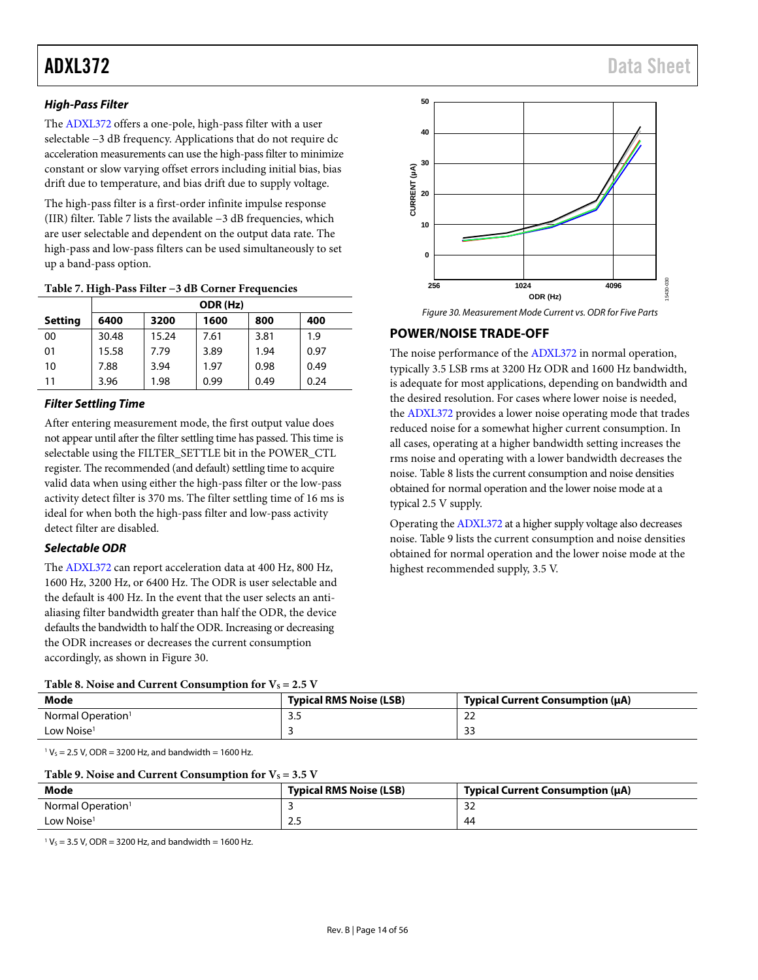# *High-Pass Filter*

The [ADXL372](http://www.analog.com/ADXL372?doc=ADXL372.pdf) offers a one-pole, high-pass filter with a user selectable −3 dB frequency. Applications that do not require dc acceleration measurements can use the high-pass filter to minimize constant or slow varying offset errors including initial bias, bias drift due to temperature, and bias drift due to supply voltage.

The high-pass filter is a first-order infinite impulse response (IIR) filter. [Table 7](#page-13-2) lists the available −3 dB frequencies, which are user selectable and dependent on the output data rate. The high-pass and low-pass filters can be used simultaneously to set up a band-pass option.

|                | ODR (Hz) |       |      |      |      |  |  |
|----------------|----------|-------|------|------|------|--|--|
| <b>Setting</b> | 6400     | 3200  | 1600 | 800  | 400  |  |  |
| 00             | 30.48    | 15.24 | 7.61 | 3.81 | 1.9  |  |  |
| 01             | 15.58    | 7.79  | 3.89 | 1.94 | 0.97 |  |  |
| 10             | 7.88     | 3.94  | 1.97 | 0.98 | 0.49 |  |  |
| 11             | 3.96     | 1.98  | 0.99 | 0.49 | 0.24 |  |  |

#### <span id="page-13-2"></span>**Table 7. High-Pass Filter −3 dB Corner Frequencies**

## <span id="page-13-1"></span>*Filter Settling Time*

After entering measurement mode, the first output value does not appear until after the filter settling time has passed. This time is selectable using the FILTER\_SETTLE bit in the POWER\_CTL register. The recommended (and default) settling time to acquire valid data when using either the high-pass filter or the low-pass activity detect filter is 370 ms. The filter settling time of 16 ms is ideal for when both the high-pass filter and low-pass activity detect filter are disabled.

# *Selectable ODR*

The [ADXL372](http://www.analog.com/ADXL372?doc=ADXL372.pdf) can report acceleration data at 400 Hz, 800 Hz, 1600 Hz, 3200 Hz, or 6400 Hz. The ODR is user selectable and the default is 400 Hz. In the event that the user selects an antialiasing filter bandwidth greater than half the ODR, the device defaults the bandwidth to half the ODR. Increasing or decreasing the ODR increases or decreases the current consumption accordingly, as shown in [Figure 30.](#page-13-3)

<span id="page-13-4"></span>

| Mode                          | <b>Typical RMS Noise (LSB)</b> | Typical Current Consumption (µA) |
|-------------------------------|--------------------------------|----------------------------------|
| Normal Operation <sup>1</sup> |                                | $\sim$<br>∸                      |
| Low Noise $1$                 |                                | 33                               |

 $1 V<sub>S</sub> = 2.5 V$ , ODR = 3200 Hz, and bandwidth = 1600 Hz.

# <span id="page-13-5"></span>Table 9. Noise and Current Consumption for  $V_c = 3.5$  V

| Table 2. Twist and Carlent Consumption for $\gamma_5 = 3.3$ Y |                                |                                  |  |  |  |  |
|---------------------------------------------------------------|--------------------------------|----------------------------------|--|--|--|--|
| Mode                                                          | <b>Typical RMS Noise (LSB)</b> | Typical Current Consumption (µA) |  |  |  |  |
| Normal Operation <sup>1</sup>                                 |                                | <u>ົ</u><br>ےد                   |  |  |  |  |
| Low Noise <sup>1</sup>                                        | ر .                            | 44                               |  |  |  |  |

 $1 V_S = 3.5 V$ , ODR = 3200 Hz, and bandwidth = 1600 Hz.



#### *Figure 30. Measurement Mode Current vs. ODR for Five Parts*

# <span id="page-13-3"></span><span id="page-13-0"></span>**POWER/NOISE TRADE-OFF**

The noise performance of the [ADXL372](http://www.analog.com/ADXL372?doc=ADXL372.pdf) in normal operation, typically 3.5 LSB rms at 3200 Hz ODR and 1600 Hz bandwidth, is adequate for most applications, depending on bandwidth and the desired resolution. For cases where lower noise is needed, the [ADXL372](http://www.analog.com/ADXL372?doc=ADXL372.pdf) provides a lower noise operating mode that trades reduced noise for a somewhat higher current consumption. In all cases, operating at a higher bandwidth setting increases the rms noise and operating with a lower bandwidth decreases the noise[. Table 8](#page-13-4) lists the current consumption and noise densities obtained for normal operation and the lower noise mode at a typical 2.5 V supply.

Operating th[e ADXL372](http://www.analog.com/ADXL372?doc=ADXL372.pdf) at a higher supply voltage also decreases noise[. Table 9](#page-13-5) lists the current consumption and noise densities obtained for normal operation and the lower noise mode at the highest recommended supply, 3.5 V.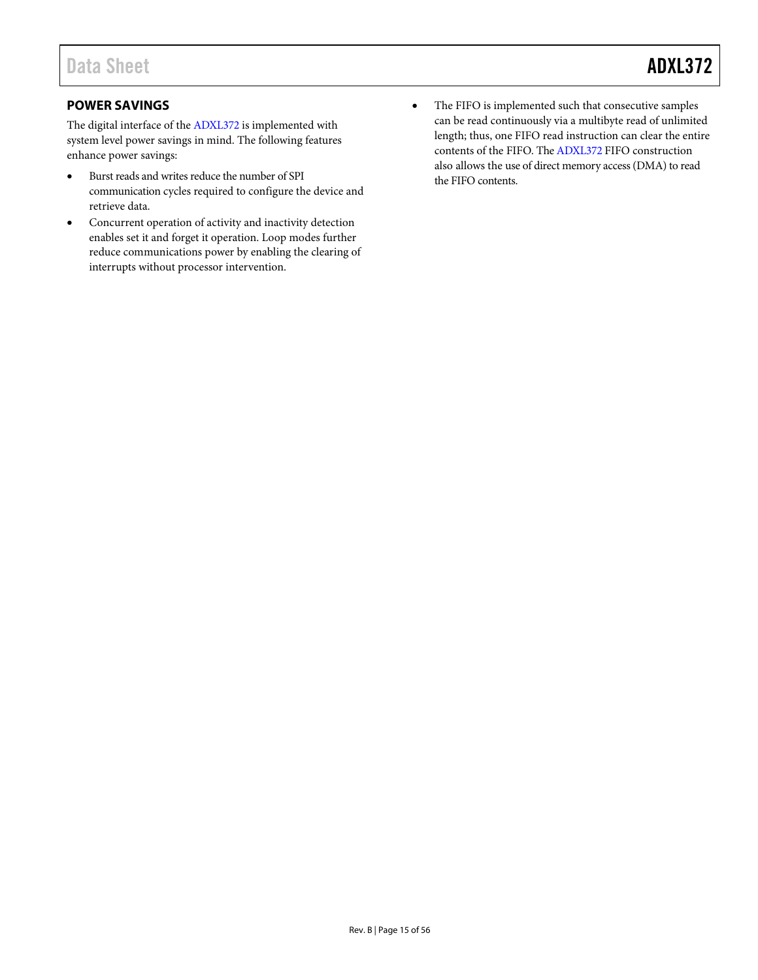# <span id="page-14-0"></span>**POWER SAVINGS**

The digital interface of th[e ADXL372](http://www.analog.com/ADXL372?doc=ADXL372.pdf) is implemented with system level power savings in mind. The following features enhance power savings:

- Burst reads and writes reduce the number of SPI communication cycles required to configure the device and retrieve data.
- Concurrent operation of activity and inactivity detection enables set it and forget it operation. Loop modes further reduce communications power by enabling the clearing of interrupts without processor intervention.
- The FIFO is implemented such that consecutive samples can be read continuously via a multibyte read of unlimited length; thus, one FIFO read instruction can clear the entire contents of the FIFO. Th[e ADXL372](http://www.analog.com/ADXL372?doc=ADXL372.pdf) FIFO construction also allows the use of direct memory access (DMA) to read the FIFO contents.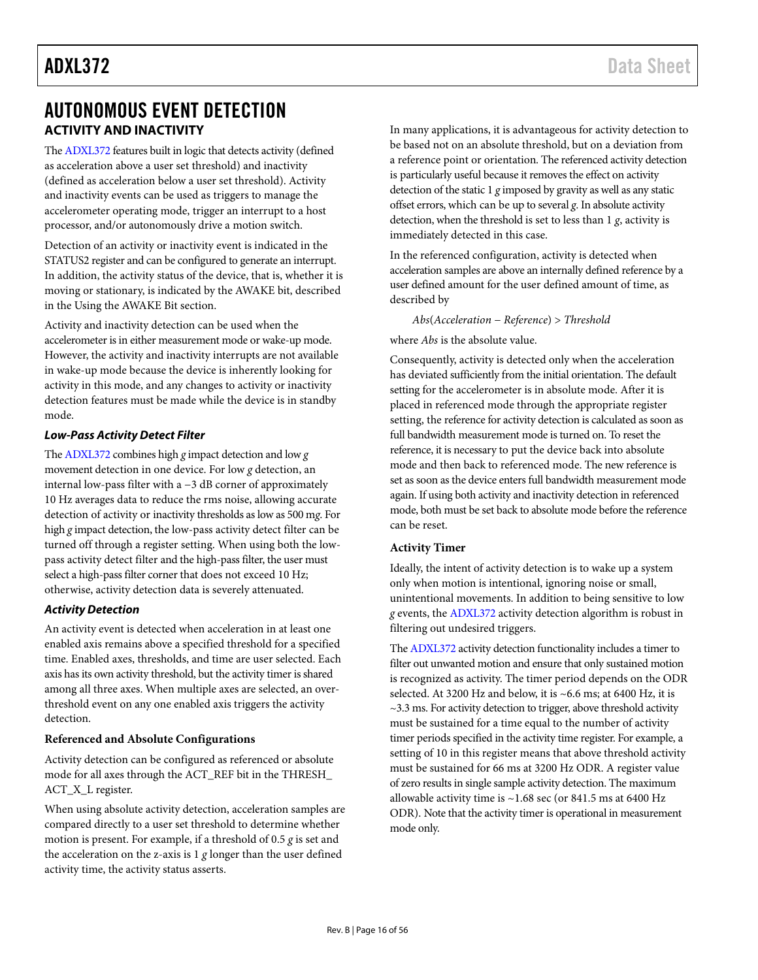# <span id="page-15-0"></span>AUTONOMOUS EVENT DETECTION **ACTIVITY AND INACTIVITY**

<span id="page-15-1"></span>Th[e ADXL372](http://www.analog.com/ADXL372?doc=ADXL372.pdf) features built in logic that detects activity (defined as acceleration above a user set threshold) and inactivity (defined as acceleration below a user set threshold). Activity and inactivity events can be used as triggers to manage the accelerometer operating mode, trigger an interrupt to a host processor, and/or autonomously drive a motion switch.

Detection of an activity or inactivity event is indicated in the STATUS2 register and can be configured to generate an interrupt. In addition, the activity status of the device, that is, whether it is moving or stationary, is indicated by the AWAKE bit, described in the [Using the AWAKE](#page-17-1) Bit section.

Activity and inactivity detection can be used when the accelerometer is in either measurement mode or wake-up mode. However, the activity and inactivity interrupts are not available in wake-up mode because the device is inherently looking for activity in this mode, and any changes to activity or inactivity detection features must be made while the device is in standby mode.

## *Low-Pass Activity Detect Filter*

Th[e ADXL372](http://www.analog.com/ADXL372?doc=ADXL372.pdf) combines high *g* impact detection and low *g* movement detection in one device. For low *g* detection, an internal low-pass filter with a −3 dB corner of approximately 10 Hz averages data to reduce the rms noise, allowing accurate detection of activity or inactivity thresholds as low as 500 m*g*. For high *g* impact detection, the low-pass activity detect filter can be turned off through a register setting. When using both the lowpass activity detect filter and the high-pass filter, the user must select a high-pass filter corner that does not exceed 10 Hz; otherwise, activity detection data is severely attenuated.

### *Activity Detection*

An activity event is detected when acceleration in at least one enabled axis remains above a specified threshold for a specified time. Enabled axes, thresholds, and time are user selected. Each axis has its own activity threshold, but the activity timer is shared among all three axes. When multiple axes are selected, an overthreshold event on any one enabled axis triggers the activity detection.

### **Referenced and Absolute Configurations**

Activity detection can be configured as referenced or absolute mode for all axes through the ACT\_REF bit in the THRESH\_ ACT\_X\_L register.

When using absolute activity detection, acceleration samples are compared directly to a user set threshold to determine whether motion is present. For example, if a threshold of 0.5 *g* is set and the acceleration on the z-axis is 1 *g* longer than the user defined activity time, the activity status asserts.

In many applications, it is advantageous for activity detection to be based not on an absolute threshold, but on a deviation from a reference point or orientation. The referenced activity detection is particularly useful because it removes the effect on activity detection of the static 1 *g* imposed by gravity as well as any static offset errors, which can be up to several *g*. In absolute activity detection, when the threshold is set to less than 1 *g*, activity is immediately detected in this case.

In the referenced configuration, activity is detected when acceleration samples are above an internally defined reference by a user defined amount for the user defined amount of time, as described by

*Abs*(*Acceleration* − *Reference*) > *Threshold*

where *Abs* is the absolute value.

Consequently, activity is detected only when the acceleration has deviated sufficiently from the initial orientation. The default setting for the accelerometer is in absolute mode. After it is placed in referenced mode through the appropriate register setting, the reference for activity detection is calculated as soon as full bandwidth measurement mode is turned on. To reset the reference, it is necessary to put the device back into absolute mode and then back to referenced mode. The new reference is set as soon as the device enters full bandwidth measurement mode again. If using both activity and inactivity detection in referenced mode, both must be set back to absolute mode before the reference can be reset.

### <span id="page-15-2"></span>**Activity Timer**

Ideally, the intent of activity detection is to wake up a system only when motion is intentional, ignoring noise or small, unintentional movements. In addition to being sensitive to low *g* events, th[e ADXL372](http://www.analog.com/ADXL372?doc=ADXL372.pdf) activity detection algorithm is robust in filtering out undesired triggers.

Th[e ADXL372](http://www.analog.com/ADXL372?doc=ADXL372.pdf) activity detection functionality includes a timer to filter out unwanted motion and ensure that only sustained motion is recognized as activity. The timer period depends on the ODR selected. At 3200 Hz and below, it is ~6.6 ms; at 6400 Hz, it is  $\sim$ 3.3 ms. For activity detection to trigger, above threshold activity must be sustained for a time equal to the number of activity timer periods specified in the activity time register. For example, a setting of 10 in this register means that above threshold activity must be sustained for 66 ms at 3200 Hz ODR. A register value of zero results in single sample activity detection. The maximum allowable activity time is  $\sim$ 1.68 sec (or 841.5 ms at 6400 Hz ODR). Note that the activity timer is operational in measurement mode only.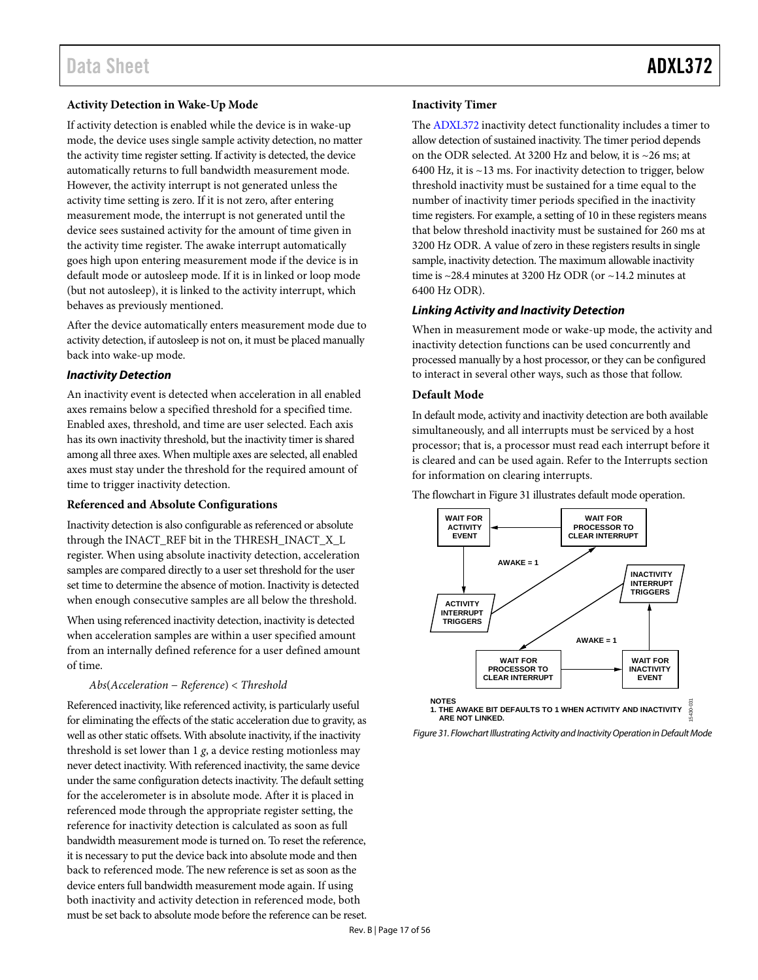#### **Activity Detection in Wake-Up Mode**

If activity detection is enabled while the device is in wake-up mode, the device uses single sample activity detection, no matter the activity time register setting. If activity is detected, the device automatically returns to full bandwidth measurement mode. However, the activity interrupt is not generated unless the activity time setting is zero. If it is not zero, after entering measurement mode, the interrupt is not generated until the device sees sustained activity for the amount of time given in the activity time register. The awake interrupt automatically goes high upon entering measurement mode if the device is in default mode or autosleep mode. If it is in linked or loop mode (but not autosleep), it is linked to the activity interrupt, which behaves as previously mentioned.

After the device automatically enters measurement mode due to activity detection, if autosleep is not on, it must be placed manually back into wake-up mode.

#### *Inactivity Detection*

An inactivity event is detected when acceleration in all enabled axes remains below a specified threshold for a specified time. Enabled axes, threshold, and time are user selected. Each axis has its own inactivity threshold, but the inactivity timer is shared among all three axes. When multiple axes are selected, all enabled axes must stay under the threshold for the required amount of time to trigger inactivity detection.

#### **Referenced and Absolute Configurations**

Inactivity detection is also configurable as referenced or absolute through the INACT\_REF bit in the THRESH\_INACT\_X\_L register. When using absolute inactivity detection, acceleration samples are compared directly to a user set threshold for the user set time to determine the absence of motion. Inactivity is detected when enough consecutive samples are all below the threshold.

When using referenced inactivity detection, inactivity is detected when acceleration samples are within a user specified amount from an internally defined reference for a user defined amount of time.

#### *Abs*(*Acceleration* − *Reference*) < *Threshold*

Referenced inactivity, like referenced activity, is particularly useful for eliminating the effects of the static acceleration due to gravity, as well as other static offsets. With absolute inactivity, if the inactivity threshold is set lower than 1 *g*, a device resting motionless may never detect inactivity. With referenced inactivity, the same device under the same configuration detects inactivity. The default setting for the accelerometer is in absolute mode. After it is placed in referenced mode through the appropriate register setting, the reference for inactivity detection is calculated as soon as full bandwidth measurement mode is turned on. To reset the reference, it is necessary to put the device back into absolute mode and then back to referenced mode. The new reference is set as soon as the device enters full bandwidth measurement mode again. If using both inactivity and activity detection in referenced mode, both must be set back to absolute mode before the reference can be reset.

#### <span id="page-16-1"></span>**Inactivity Timer**

The [ADXL372](http://www.analog.com/ADXL372?doc=ADXL372.pdf) inactivity detect functionality includes a timer to allow detection of sustained inactivity. The timer period depends on the ODR selected. At 3200 Hz and below, it is ~26 ms; at 6400 Hz, it is  $\sim$  13 ms. For inactivity detection to trigger, below threshold inactivity must be sustained for a time equal to the number of inactivity timer periods specified in the inactivity time registers. For example, a setting of 10 in these registers means that below threshold inactivity must be sustained for 260 ms at 3200 Hz ODR. A value of zero in these registers results in single sample, inactivity detection. The maximum allowable inactivity time is  $\sim$ 28.4 minutes at 3200 Hz ODR (or  $\sim$ 14.2 minutes at 6400 Hz ODR).

#### <span id="page-16-2"></span>*Linking Activity and Inactivity Detection*

When in measurement mode or wake-up mode, the activity and inactivity detection functions can be used concurrently and processed manually by a host processor, or they can be configured to interact in several other ways, such as those that follow.

#### **Default Mode**

In default mode, activity and inactivity detection are both available simultaneously, and all interrupts must be serviced by a host processor; that is, a processor must read each interrupt before it is cleared and can be used again. Refer to th[e Interrupts](#page-21-0) section for information on clearing interrupts.

The flowchart i[n Figure 31](#page-16-0) illustrates default mode operation.



<span id="page-16-0"></span>*Figure 31. Flowchart Illustrating Activity and Inactivity Operation in Default Mode*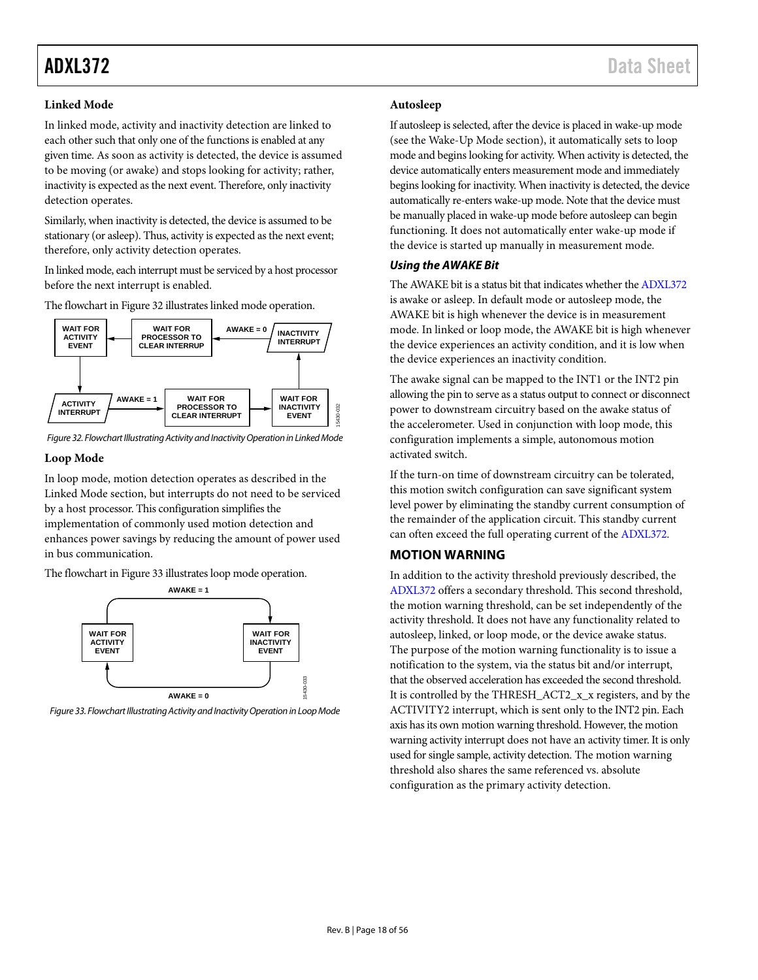### <span id="page-17-3"></span>**Linked Mode**

In linked mode, activity and inactivity detection are linked to each other such that only one of the functions is enabled at any given time. As soon as activity is detected, the device is assumed to be moving (or awake) and stops looking for activity; rather, inactivity is expected as the next event. Therefore, only inactivity detection operates.

Similarly, when inactivity is detected, the device is assumed to be stationary (or asleep). Thus, activity is expected as the next event; therefore, only activity detection operates.

In linked mode, each interrupt must be serviced by a host processor before the next interrupt is enabled.

The flowchart i[n Figure 32](#page-17-2) illustrates linked mode operation.



<span id="page-17-2"></span>*Figure 32. Flowchart Illustrating Activity and Inactivity Operation in Linked Mode*

### **Loop Mode**

In loop mode, motion detection operates as described in the [Linked Mode](#page-17-3) section, but interrupts do not need to be serviced by a host processor. This configuration simplifies the implementation of commonly used motion detection and

enhances power savings by reducing the amount of power used in bus communication.

The flowchart i[n Figure 33](#page-17-4) illustrates loop mode operation.



<span id="page-17-4"></span>*Figure 33. Flowchart Illustrating Activity and Inactivity Operation in Loop Mode*

#### **Autosleep**

If autosleep is selected, after the device is placed in wake-up mode (see th[e Wake-Up Mode](#page-12-4) section), it automatically sets to loop mode and begins looking for activity. When activity is detected, the device automatically enters measurement mode and immediately begins looking for inactivity. When inactivity is detected, the device automatically re-enters wake-up mode. Note that the device must be manually placed in wake-up mode before autosleep can begin functioning. It does not automatically enter wake-up mode if the device is started up manually in measurement mode.

### <span id="page-17-1"></span>*Using the AWAKE Bit*

The AWAKE bit is a status bit that indicates whether th[e ADXL372](http://www.analog.com/ADXL372?doc=ADXL372.pdf) is awake or asleep. In default mode or autosleep mode, the AWAKE bit is high whenever the device is in measurement mode. In linked or loop mode, the AWAKE bit is high whenever the device experiences an activity condition, and it is low when the device experiences an inactivity condition.

The awake signal can be mapped to the INT1 or the INT2 pin allowing the pin to serve as a status output to connect or disconnect power to downstream circuitry based on the awake status of the accelerometer. Used in conjunction with loop mode, this configuration implements a simple, autonomous motion activated switch.

If the turn-on time of downstream circuitry can be tolerated, this motion switch configuration can save significant system level power by eliminating the standby current consumption of the remainder of the application circuit. This standby current can often exceed the full operating current of the [ADXL372.](http://www.analog.com/ADXL372?doc=ADXL372.pdf)

### <span id="page-17-0"></span>**MOTION WARNING**

In addition to the activity threshold previously described, the [ADXL372](http://www.analog.com/ADXL372?doc=ADXL372.pdf) offers a secondary threshold. This second threshold, the motion warning threshold, can be set independently of the activity threshold. It does not have any functionality related to autosleep, linked, or loop mode, or the device awake status. The purpose of the motion warning functionality is to issue a notification to the system, via the status bit and/or interrupt, that the observed acceleration has exceeded the second threshold. It is controlled by the THRESH\_ACT2\_x\_x registers, and by the ACTIVITY2 interrupt, which is sent only to the INT2 pin. Each axis has its own motion warning threshold. However, the motion warning activity interrupt does not have an activity timer. It is only used for single sample, activity detection. The motion warning threshold also shares the same referenced vs. absolute configuration as the primary activity detection.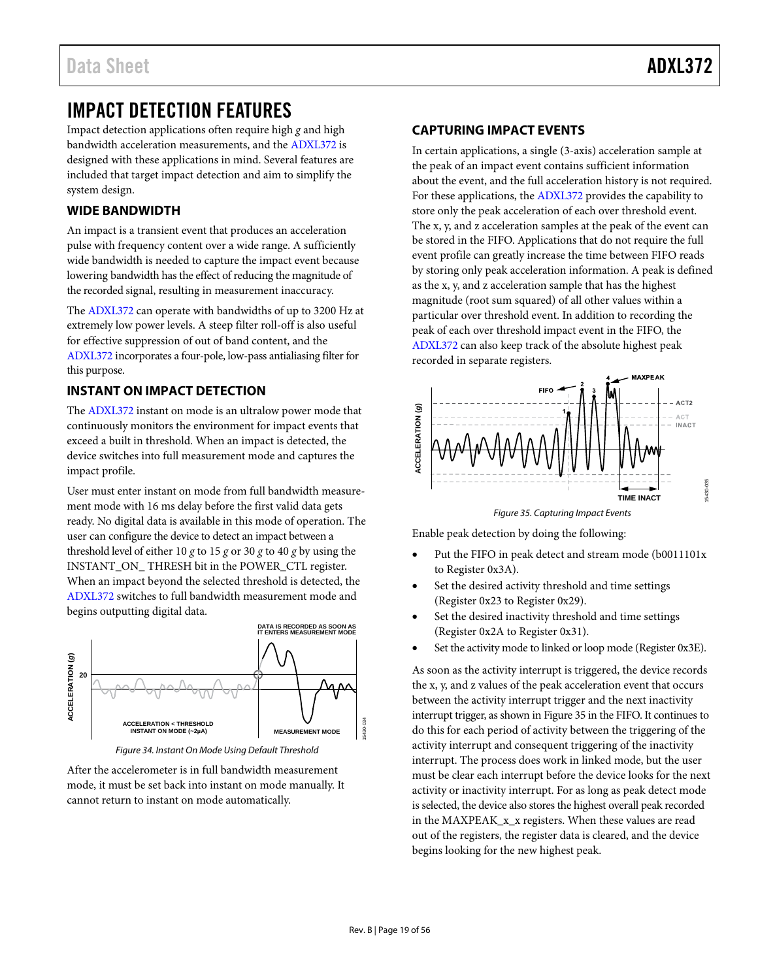15430-035

5430-035

# <span id="page-18-0"></span>IMPACT DETECTION FEATURES

Impact detection applications often require high *g* and high bandwidth acceleration measurements, and the [ADXL372 i](http://www.analog.com/ADXL372?doc=ADXL372.pdf)s designed with these applications in mind. Several features are included that target impact detection and aim to simplify the system design.

# <span id="page-18-1"></span>**WIDE BANDWIDTH**

An impact is a transient event that produces an acceleration pulse with frequency content over a wide range. A sufficiently wide bandwidth is needed to capture the impact event because lowering bandwidth has the effect of reducing the magnitude of the recorded signal, resulting in measurement inaccuracy.

The [ADXL372](http://www.analog.com/ADXL372?doc=ADXL372.pdf) can operate with bandwidths of up to 3200 Hz at extremely low power levels. A steep filter roll-off is also useful for effective suppression of out of band content, and the [ADXL372](http://www.analog.com/ADXL372?doc=ADXL372.pdf) incorporates a four-pole, low-pass antialiasing filter for this purpose.

# <span id="page-18-2"></span>**INSTANT ON IMPACT DETECTION**

The [ADXL372](http://www.analog.com/ADXL372?doc=ADXL372.pdf) instant on mode is an ultralow power mode that continuously monitors the environment for impact events that exceed a built in threshold. When an impact is detected, the device switches into full measurement mode and captures the impact profile.

User must enter instant on mode from full bandwidth measurement mode with 16 ms delay before the first valid data gets ready. No digital data is available in this mode of operation. The user can configure the device to detect an impact between a threshold level of either 10 *g* to 15 *g* or 30 *g* to 40 *g* by using the INSTANT\_ON\_ THRESH bit in the POWER\_CTL register. When an impact beyond the selected threshold is detected, the [ADXL372 s](http://www.analog.com/ADXL372?doc=ADXL372.pdf)witches to full bandwidth measurement mode and begins outputting digital data.



Figure 34. Instant On Mode Using Default Threshold

After the accelerometer is in full bandwidth measurement mode, it must be set back into instant on mode manually. It cannot return to instant on mode automatically.

# <span id="page-18-3"></span>**CAPTURING IMPACT EVENTS**

In certain applications, a single (3-axis) acceleration sample at the peak of an impact event contains sufficient information about the event, and the full acceleration history is not required. For these applications, the [ADXL372](http://www.analog.com/ADXL372?doc=ADXL372.pdf) provides the capability to store only the peak acceleration of each over threshold event. The x, y, and z acceleration samples at the peak of the event can be stored in the FIFO. Applications that do not require the full event profile can greatly increase the time between FIFO reads by storing only peak acceleration information. A peak is defined as the x, y, and z acceleration sample that has the highest magnitude (root sum squared) of all other values within a particular over threshold event. In addition to recording the peak of each over threshold impact event in the FIFO, the [ADXL372](http://www.analog.com/ADXL372?doc=ADXL372.pdf) can also keep track of the absolute highest peak recorded in separate registers.



Figure 35. Capturing Impact Events

<span id="page-18-4"></span>Enable peak detection by doing the following:

- Put the FIFO in peak detect and stream mode (b0011101x to Register 0x3A).
- Set the desired activity threshold and time settings (Register 0x23 to Register 0x29).
- Set the desired inactivity threshold and time settings (Register 0x2A to Register 0x31).
- Set the activity mode to linked or loop mode (Register 0x3E).

As soon as the activity interrupt is triggered, the device records the x, y, and z values of the peak acceleration event that occurs between the activity interrupt trigger and the next inactivity interrupt trigger, as shown i[n Figure 35](#page-18-4) in the FIFO. It continues to do this for each period of activity between the triggering of the activity interrupt and consequent triggering of the inactivity interrupt. The process does work in linked mode, but the user must be clear each interrupt before the device looks for the next activity or inactivity interrupt. For as long as peak detect mode is selected, the device also stores the highest overall peak recorded in the MAXPEAK x x registers. When these values are read out of the registers, the register data is cleared, and the device begins looking for the new highest peak.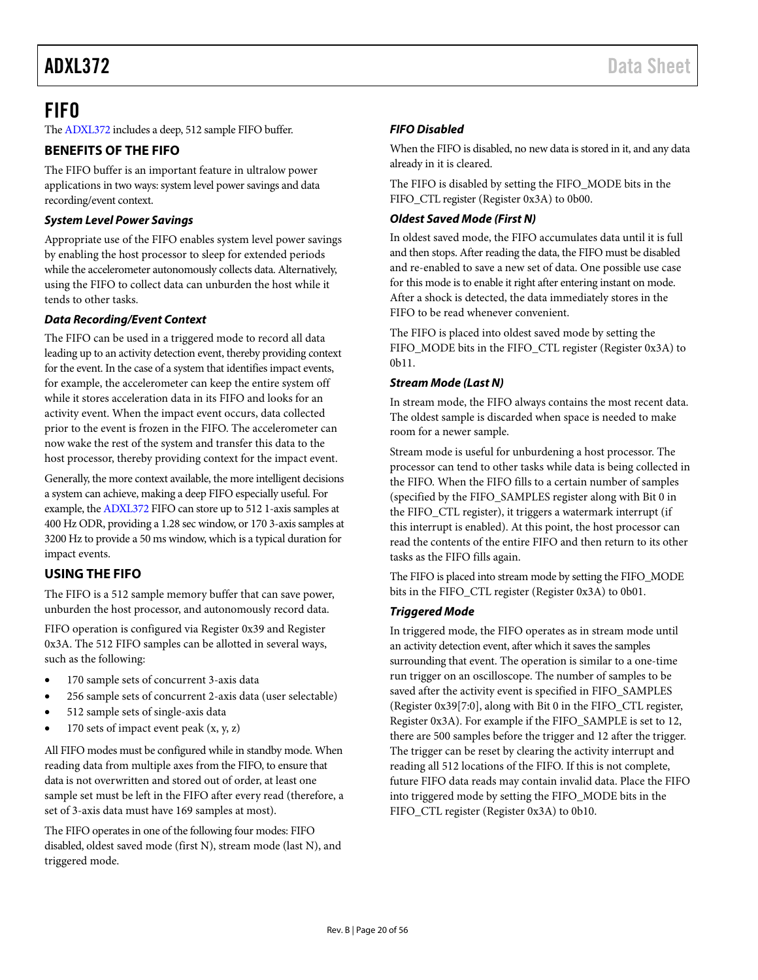# <span id="page-19-0"></span>FIFO

Th[e ADXL372](http://www.analog.com/ADXL372?doc=ADXL372.pdf) includes a deep, 512 sample FIFO buffer.

# <span id="page-19-1"></span>**BENEFITS OF THE FIFO**

The FIFO buffer is an important feature in ultralow power applications in two ways: system level power savings and data recording/event context.

## *System Level Power Savings*

Appropriate use of the FIFO enables system level power savings by enabling the host processor to sleep for extended periods while the accelerometer autonomously collects data. Alternatively, using the FIFO to collect data can unburden the host while it tends to other tasks.

## *Data Recording/Event Context*

The FIFO can be used in a triggered mode to record all data leading up to an activity detection event, thereby providing context for the event. In the case of a system that identifies impact events, for example, the accelerometer can keep the entire system off while it stores acceleration data in its FIFO and looks for an activity event. When the impact event occurs, data collected prior to the event is frozen in the FIFO. The accelerometer can now wake the rest of the system and transfer this data to the host processor, thereby providing context for the impact event.

Generally, the more context available, the more intelligent decisions a system can achieve, making a deep FIFO especially useful. For example, th[e ADXL372](http://www.analog.com/ADXL372?doc=ADXL372.pdf) FIFO can store up to 512 1-axis samples at 400 Hz ODR, providing a 1.28 sec window, or 170 3-axis samples at 3200 Hz to provide a 50 ms window, which is a typical duration for impact events.

# <span id="page-19-2"></span>**USING THE FIFO**

The FIFO is a 512 sample memory buffer that can save power, unburden the host processor, and autonomously record data.

FIFO operation is configured via Register 0x39 and Register 0x3A. The 512 FIFO samples can be allotted in several ways, such as the following:

- 170 sample sets of concurrent 3-axis data
- 256 sample sets of concurrent 2-axis data (user selectable)
- 512 sample sets of single-axis data
- 170 sets of impact event peak  $(x, y, z)$

All FIFO modes must be configured while in standby mode. When reading data from multiple axes from the FIFO, to ensure that data is not overwritten and stored out of order, at least one sample set must be left in the FIFO after every read (therefore, a set of 3-axis data must have 169 samples at most).

The FIFO operates in one of the following four modes: FIFO disabled, oldest saved mode (first N), stream mode (last N), and triggered mode.

# *FIFO Disabled*

When the FIFO is disabled, no new data is stored in it, and any data already in it is cleared.

The FIFO is disabled by setting the FIFO\_MODE bits in the FIFO\_CTL register (Register 0x3A) to 0b00.

## *Oldest Saved Mode (First N)*

In oldest saved mode, the FIFO accumulates data until it is full and then stops. After reading the data, the FIFO must be disabled and re-enabled to save a new set of data. One possible use case for this mode is to enable it right after entering instant on mode. After a shock is detected, the data immediately stores in the FIFO to be read whenever convenient.

The FIFO is placed into oldest saved mode by setting the FIFO\_MODE bits in the FIFO\_CTL register (Register 0x3A) to 0b11.

## *Stream Mode (Last N)*

In stream mode, the FIFO always contains the most recent data. The oldest sample is discarded when space is needed to make room for a newer sample.

Stream mode is useful for unburdening a host processor. The processor can tend to other tasks while data is being collected in the FIFO. When the FIFO fills to a certain number of samples (specified by the FIFO\_SAMPLES register along with Bit 0 in the FIFO\_CTL register), it triggers a watermark interrupt (if this interrupt is enabled). At this point, the host processor can read the contents of the entire FIFO and then return to its other tasks as the FIFO fills again.

The FIFO is placed into stream mode by setting the FIFO\_MODE bits in the FIFO\_CTL register (Register 0x3A) to 0b01.

# *Triggered Mode*

In triggered mode, the FIFO operates as in stream mode until an activity detection event, after which it saves the samples surrounding that event. The operation is similar to a one-time run trigger on an oscilloscope. The number of samples to be saved after the activity event is specified in FIFO\_SAMPLES (Register 0x39[7:0], along with Bit 0 in the FIFO\_CTL register, Register 0x3A). For example if the FIFO\_SAMPLE is set to 12, there are 500 samples before the trigger and 12 after the trigger. The trigger can be reset by clearing the activity interrupt and reading all 512 locations of the FIFO. If this is not complete, future FIFO data reads may contain invalid data. Place the FIFO into triggered mode by setting the FIFO\_MODE bits in the FIFO\_CTL register (Register 0x3A) to 0b10.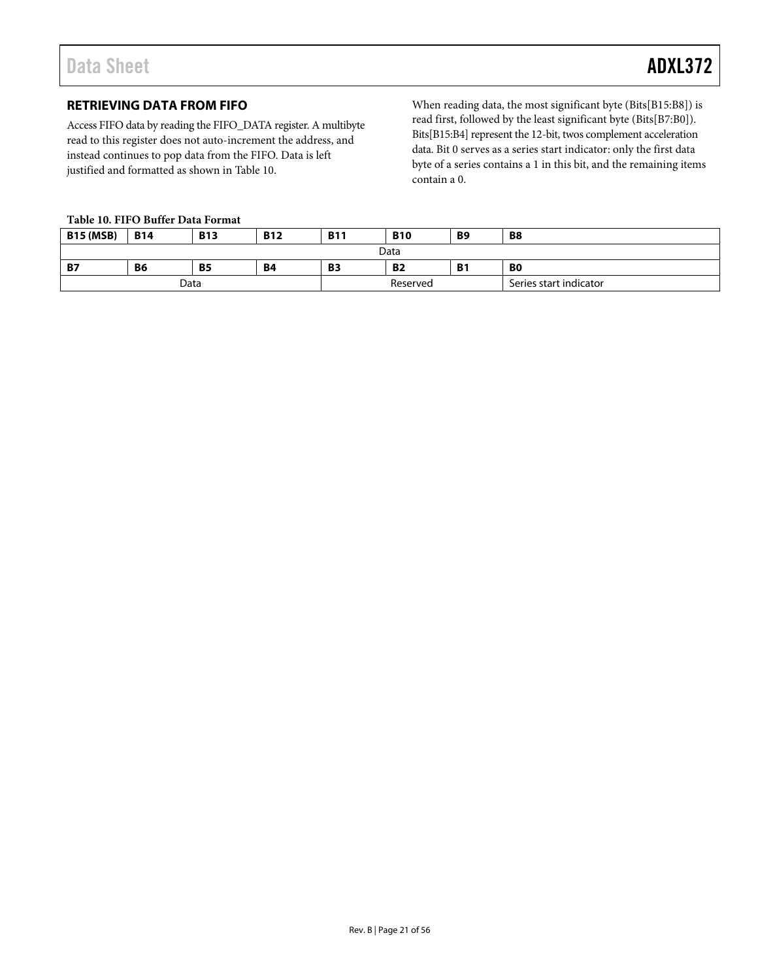# <span id="page-20-0"></span>**RETRIEVING DATA FROM FIFO**

Access FIFO data by reading the FIFO\_DATA register. A multibyte read to this register does not auto-increment the address, and instead continues to pop data from the FIFO. Data is left justified and formatted as shown in [Table 10.](#page-20-1) 

When reading data, the most significant byte (Bits[B15:B8]) is read first, followed by the least significant byte (Bits[B7:B0]). Bits[B15:B4] represent the 12-bit, twos complement acceleration data. Bit 0 serves as a series start indicator: only the first data byte of a series contains a 1 in this bit, and the remaining items contain a 0.

#### <span id="page-20-1"></span>**Table 10. FIFO Buffer Data Format**

| <b>B15 (MSB)</b> | <b>B14</b> | <b>B13</b> | <b>B12</b> | <b>B11</b> | <b>B10</b>                   | <b>B9</b> | <b>B8</b>              |  |  |
|------------------|------------|------------|------------|------------|------------------------------|-----------|------------------------|--|--|
| Data             |            |            |            |            |                              |           |                        |  |  |
| <b>B7</b>        | B6         | <b>B5</b>  | <b>B4</b>  | <b>B3</b>  | <b>B2</b><br><b>B1</b><br>B0 |           |                        |  |  |
| Data             |            |            |            |            | Reserved                     |           | Series start indicator |  |  |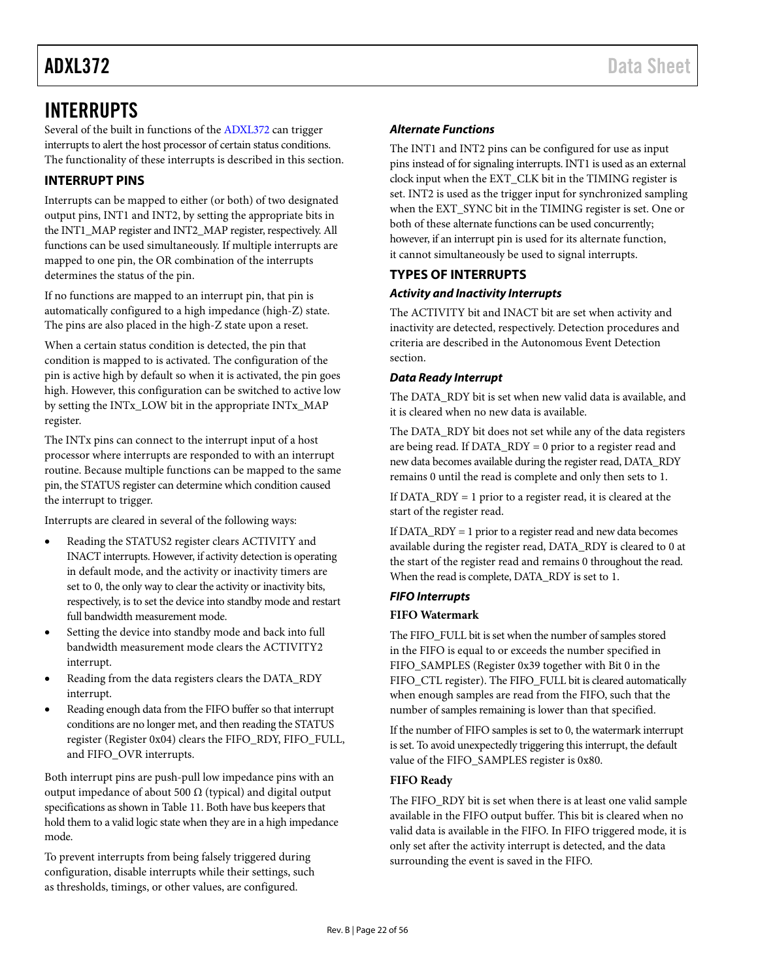# <span id="page-21-0"></span>INTERRUPTS

Several of the built in functions of the [ADXL372](http://www.analog.com/ADXL372?doc=ADXL372.pdf) can trigger interrupts to alert the host processor of certain status conditions. The functionality of these interrupts is described in this section.

# <span id="page-21-1"></span>**INTERRUPT PINS**

Interrupts can be mapped to either (or both) of two designated output pins, INT1 and INT2, by setting the appropriate bits in the INT1\_MAP register and INT2\_MAP register, respectively. All functions can be used simultaneously. If multiple interrupts are mapped to one pin, the OR combination of the interrupts determines the status of the pin.

If no functions are mapped to an interrupt pin, that pin is automatically configured to a high impedance (high-Z) state. The pins are also placed in the high-Z state upon a reset.

When a certain status condition is detected, the pin that condition is mapped to is activated. The configuration of the pin is active high by default so when it is activated, the pin goes high. However, this configuration can be switched to active low by setting the INTx\_LOW bit in the appropriate INTx\_MAP register.

The INTx pins can connect to the interrupt input of a host processor where interrupts are responded to with an interrupt routine. Because multiple functions can be mapped to the same pin, the STATUS register can determine which condition caused the interrupt to trigger.

Interrupts are cleared in several of the following ways:

- Reading the STATUS2 register clears ACTIVITY and INACT interrupts. However, if activity detection is operating in default mode, and the activity or inactivity timers are set to 0, the only way to clear the activity or inactivity bits, respectively, is to set the device into standby mode and restart full bandwidth measurement mode.
- Setting the device into standby mode and back into full bandwidth measurement mode clears the ACTIVITY2 interrupt.
- Reading from the data registers clears the DATA\_RDY interrupt.
- Reading enough data from the FIFO buffer so that interrupt conditions are no longer met, and then reading the STATUS register (Register 0x04) clears the FIFO\_RDY, FIFO\_FULL, and FIFO\_OVR interrupts.

Both interrupt pins are push-pull low impedance pins with an output impedance of about 500  $Ω$  (typical) and digital output specifications as shown i[n Table 11.](#page-22-0) Both have bus keepers that hold them to a valid logic state when they are in a high impedance mode.

To prevent interrupts from being falsely triggered during configuration, disable interrupts while their settings, such as thresholds, timings, or other values, are configured.

# *Alternate Functions*

The INT1 and INT2 pins can be configured for use as input pins instead of for signaling interrupts. INT1 is used as an external clock input when the EXT\_CLK bit in the TIMING register is set. INT2 is used as the trigger input for synchronized sampling when the EXT\_SYNC bit in the TIMING register is set. One or both of these alternate functions can be used concurrently; however, if an interrupt pin is used for its alternate function, it cannot simultaneously be used to signal interrupts.

# <span id="page-21-2"></span>**TYPES OF INTERRUPTS**

# *Activity and Inactivity Interrupts*

The ACTIVITY bit and INACT bit are set when activity and inactivity are detected, respectively. Detection procedures and criteria are described in the [Autonomous Event Detection](#page-15-0) section.

## *Data Ready Interrupt*

The DATA\_RDY bit is set when new valid data is available, and it is cleared when no new data is available.

The DATA\_RDY bit does not set while any of the data registers are being read. If DATA\_RDY = 0 prior to a register read and new data becomes available during the register read, DATA\_RDY remains 0 until the read is complete and only then sets to 1.

If DATA\_RDY = 1 prior to a register read, it is cleared at the start of the register read.

If DATA\_RDY = 1 prior to a register read and new data becomes available during the register read, DATA\_RDY is cleared to 0 at the start of the register read and remains 0 throughout the read. When the read is complete, DATA\_RDY is set to 1.

# *FIFO Interrupts*

# <span id="page-21-3"></span>**FIFO Watermark**

The FIFO\_FULL bit is set when the number of samples stored in the FIFO is equal to or exceeds the number specified in FIFO\_SAMPLES (Register 0x39 together with Bit 0 in the FIFO\_CTL register). The FIFO\_FULL bit is cleared automatically when enough samples are read from the FIFO, such that the number of samples remaining is lower than that specified.

If the number of FIFO samples is set to 0, the watermark interrupt is set. To avoid unexpectedly triggering this interrupt, the default value of the FIFO\_SAMPLES register is 0x80.

# **FIFO Ready**

The FIFO\_RDY bit is set when there is at least one valid sample available in the FIFO output buffer. This bit is cleared when no valid data is available in the FIFO. In FIFO triggered mode, it is only set after the activity interrupt is detected, and the data surrounding the event is saved in the FIFO.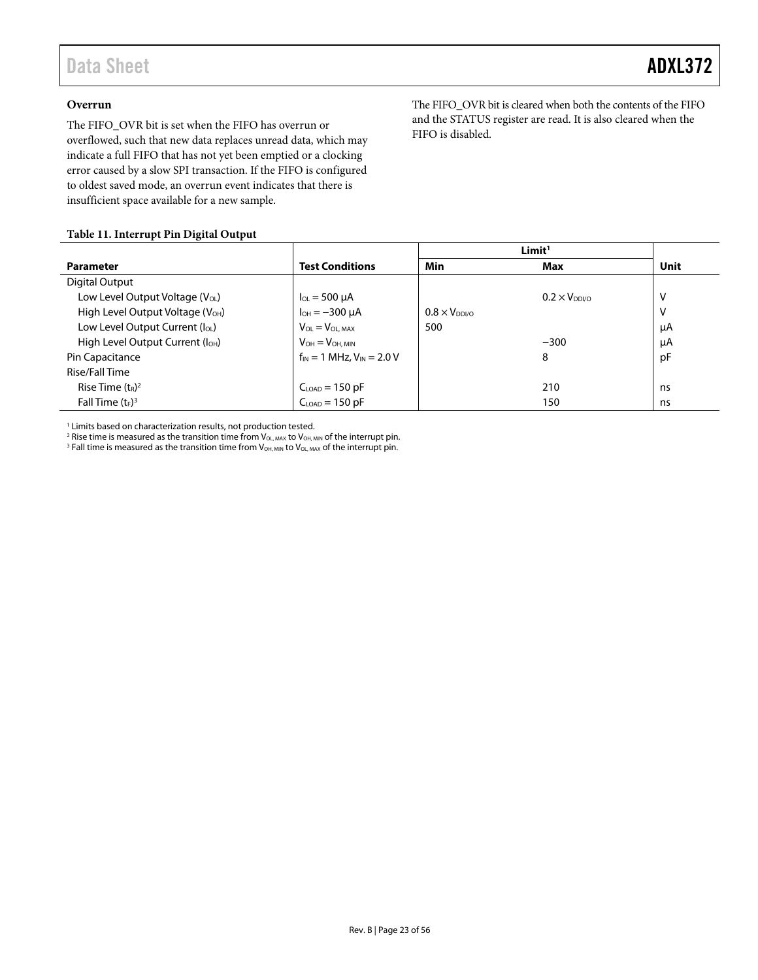### **Overrun**

The FIFO\_OVR bit is set when the FIFO has overrun or overflowed, such that new data replaces unread data, which may indicate a full FIFO that has not yet been emptied or a clocking error caused by a slow SPI transaction. If the FIFO is configured to oldest saved mode, an overrun event indicates that there is insufficient space available for a new sample.

The FIFO\_OVR bit is cleared when both the contents of the FIFO and the STATUS register are read. It is also cleared when the FIFO is disabled.

#### <span id="page-22-0"></span>**Table 11. Interrupt Pin Digital Output**

|                                              |                                    | Limit <sup>1</sup>     |                        |      |
|----------------------------------------------|------------------------------------|------------------------|------------------------|------|
| <b>Parameter</b>                             | <b>Test Conditions</b>             | Min                    | Max                    | Unit |
| Digital Output                               |                                    |                        |                        |      |
| Low Level Output Voltage $(V_{OL})$          | $I_{OL} = 500 \mu A$               |                        | $0.2 \times V_{DDI/O}$ | V    |
| High Level Output Voltage (V <sub>OH</sub> ) | $I_{OH} = -300 \mu A$              | $0.8 \times V_{DDI/O}$ |                        | V    |
| Low Level Output Current $(I_{OL})$          | $V_{OL} = V_{OL,MAX}$              | 500                    |                        | μA   |
| High Level Output Current (I <sub>OH</sub> ) | $V_{OH} = V_{OH. MIN}$             |                        | $-300$                 | μA   |
| Pin Capacitance                              | $f_{IN} = 1$ MHz, $V_{IN} = 2.0$ V |                        | 8                      | pF   |
| Rise/Fall Time                               |                                    |                        |                        |      |
| Rise Time $(t_R)^2$                          | $CLOAD = 150 pF$                   |                        | 210                    | ns   |
| Fall Time $(t_F)^3$                          | $CLOAD = 150 pF$                   |                        | 150                    | ns   |
|                                              |                                    |                        |                        |      |

<sup>1</sup> Limits based on characterization results, not production tested.

<sup>2</sup> Rise time is measured as the transition time from  $V_{OL, MAX}$  to  $V_{OH, MIN}$  of the interrupt pin.

<sup>3</sup> Fall time is measured as the transition time from  $V_{OH, MIN}$  to  $V_{OL, MAX}$  of the interrupt pin.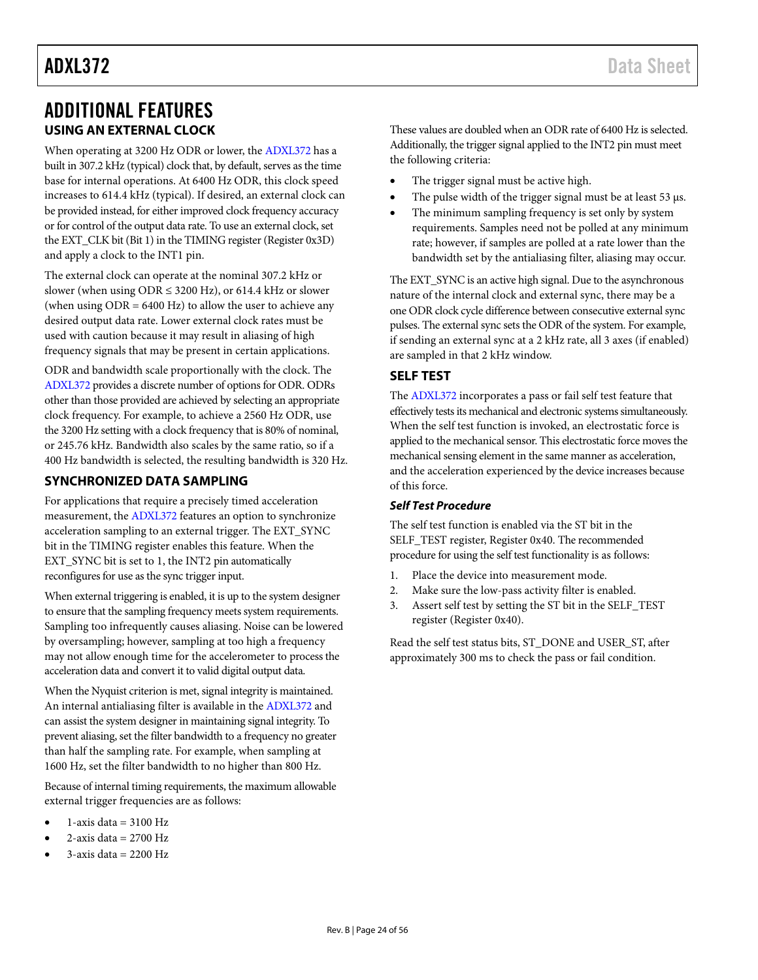# <span id="page-23-0"></span>ADDITIONAL FEATURES **USING AN EXTERNAL CLOCK**

<span id="page-23-1"></span>When operating at 3200 Hz ODR or lower, th[e ADXL372](http://www.analog.com/ADXL372?doc=ADXL372.pdf) has a built in 307.2 kHz (typical) clock that, by default, serves as the time base for internal operations. At 6400 Hz ODR, this clock speed increases to 614.4 kHz (typical). If desired, an external clock can be provided instead, for either improved clock frequency accuracy or for control of the output data rate. To use an external clock, set the EXT\_CLK bit (Bit 1) in the TIMING register (Register 0x3D) and apply a clock to the INT1 pin.

The external clock can operate at the nominal 307.2 kHz or slower (when using  $ODR \leq 3200$  Hz), or 614.4 kHz or slower (when using ODR = 6400 Hz) to allow the user to achieve any desired output data rate. Lower external clock rates must be used with caution because it may result in aliasing of high frequency signals that may be present in certain applications.

ODR and bandwidth scale proportionally with the clock. The [ADXL372](http://www.analog.com/ADXL372?doc=ADXL372.pdf) provides a discrete number of options for ODR. ODRs other than those provided are achieved by selecting an appropriate clock frequency. For example, to achieve a 2560 Hz ODR, use the 3200 Hz setting with a clock frequency that is 80% of nominal, or 245.76 kHz. Bandwidth also scales by the same ratio, so if a 400 Hz bandwidth is selected, the resulting bandwidth is 320 Hz.

# <span id="page-23-2"></span>**SYNCHRONIZED DATA SAMPLING**

For applications that require a precisely timed acceleration measurement, the [ADXL372](http://www.analog.com/ADXL372?doc=ADXL372.pdf) features an option to synchronize acceleration sampling to an external trigger. The EXT\_SYNC bit in the TIMING register enables this feature. When the EXT\_SYNC bit is set to 1, the INT2 pin automatically reconfigures for use as the sync trigger input.

When external triggering is enabled, it is up to the system designer to ensure that the sampling frequency meets system requirements. Sampling too infrequently causes aliasing. Noise can be lowered by oversampling; however, sampling at too high a frequency may not allow enough time for the accelerometer to process the acceleration data and convert it to valid digital output data.

When the Nyquist criterion is met, signal integrity is maintained. An internal antialiasing filter is available in the [ADXL372](http://www.analog.com/ADXL372?doc=ADXL372.pdf) and can assist the system designer in maintaining signal integrity. To prevent aliasing, set the filter bandwidth to a frequency no greater than half the sampling rate. For example, when sampling at 1600 Hz, set the filter bandwidth to no higher than 800 Hz.

Because of internal timing requirements, the maximum allowable external trigger frequencies are as follows:

- $1$ -axis data = 3100 Hz
- 2-axis data  $= 2700$  Hz
- $3$ -axis data = 2200 Hz

These values are doubled when an ODR rate of 6400 Hz is selected. Additionally, the trigger signal applied to the INT2 pin must meet the following criteria:

- The trigger signal must be active high.
- The pulse width of the trigger signal must be at least  $53 \mu s$ .
- The minimum sampling frequency is set only by system requirements. Samples need not be polled at any minimum rate; however, if samples are polled at a rate lower than the bandwidth set by the antialiasing filter, aliasing may occur.

The EXT\_SYNC is an active high signal. Due to the asynchronous nature of the internal clock and external sync, there may be a one ODR clock cycle difference between consecutive external sync pulses. The external sync sets the ODR of the system. For example, if sending an external sync at a 2 kHz rate, all 3 axes (if enabled) are sampled in that 2 kHz window.

# <span id="page-23-3"></span>**SELF TEST**

The [ADXL372](http://www.analog.com/ADXL372?doc=ADXL372.pdf) incorporates a pass or fail self test feature that effectively tests its mechanical and electronic systems simultaneously. When the self test function is invoked, an electrostatic force is applied to the mechanical sensor. This electrostatic force moves the mechanical sensing element in the same manner as acceleration, and the acceleration experienced by the device increases because of this force.

### <span id="page-23-4"></span>*Self Test Procedure*

The self test function is enabled via the ST bit in the SELF\_TEST register, Register 0x40. The recommended procedure for using the self test functionality is as follows:

- 1. Place the device into measurement mode.
- 2. Make sure the low-pass activity filter is enabled.
- 3. Assert self test by setting the ST bit in the SELF\_TEST register (Register 0x40).

Read the self test status bits, ST\_DONE and USER\_ST, after approximately 300 ms to check the pass or fail condition.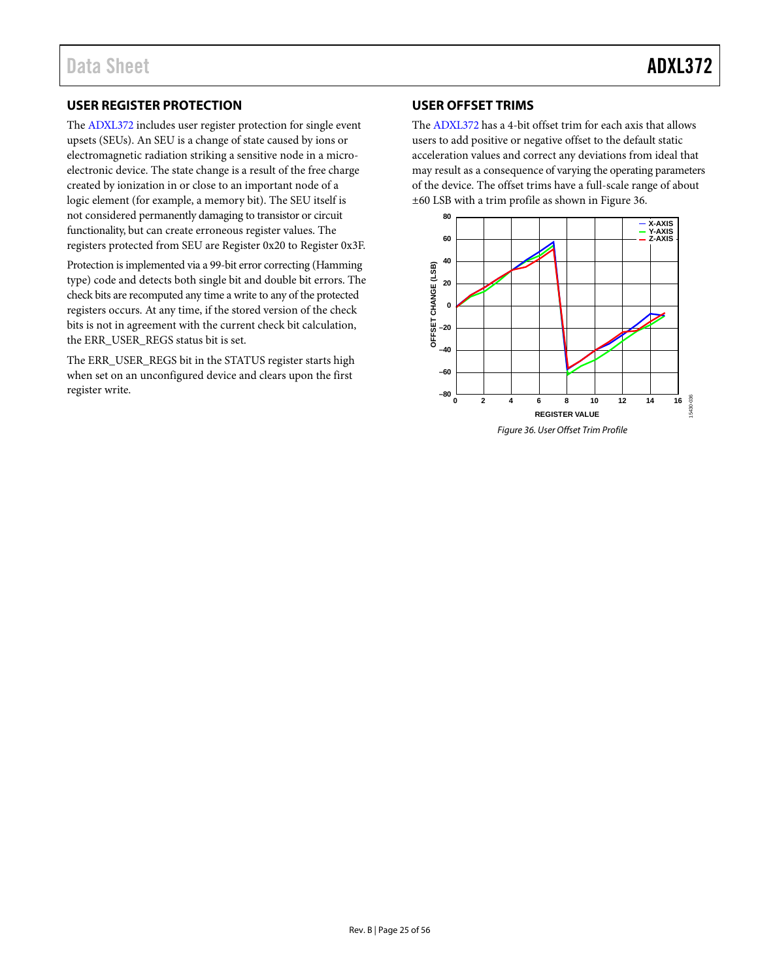# <span id="page-24-0"></span>**USER REGISTER PROTECTION**

The [ADXL372](http://www.analog.com/ADXL372?doc=ADXL372.pdf) includes user register protection for single event upsets (SEUs). An SEU is a change of state caused by ions or electromagnetic radiation striking a sensitive node in a microelectronic device. The state change is a result of the free charge created by ionization in or close to an important node of a logic element (for example, a memory bit). The SEU itself is not considered permanently damaging to transistor or circuit functionality, but can create erroneous register values. The registers protected from SEU are Register 0x20 to Register 0x3F.

Protection is implemented via a 99-bit error correcting (Hamming type) code and detects both single bit and double bit errors. The check bits are recomputed any time a write to any of the protected registers occurs. At any time, if the stored version of the check bits is not in agreement with the current check bit calculation, the ERR\_USER\_REGS status bit is set.

The ERR\_USER\_REGS bit in the STATUS register starts high when set on an unconfigured device and clears upon the first register write.

# <span id="page-24-1"></span>**USER OFFSET TRIMS**

The [ADXL372](http://www.analog.com/ADXL372?doc=ADXL372.pdf) has a 4-bit offset trim for each axis that allows users to add positive or negative offset to the default static acceleration values and correct any deviations from ideal that may result as a consequence of varying the operating parameters of the device. The offset trims have a full-scale range of about ±60 LSB with a trim profile as shown i[n Figure 36.](#page-24-2)

<span id="page-24-2"></span>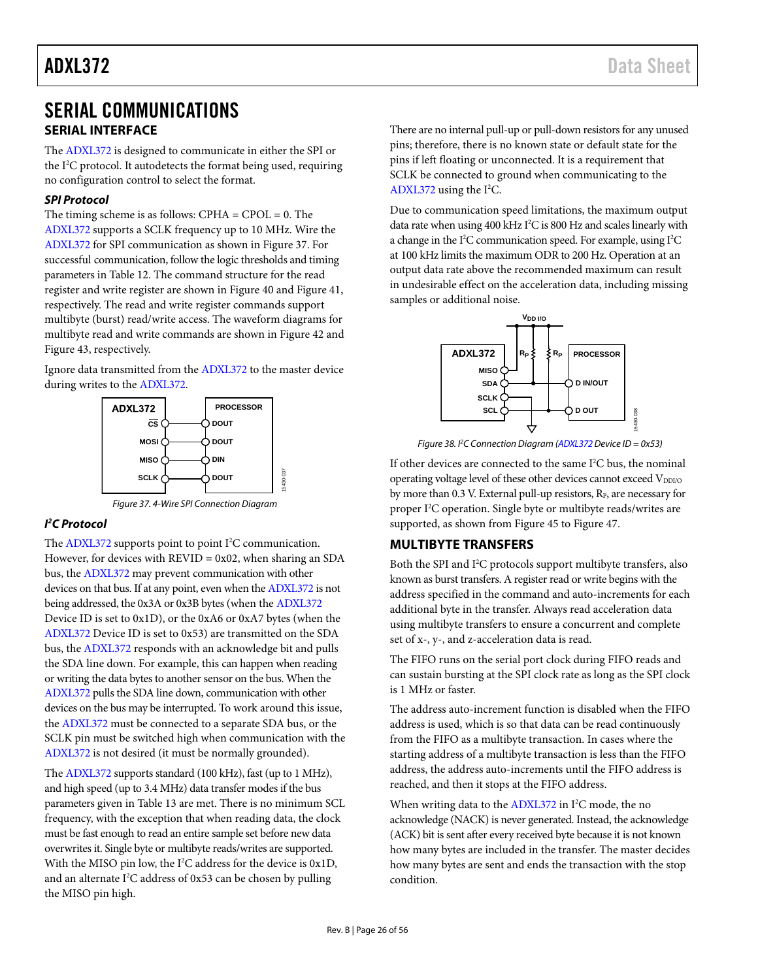# <span id="page-25-0"></span>SERIAL COMMUNICATIONS **SERIAL INTERFACE**

<span id="page-25-1"></span>The [ADXL372](http://www.analog.com/ADXL372?doc=ADXL372.pdf) is designed to communicate in either the SPI or the I 2 C protocol. It autodetects the format being used, requiring no configuration control to select the format.

### *SPI Protocol*

The timing scheme is as follows:  $CPHA = CPOL = 0$ . The [ADXL372](http://www.analog.com/ADXL372?doc=ADXL372.pdf) supports a SCLK frequency up to 10 MHz. Wire the [ADXL372](http://www.analog.com/ADXL372?doc=ADXL372.pdf) for SPI communication as shown i[n Figure 37.](#page-25-3) For successful communication, follow the logic thresholds and timing parameters in [Table 12.](#page-26-1) The command structure for the read register and write register are shown i[n Figure 40](#page-27-0) an[d Figure 41,](#page-27-1)  respectively. The read and write register commands support multibyte (burst) read/write access. The waveform diagrams for multibyte read and write commands are shown in [Figure 42](#page-27-2) and [Figure 43,](#page-27-3) respectively.

Ignore data transmitted from th[e ADXL372](http://www.analog.com/ADXL372?doc=ADXL372.pdf) to the master device during writes to the [ADXL372.](http://www.analog.com/ADXL372?doc=ADXL372.pdf)



*Figure 37. 4-Wire SPI Connection Diagram*

15430-037

# <span id="page-25-3"></span>*I 2 C Protocol*

The [ADXL372](http://www.analog.com/ADXL372?doc=ADXL372.pdf) supports point to point I<sup>2</sup>C communication. However, for devices with  $REVID = 0x02$ , when sharing an SDA bus, th[e ADXL372](http://www.analog.com/ADXL372?doc=ADXL372.pdf) may prevent communication with other devices on that bus. If at any point, even when th[e ADXL372](http://www.analog.com/ADXL372?doc=ADXL372.pdf) is not being addressed, the 0x3A or 0x3B bytes (when th[e ADXL372](http://www.analog.com/ADXL372?doc=ADXL372.pdf) Device ID is set to 0x1D), or the 0xA6 or 0xA7 bytes (when the [ADXL372](http://www.analog.com/ADXL372?doc=ADXL372.pdf) Device ID is set to 0x53) are transmitted on the SDA bus, th[e ADXL372](http://www.analog.com/ADXL372?doc=ADXL372.pdf) responds with an acknowledge bit and pulls the SDA line down. For example, this can happen when reading or writing the data bytes to another sensor on the bus. When the [ADXL372](http://www.analog.com/ADXL372?doc=ADXL372.pdf) pulls the SDA line down, communication with other devices on the bus may be interrupted. To work around this issue, the [ADXL372](http://www.analog.com/ADXL372?doc=ADXL372.pdf) must be connected to a separate SDA bus, or the SCLK pin must be switched high when communication with the [ADXL372](http://www.analog.com/ADXL372?doc=ADXL372.pdf) is not desired (it must be normally grounded).

The [ADXL372](http://www.analog.com/ADXL372?doc=ADXL372.pdf) supports standard (100 kHz), fast (up to 1 MHz), and high speed (up to 3.4 MHz) data transfer modes if the bus parameters given in [Table 13](#page-28-0) are met. There is no minimum SCL frequency, with the exception that when reading data, the clock must be fast enough to read an entire sample set before new data overwrites it. Single byte or multibyte reads/writes are supported. With the MISO pin low, the I 2 C address for the device is 0x1D, and an alternate  $I^2C$  address of  $0x53$  can be chosen by pulling the MISO pin high.

There are no internal pull-up or pull-down resistors for any unused pins; therefore, there is no known state or default state for the pins if left floating or unconnected. It is a requirement that SCLK be connected to ground when communicating to the [ADXL372](http://www.analog.com/ADXL372?doc=ADXL372.pdf) using the I 2 C.

Due to communication speed limitations, the maximum output data rate when using 400 kHz I<sup>2</sup>C is 800 Hz and scales linearly with a change in the I<sup>2</sup>C communication speed. For example, using I<sup>2</sup>C at 100 kHz limits the maximum ODR to 200 Hz. Operation at an output data rate above the recommended maximum can result in undesirable effect on the acceleration data, including missing samples or additional noise.



*Figure 38. I 2 C Connection Diagram [\(ADXL372D](http://www.analog.com/ADXL372?doc=ADXL372.pdf)evice ID = 0x53)*

If other devices are connected to the same I<sup>2</sup>C bus, the nominal operating voltage level of these other devices cannot exceed  $V_{DDIO}$ by more than 0.3 V. External pull-up resistors, R<sub>P</sub>, are necessary for proper I2 C operation. Single byte or multibyte reads/writes are supported, as shown fro[m Figure 45](#page-28-1) t[o Figure 47.](#page-28-2)

# <span id="page-25-2"></span>**MULTIBYTE TRANSFERS**

Both the SPI and I<sup>2</sup>C protocols support multibyte transfers, also known as burst transfers. A register read or write begins with the address specified in the command and auto-increments for each additional byte in the transfer. Always read acceleration data using multibyte transfers to ensure a concurrent and complete set of x-, y-, and z-acceleration data is read.

The FIFO runs on the serial port clock during FIFO reads and can sustain bursting at the SPI clock rate as long as the SPI clock is 1 MHz or faster.

The address auto-increment function is disabled when the FIFO address is used, which is so that data can be read continuously from the FIFO as a multibyte transaction. In cases where the starting address of a multibyte transaction is less than the FIFO address, the address auto-increments until the FIFO address is reached, and then it stops at the FIFO address.

When writing data to th[e ADXL372](http://www.analog.com/ADXL372?doc=ADXL372.pdf) in I<sup>2</sup>C mode, the no acknowledge (NACK) is never generated. Instead, the acknowledge (ACK) bit is sent after every received byte because it is not known how many bytes are included in the transfer. The master decides how many bytes are sent and ends the transaction with the stop condition.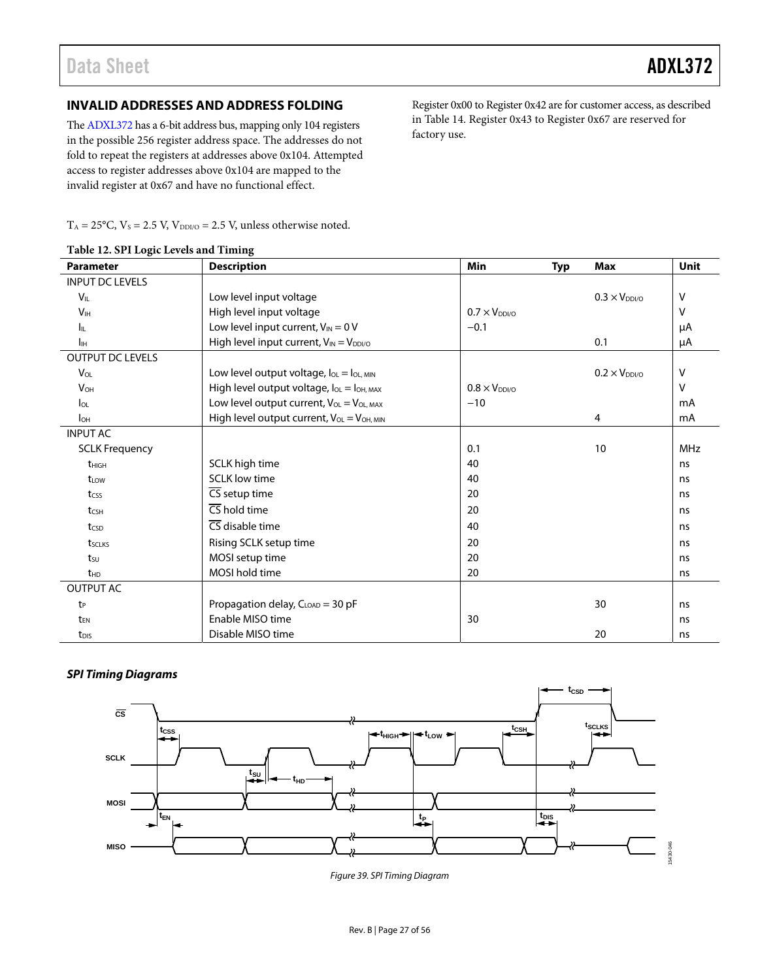Register 0x00 to Register 0x42 are for customer access, as described in [Table 14.](#page-29-1) Register 0x43 to Register 0x67 are reserved for

# <span id="page-26-0"></span>**INVALID ADDRESSES AND ADDRESS FOLDING**

Th[e ADXL372](http://www.analog.com/ADXL372?doc=ADXL372.pdf) has a 6-bit address bus, mapping only 104 registers in the possible 256 register address space. The addresses do not fold to repeat the registers at addresses above 0x104. Attempted access to register addresses above 0x104 are mapped to the invalid register at 0x67 and have no functional effect.

 $T_A = 25^{\circ}$ C,  $V_s = 2.5$  V,  $V_{DDI/O} = 2.5$  V, unless otherwise noted.

| <b>Parameter</b>        | <b>Description</b>                                                | Min                   | <b>Typ</b> | <b>Max</b>           | <b>Unit</b> |
|-------------------------|-------------------------------------------------------------------|-----------------------|------------|----------------------|-------------|
| <b>INPUT DC LEVELS</b>  |                                                                   |                       |            |                      |             |
| $V_{IL}$                | Low level input voltage                                           |                       |            | $0.3 \times V_{DD}$  | v           |
| V <sub>IH</sub>         | High level input voltage                                          | $0.7 \times V_{DDV}$  |            |                      | v           |
| Ι'n.                    | Low level input current, $V_{IN} = 0 V$                           | $-0.1$                |            |                      | μA          |
| $I_{\text{IH}}$         | High level input current, $V_{IN} = V_{DDI/O}$                    |                       |            | 0.1                  | μA          |
| <b>OUTPUT DC LEVELS</b> |                                                                   |                       |            |                      |             |
| $V_{OL}$                | Low level output voltage, $I_{OL} = I_{OL, MIN}$                  |                       |            | $0.2 \times V_{DDV}$ | $\vee$      |
| <b>V<sub>OH</sub></b>   | High level output voltage, loL = loH, MAX                         | $0.8 \times V_{DDVO}$ |            |                      | $\vee$      |
| $I_{OL}$                | Low level output current, $V_{OL} = V_{OL, MAX}$                  | $-10$                 |            |                      | mA          |
| $I_{OH}$                | High level output current, V <sub>OL</sub> = V <sub>OH, MIN</sub> |                       |            | 4                    | mA          |
| <b>INPUT AC</b>         |                                                                   |                       |            |                      |             |
| <b>SCLK Frequency</b>   |                                                                   | 0.1                   |            | 10                   | <b>MHz</b>  |
| t <sub>HIGH</sub>       | SCLK high time                                                    | 40                    |            |                      | ns          |
| t <sub>LOW</sub>        | <b>SCLK</b> low time                                              | 40                    |            |                      | ns          |
| tcss                    | $\overline{\text{CS}}$ setup time                                 | 20                    |            |                      | ns          |
| tcsh                    | $\overline{\text{CS}}$ hold time                                  | 20                    |            |                      | ns          |
| tcsp                    | $\overline{\text{CS}}$ disable time                               | 40                    |            |                      | ns          |
| tsclks                  | Rising SCLK setup time                                            | 20                    |            |                      | ns          |
| $t_{\text{SU}}$         | MOSI setup time                                                   | 20                    |            |                      | ns          |
| t <sub>HD</sub>         | MOSI hold time                                                    | 20                    |            |                      | ns          |
| OUTPUT AC               |                                                                   |                       |            |                      |             |
| tp                      | Propagation delay, C <sub>LOAD</sub> = 30 pF                      |                       |            | 30                   | ns          |
| t <sub>FN</sub>         | Enable MISO time                                                  | 30                    |            |                      | ns          |
| t <sub>DIS</sub>        | Disable MISO time                                                 |                       |            | 20                   | ns          |

factory use.

<span id="page-26-1"></span>

# **SPI Timing Diagrams**



Figure 39. SPI Timing Diagram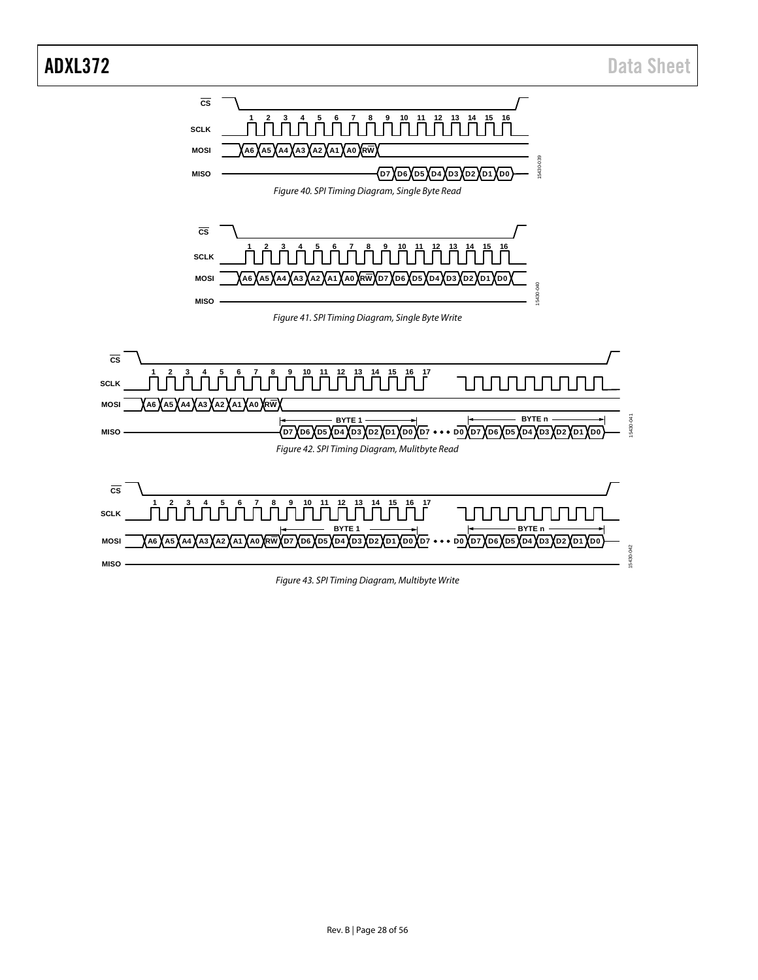<span id="page-27-1"></span><span id="page-27-0"></span>

<span id="page-27-3"></span><span id="page-27-2"></span>*Figure 43. SPI Timing Diagram, Multibyte Write*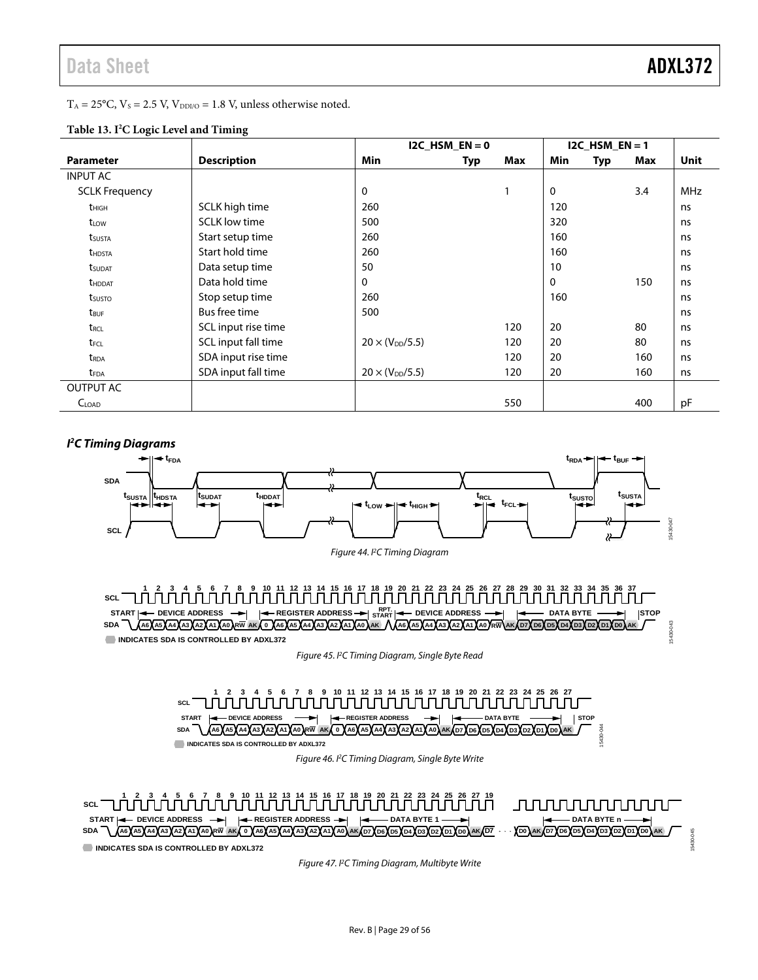15430-043

| $T_A = 25^{\circ}$ C, $V_s = 2.5$ V, $V_{DDI/O} = 1.8$ V, unless otherwise noted. |  |
|-----------------------------------------------------------------------------------|--|
|-----------------------------------------------------------------------------------|--|

|                           |                      | I2C HSM $EN = 0$         |     | $12C$ HSM EN = 1 |              |     |     |             |
|---------------------------|----------------------|--------------------------|-----|------------------|--------------|-----|-----|-------------|
| <b>Parameter</b>          | <b>Description</b>   | <b>Min</b>               | Typ | Max              | Min          | Typ | Max | <b>Unit</b> |
| <b>INPUT AC</b>           |                      |                          |     |                  |              |     |     |             |
| <b>SCLK Frequency</b>     |                      | 0                        |     |                  | $\mathbf{0}$ |     | 3.4 | <b>MHz</b>  |
| $t_{HIGH}$                | SCLK high time       | 260                      |     |                  | 120          |     |     | ns          |
| tLow                      | <b>SCLK</b> low time | 500                      |     |                  | 320          |     |     | ns          |
| t <sub>susta</sub>        | Start setup time     | 260                      |     |                  | 160          |     |     | ns          |
| <b>t</b> HDSTA            | Start hold time      | 260                      |     |                  | 160          |     |     | ns          |
| <b>t</b> <sub>SUDAT</sub> | Data setup time      | 50                       |     |                  | 10           |     |     | ns          |
| <b>t</b> HDDAT            | Data hold time       | $\Omega$                 |     |                  | 0            |     | 150 | ns          |
| t <sub>susto</sub>        | Stop setup time      | 260                      |     |                  | 160          |     |     | ns          |
| t <sub>BUF</sub>          | Bus free time        | 500                      |     |                  |              |     |     | ns          |
| t <sub>RCL</sub>          | SCL input rise time  |                          |     | 120              | 20           |     | 80  | ns          |
| t <sub>FCL</sub>          | SCL input fall time  | $20 \times (V_{DD}/5.5)$ |     | 120              | 20           |     | 80  | ns          |
| $t_{RDA}$                 | SDA input rise time  |                          |     | 120              | 20           |     | 160 | ns          |
| <b>t</b> <sub>FDA</sub>   | SDA input fall time  | $20 \times (V_{DD}/5.5)$ |     | 120              | 20           |     | 160 | ns          |
| <b>OUTPUT AC</b>          |                      |                          |     |                  |              |     |     |             |
| C <sub>LOAD</sub>         |                      |                          |     | 550              |              |     | 400 | рF          |

# <span id="page-28-0"></span>**Table 13. I2 C Logic Level and Timing**





<span id="page-28-1"></span>SDA <u>\ A66XA5XA4XA3XA2XA1XA0XRW AKX 0 XA6XA5XA4XA3XA2XA1XA0XAK /\XA6XA5XA4XA3XA2XA1XA0YRW\AKXD7XD6XD5XD2XD2XD1XD0XAK</u> **INDICATES SDA IS CONTROLLED BY ADXL372**

*Figure 45. I 2 C Timing Diagram, Single Byte Read* 

**1 2 3 4 5 6 7 8 9 10 11 12 13 14 15 16 17 18 19 20 21 22 23 24 25 26 27 SCL START**  $\begin{bmatrix} \begin{matrix} \text{d}{\text{d}} \end{matrix} & \begin{matrix} \text{D}} \end{matrix} & \begin{matrix} \text{D}} \end{matrix} & \begin{matrix} \text{d}{\text{d}} \end{matrix} & \begin{matrix} \text{E}} \end{matrix} & \begin{matrix} \text{E}} \end{matrix} & \begin{matrix} \text{E}} \end{matrix} & \begin{matrix} \text{E}} \end{matrix} & \begin{matrix} \text{E}} \end{matrix} & \begin{matrix} \text{E}} \end{matrix} & \begin{matrix} \text{E}} \end{matrix} & \begin{matrix} \text{E}} \end{matrix} & \begin{matrix}$ 430-044 15430-044 SDA \ {A6`XA5`XA4`XA3`XA2`XA1`XA0`}RW |AK{\0`XA6`XA5`XA4XA3`XA2`XA1`XA0`XAK{D7`XD6XD5`XD4`XD3`XD2`XD1`XD0 **INDICATES SDA IS CONTROLLED BY ADXL372**

*Figure 46. I2 C Timing Diagram, Single Byte Write*

<span id="page-28-2"></span>

*Figure 47. I2 C Timing Diagram, Multibyte Write*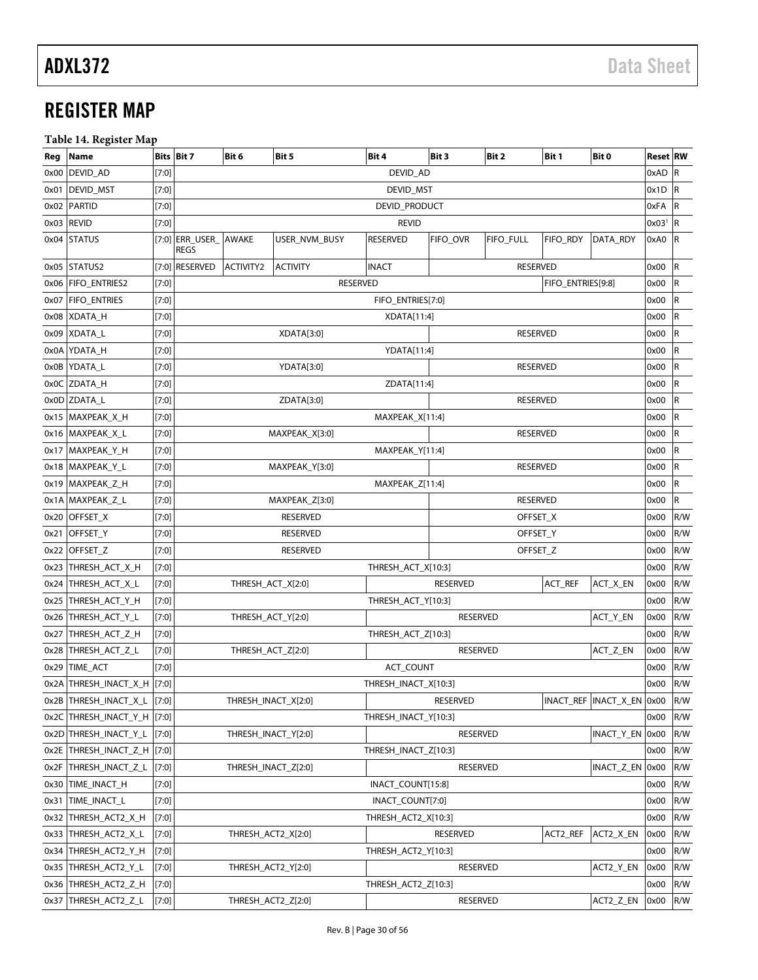# <span id="page-29-0"></span>REGISTER MAP

# <span id="page-29-1"></span>**Table 14. Register Map**

| Reg  | <b>Name</b>           |         | <b>Bits Bit 7</b>                   | Bit 6               | Bit 5           | Bit 4                | Bit 3           | Bit 2           | Bit 1             | Bit 0                       | <b>Reset RW</b>       |                         |
|------|-----------------------|---------|-------------------------------------|---------------------|-----------------|----------------------|-----------------|-----------------|-------------------|-----------------------------|-----------------------|-------------------------|
| 0x00 | DEVID_AD              | [7:0]   |                                     |                     |                 | DEVID_AD             |                 |                 |                   |                             | $0xAD$ R              |                         |
| 0x01 | DEVID_MST             | [7:0]   |                                     |                     |                 | DEVID_MST            |                 |                 |                   |                             | 0x1D                  | R                       |
| 0x02 | PARTID                | [7:0]   |                                     |                     |                 | DEVID_PRODUCT        |                 |                 |                   |                             | 0xFA                  | $\overline{R}$          |
|      | 0x03 REVID            | $[7:0]$ |                                     |                     |                 | <b>REVID</b>         |                 |                 |                   |                             | $0x03$ <sup>1</sup> R |                         |
|      | 0x04 STATUS           |         | [7:0] ERR USER AWAKE<br><b>REGS</b> |                     | USER_NVM_BUSY   | <b>RESERVED</b>      | FIFO_OVR        | FIFO_FULL       | FIFO_RDY          | DATA_RDY                    | 0xA0                  | $\overline{R}$          |
|      | 0x05 STATUS2          |         | [7:0] RESERVED                      | <b>ACTIVITY2</b>    | <b>ACTIVITY</b> | <b>INACT</b>         |                 | <b>RESERVED</b> |                   |                             | 0x00                  | R                       |
| 0x06 | <b>FIFO_ENTRIES2</b>  | [7:0]   |                                     |                     | <b>RESERVED</b> |                      |                 |                 | FIFO_ENTRIES[9:8] |                             | 0x00                  | R                       |
| 0x07 | <b>FIFO_ENTRIES</b>   | [7:0]   |                                     |                     |                 | FIFO ENTRIES[7:0]    |                 |                 |                   |                             | 0x00                  | R                       |
| 0x08 | XDATA_H               | [7:0]   |                                     |                     |                 | XDATA[11:4]          |                 |                 |                   |                             | 0x00                  | R                       |
|      | 0x09 XDATA_L          | [7:0]   |                                     |                     | XDATA[3:0]      |                      |                 | <b>RESERVED</b> |                   |                             | 0x00                  | R                       |
|      | 0x0A YDATA_H          | $[7:0]$ |                                     |                     |                 | YDATA[11:4]          |                 |                 |                   |                             | 0x00                  | R                       |
| 0x0B | YDATA_L               | [7:0]   |                                     |                     | YDATA[3:0]      |                      |                 | <b>RESERVED</b> |                   |                             | 0x00                  | R                       |
|      | 0x0C ZDATA_H          | $[7:0]$ |                                     |                     |                 | ZDATA[11:4]          |                 |                 |                   |                             | 0x00                  | R                       |
|      | 0x0D ZDATA_L          | [7:0]   |                                     |                     | ZDATA[3:0]      |                      |                 | <b>RESERVED</b> |                   |                             | 0x00                  | $\overline{\mathsf{R}}$ |
|      | 0x15 MAXPEAK_X_H      | $[7:0]$ |                                     |                     |                 | MAXPEAK_X[11:4]      |                 |                 |                   |                             | 0x00                  | R                       |
|      | 0x16 MAXPEAK X L      | [7:0]   |                                     |                     | MAXPEAK_X[3:0]  |                      |                 | <b>RESERVED</b> |                   |                             | 0x00                  | R                       |
|      | 0x17 MAXPEAK_Y_H      | $[7:0]$ |                                     |                     |                 | MAXPEAK_Y[11:4]      |                 |                 |                   |                             | 0x00                  | R                       |
|      | 0x18   MAXPEAK_Y_L    | [7:0]   |                                     |                     | MAXPEAK_Y[3:0]  |                      |                 | <b>RESERVED</b> |                   |                             | 0x00                  | $\overline{\mathsf{R}}$ |
|      | 0x19 MAXPEAK_Z_H      | $[7:0]$ |                                     |                     |                 | MAXPEAK_Z[11:4]      |                 |                 |                   |                             | 0x00                  | R                       |
|      | 0x1A MAXPEAK_Z_L      | $[7:0]$ |                                     |                     | MAXPEAK_Z[3:0]  |                      |                 | <b>RESERVED</b> |                   |                             | 0x00                  | R                       |
| 0x20 | OFFSET_X              | [7:0]   |                                     |                     | <b>RESERVED</b> |                      |                 | OFFSET_X        |                   |                             | 0x00                  | R/W                     |
| 0x21 | OFFSET_Y              | [7:0]   |                                     |                     | <b>RESERVED</b> |                      |                 | OFFSET_Y        |                   |                             | 0x00                  | R/W                     |
| 0x22 | OFFSET_Z              | $[7:0]$ |                                     |                     | <b>RESERVED</b> |                      |                 | OFFSET_Z        |                   |                             | 0x00                  | R/W                     |
| 0x23 | THRESH_ACT_X_H        | [7:0]   |                                     |                     |                 | THRESH_ACT_X[10:3]   |                 |                 |                   |                             | 0x00                  | R/W                     |
| 0x24 | THRESH_ACT_X_L        | [7:0]   |                                     | THRESH_ACT_X[2:0]   |                 |                      | <b>RESERVED</b> |                 | ACT_REF           | ACT_X_EN                    | 0x00                  | R/W                     |
|      | 0x25 THRESH_ACT_Y_H   | $[7:0]$ |                                     |                     |                 | THRESH_ACT_Y[10:3]   |                 |                 |                   |                             | 0x00                  | R/W                     |
| 0x26 | THRESH_ACT_Y_L        | $[7:0]$ |                                     | THRESH_ACT_Y[2:0]   |                 |                      | <b>RESERVED</b> |                 |                   | ACT_Y_EN                    | 0x00                  | R/W                     |
| 0x27 | THRESH_ACT_Z_H        | [7:0]   |                                     |                     |                 | THRESH_ACT_Z[10:3]   |                 |                 |                   |                             | 0x00                  | R/W                     |
| 0x28 | THRESH_ACT_Z_L        | $[7:0]$ |                                     | THRESH_ACT_Z[2:0]   |                 |                      | <b>RESERVED</b> |                 |                   | ACT_Z_EN                    | 0x00                  | R/W                     |
|      | 0x29 TIME_ACT         | $[7:0]$ |                                     |                     |                 | ACT_COUNT            |                 |                 |                   |                             | 0x00                  | R/W                     |
|      | 0x2A THRESH_INACT_X_H | [7:0]   |                                     |                     |                 | THRESH_INACT_X[10:3] |                 |                 |                   |                             | 0x00                  | R/W                     |
|      | 0x2B THRESH_INACT_X_L | [7:0]   |                                     | THRESH_INACT_X[2:0] |                 |                      | <b>RESERVED</b> |                 |                   | INACT_REF  INACT_X_EN  0x00 |                       | R/W                     |
| 0x2C | THRESH_INACT_Y_H      | [7:0]   |                                     |                     |                 | THRESH_INACT_Y[10:3] |                 |                 |                   |                             | 0x00                  | R/W                     |
|      | 0x2D THRESH_INACT_Y_L | $[7:0]$ |                                     | THRESH_INACT_Y[2:0] |                 |                      | <b>RESERVED</b> |                 |                   | INACT_Y_EN                  | 0x00                  | R/W                     |
| 0x2E | THRESH_INACT_Z_H      | [7:0]   |                                     |                     |                 | THRESH_INACT_Z[10:3] |                 |                 |                   |                             | 0x00                  | R/W                     |
| 0x2F | THRESH_INACT_Z_L      | [7:0]   |                                     | THRESH INACT Z[2:0] |                 |                      | <b>RESERVED</b> |                 |                   | INACT_Z_EN                  | 0x00                  | R/W                     |
| 0x30 | TIME_INACT_H          | $[7:0]$ |                                     |                     |                 | INACT_COUNT[15:8]    |                 |                 |                   |                             | 0x00                  | R/W                     |
| 0x31 | TIME_INACT_L          | [7:0]   |                                     |                     |                 | INACT_COUNT[7:0]     |                 |                 |                   |                             | 0x00                  | R/W                     |
|      | 0x32 THRESH_ACT2_X_H  | $[7:0]$ |                                     |                     |                 | THRESH ACT2 X[10:3]  |                 |                 |                   |                             | 0x00                  | R/W                     |
| 0x33 | THRESH_ACT2_X_L       | [7:0]   |                                     | THRESH_ACT2_X[2:0]  |                 |                      | <b>RESERVED</b> |                 | ACT2_REF          | ACT2_X_EN                   | 0x00                  | R/W                     |
| 0x34 | THRESH_ACT2_Y_H       | [7:0]   |                                     |                     |                 | THRESH ACT2 Y[10:3]  |                 |                 |                   |                             | 0x00                  | R/W                     |
|      | 0x35 THRESH_ACT2_Y_L  | $[7:0]$ |                                     | THRESH_ACT2_Y[2:0]  |                 |                      | <b>RESERVED</b> |                 |                   | ACT2_Y_EN                   | 0x00                  | R/W                     |
| 0x36 | THRESH_ACT2_Z_H       | [7:0]   |                                     |                     |                 | THRESH_ACT2_Z[10:3]  |                 |                 |                   |                             | 0x00                  | R/W                     |
| 0x37 | THRESH_ACT2_Z_L       | [7:0]   |                                     | THRESH_ACT2_Z[2:0]  |                 |                      | <b>RESERVED</b> |                 |                   | ACT2_Z_EN                   | 0x00                  | R/W                     |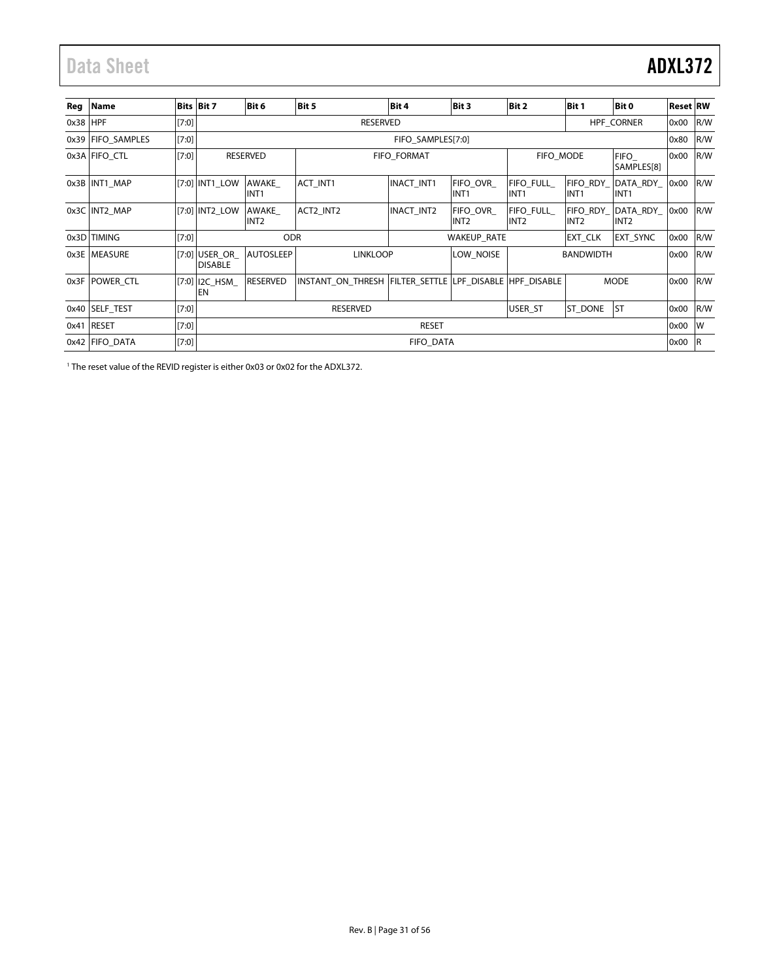# <span id="page-30-0"></span>Data Sheet **ADXL372**

| Reg        | <b>Name</b>       |         | <b>Bits Bit 7</b>                 | Bit 6                     | Bit 5                                                   | Bit 4              | Bit 3                               | Bit 2                                | Bit 1                        | Bit 0                        | <b>Reset RW</b> |     |
|------------|-------------------|---------|-----------------------------------|---------------------------|---------------------------------------------------------|--------------------|-------------------------------------|--------------------------------------|------------------------------|------------------------------|-----------------|-----|
| $0x38$ HPF |                   | [7:0]   |                                   |                           | <b>RESERVED</b>                                         |                    |                                     |                                      |                              | <b>HPF CORNER</b>            | 0x00            | R/W |
|            | 0x39 FIFO SAMPLES | [7:0]   |                                   |                           |                                                         | FIFO SAMPLES[7:0]  |                                     |                                      |                              |                              | 0x80            | R/W |
|            | 0x3A FIFO CTL     | [7:0]   |                                   | <b>RESERVED</b>           |                                                         | <b>FIFO FORMAT</b> |                                     | FIFO MODE                            |                              | <b>FIFO</b><br>SAMPLES[8]    | 0x00            | R/W |
|            | 0x3B INT1 MAP     |         | [7:0] INT1 LOW                    | AWAKE<br>INT <sub>1</sub> | <b>ACT INT1</b>                                         | <b>INACT INT1</b>  | <b>FIFO OVR</b><br>INT <sub>1</sub> | <b>FIFO FULL</b><br>INT <sub>1</sub> | FIFO RDY<br>INT <sub>1</sub> | DATA RDY<br>INT <sub>1</sub> | 0x00            | R/W |
|            | 0x3C INT2 MAP     |         | [7:0] INT2 LOW                    | AWAKE<br>INT <sub>2</sub> | ACT2 INT2                                               | <b>INACT INT2</b>  | <b>FIFO OVR</b><br>INT2             | <b>FIFO FULL</b><br>INT <sub>2</sub> | FIFO RDY<br>INT <sub>2</sub> | DATA RDY<br>INT <sub>2</sub> | 0x00            | R/W |
|            | 0x3D TIMING       | [7:0]   |                                   | <b>ODR</b>                |                                                         |                    | WAKEUP_RATE                         |                                      | EXT CLK                      | <b>EXT SYNC</b>              | 0x00            | R/W |
|            | 0x3E   MEASURE    |         | $[7:0]$ USER OR<br><b>DISABLE</b> | <b>AUTOSLEEP</b>          | <b>LINKLOOP</b>                                         |                    | LOW NOISE                           |                                      | <b>BANDWIDTH</b>             |                              | 0x00            | R/W |
|            | 0x3F POWER CTL    |         | $[7:0]$   I2C_HSM_<br>EN          | RESERVED                  | INSTANT ON THRESH FILTER SETTLE LPF DISABLE HPF DISABLE |                    |                                     |                                      |                              | <b>MODE</b>                  | 0x00            | R/W |
|            | 0x40 SELF TEST    | [7:0]   |                                   |                           | RESERVED                                                |                    |                                     | USER ST                              | ST_DONE                      | <b>ST</b>                    | 0x00            | R/W |
| 0x41       | RESET             | [7:0]   |                                   |                           |                                                         | <b>RESET</b>       |                                     |                                      |                              |                              | 0x00            | lw  |
|            | 0x42 FIFO DATA    | $[7:0]$ |                                   |                           |                                                         | <b>FIFO DATA</b>   |                                     |                                      |                              |                              | 0x00            | l R |

<sup>1</sup> The reset value of the REVID register is either 0x03 or 0x02 for the ADXL372.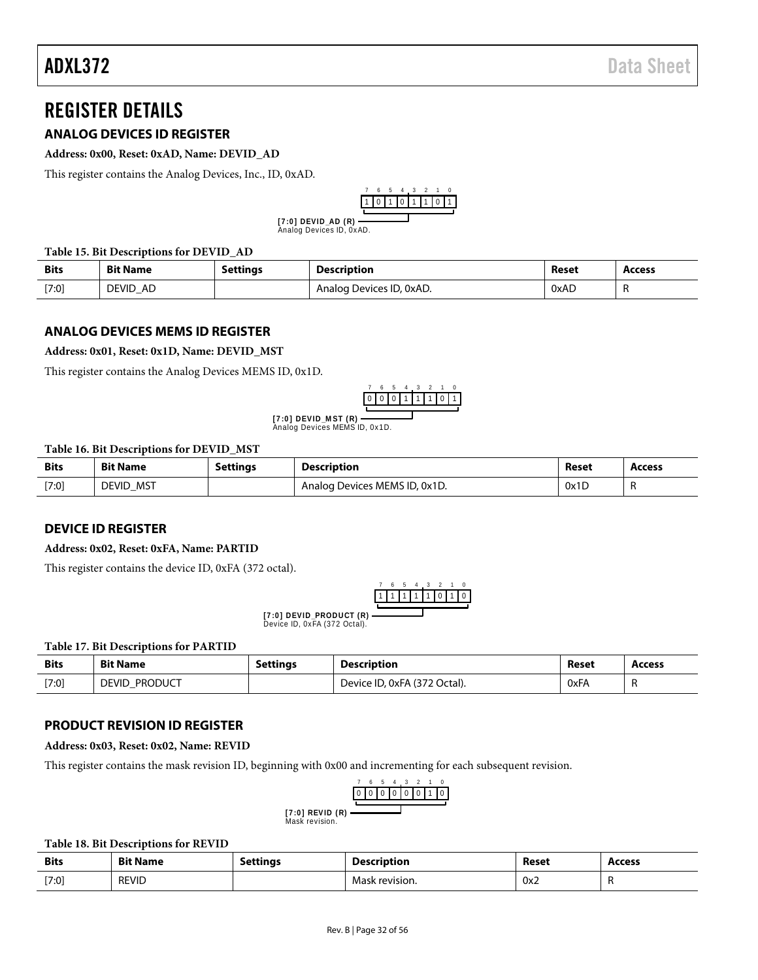# <span id="page-31-0"></span>REGISTER DETAILS

# <span id="page-31-1"></span>**ANALOG DEVICES ID REGISTER**

#### **Address: 0x00, Reset: 0xAD, Name: DEVID\_AD**

This register contains the Analog Devices, Inc., ID, 0xAD.



Analog Devices ID, 0xAD. **[ 7 :0 ] D EV ID \_AD ( R)**

#### **Table 15. Bit Descriptions for DEVID\_AD**

| <b>Bits</b> | <b>Bit Name</b>    | <b>Settings</b> | Description              | Reset | Access |
|-------------|--------------------|-----------------|--------------------------|-------|--------|
| [7:0]       | <b>DEVID</b><br>AD |                 | Analog Devices ID, 0xAD. | 0xAD  |        |

## <span id="page-31-2"></span>**ANALOG DEVICES MEMS ID REGISTER**

#### **Address: 0x01, Reset: 0x1D, Name: DEVID\_MST**

This register contains the Analog Devices MEMS ID, 0x1D.



**[7:0] DEVID\_MST (R) ————**<br>Analog Devices MEMS ID, 0x1D.

#### **Table 16. Bit Descriptions for DEVID\_MST**

| <b>Bits</b> | <b>Bit Name</b>     | Settinas | <b>Description</b>            | Reset | <b>Access</b> |
|-------------|---------------------|----------|-------------------------------|-------|---------------|
| [7:0]       | MST<br><b>DEVID</b> |          | Analog Devices MEMS ID, 0x1D. | 0x1D  | . .           |

# <span id="page-31-3"></span>**DEVICE ID REGISTER**

#### **Address: 0x02, Reset: 0xFA, Name: PARTID**

This register contains the device ID, 0xFA (372 octal).

|  |  | 1. | -1 | 0 | וו |
|--|--|----|----|---|----|
|  |  |    |    |   |    |

[7:0] DEVID\_PRODUCT (R)<br>Device ID, 0xFA (372 Octal).

#### **Table 17. Bit Descriptions for PARTID**

| <b>Bits</b> | <b>Bit Name</b>                | Settinas | <b>Description</b>           | Reset | <b>Access</b> |
|-------------|--------------------------------|----------|------------------------------|-------|---------------|
| [7:0]       | <b>Product</b><br><b>DEVID</b> |          | Device ID, 0xFA (372 Octal). | 0xFA  |               |

# <span id="page-31-4"></span>**PRODUCT REVISION ID REGISTER**

**Address: 0x03, Reset: 0x02, Name: REVID**

This register contains the mask revision ID, beginning with 0x00 and incrementing for each subsequent revision.



Mask revision. **[7:0] REVID (R)**

#### **Table 18. Bit Descriptions for REVID**

| <b>Bits</b> | <b>Bit Name</b> | Setting <sub>s</sub> | <b>Description</b> | Reset | Access |
|-------------|-----------------|----------------------|--------------------|-------|--------|
| [7:0]       | <b>REVID</b>    |                      | Mask revision.     | 0x2   |        |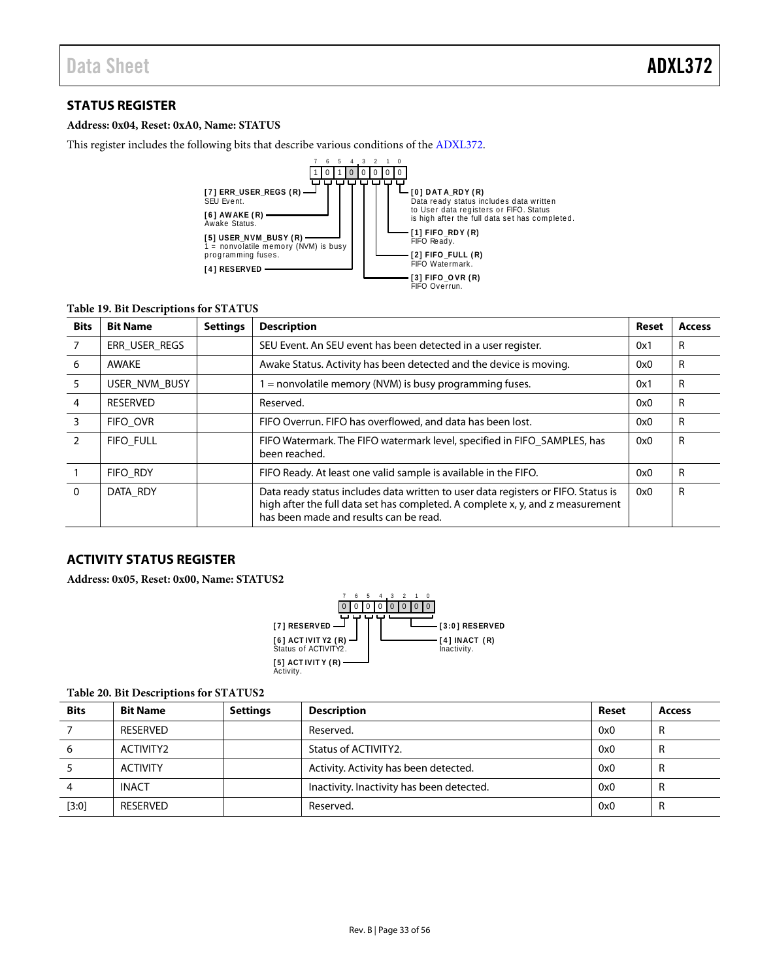# <span id="page-32-0"></span>**STATUS REGISTER**

# **Address: 0x04, Reset: 0xA0, Name: STATUS**

This register includes the following bits that describe various conditions of the [ADXL372.](http://www.analog.com/ADXL372?doc=ADXL372.pdf)



### **Table 19. Bit Descriptions for STATUS**

| <b>Bits</b>   | <b>Bit Name</b>  | <b>Settings</b> | <b>Description</b>                                                                                                                                                                                            | Reset | <b>Access</b> |
|---------------|------------------|-----------------|---------------------------------------------------------------------------------------------------------------------------------------------------------------------------------------------------------------|-------|---------------|
|               | ERR USER REGS    |                 | SEU Event. An SEU event has been detected in a user register.                                                                                                                                                 | 0x1   | R             |
| 6             | AWAKE            |                 | Awake Status. Activity has been detected and the device is moving.                                                                                                                                            | 0x0   | R             |
| 5             | USER NVM BUSY    |                 | $=$ nonvolatile memory (NVM) is busy programming fuses.                                                                                                                                                       | 0x1   | R             |
| 4             | <b>RESERVED</b>  |                 | Reserved.                                                                                                                                                                                                     | 0x0   | R             |
| 3             | FIFO OVR         |                 | FIFO Overrun. FIFO has overflowed, and data has been lost.                                                                                                                                                    | 0x0   | R             |
| $\mathcal{P}$ | <b>FIFO FULL</b> |                 | FIFO Watermark. The FIFO watermark level, specified in FIFO_SAMPLES, has<br>been reached.                                                                                                                     | 0x0   | R             |
|               | <b>FIFO RDY</b>  |                 | FIFO Ready. At least one valid sample is available in the FIFO.                                                                                                                                               | 0x0   | R             |
| $\Omega$      | DATA RDY         |                 | Data ready status includes data written to user data registers or FIFO. Status is<br>high after the full data set has completed. A complete x, y, and z measurement<br>has been made and results can be read. | 0x0   | R             |

# <span id="page-32-1"></span>**ACTIVITY STATUS REGISTER**

**Address: 0x05, Reset: 0x00, Name: STATUS2**



#### **Table 20. Bit Descriptions for STATUS2**

| <b>Bits</b> | <b>Bit Name</b> | <b>Settings</b> | <b>Description</b>                        | Reset | <b>Access</b> |
|-------------|-----------------|-----------------|-------------------------------------------|-------|---------------|
|             | <b>RESERVED</b> |                 | Reserved.                                 | 0x0   | ĸ             |
| 6           | ACTIVITY2       |                 | Status of ACTIVITY2.                      | 0x0   | R             |
|             | <b>ACTIVITY</b> |                 | Activity. Activity has been detected.     | 0x0   | R             |
|             | <b>INACT</b>    |                 | Inactivity. Inactivity has been detected. | 0x0   | R             |
| $[3:0]$     | <b>RESERVED</b> |                 | Reserved.                                 | 0x0   | R             |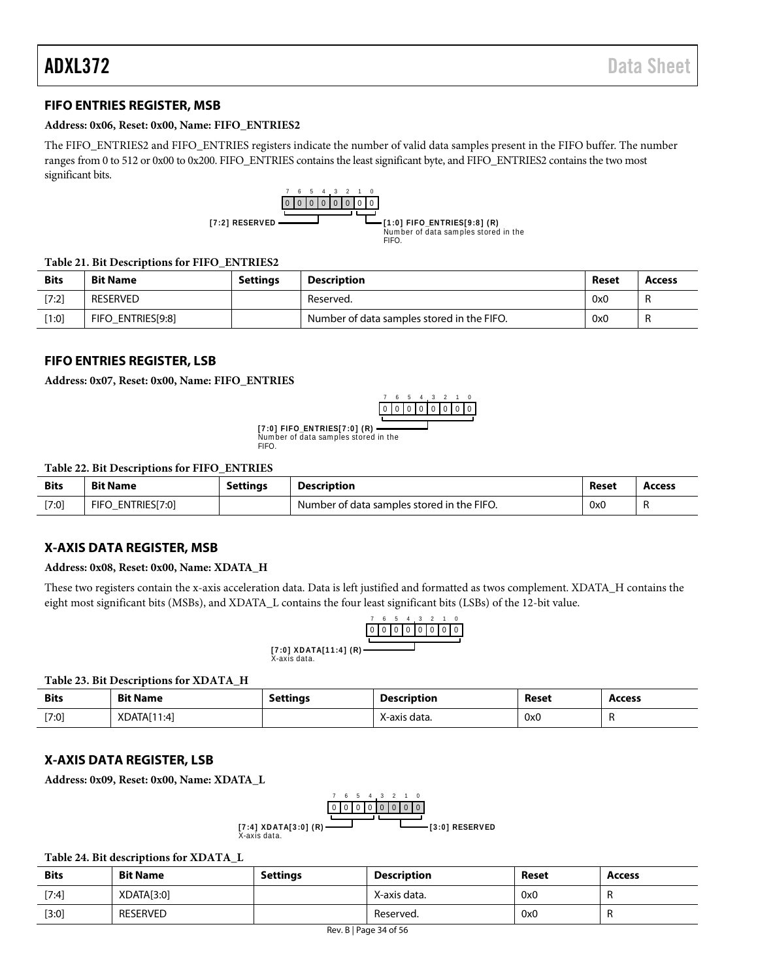## <span id="page-33-0"></span>**FIFO ENTRIES REGISTER, MSB**

#### **Address: 0x06, Reset: 0x00, Name: FIFO\_ENTRIES2**

The FIFO\_ENTRIES2 and FIFO\_ENTRIES registers indicate the number of valid data samples present in the FIFO buffer. The number ranges from 0 to 512 or 0x00 to 0x200. FIFO\_ENTRIES contains the least significant byte, and FIFO\_ENTRIES2 contains the two most significant bits.



#### **Table 21. Bit Descriptions for FIFO\_ENTRIES2**

| <b>Bits</b> | <b>Bit Name</b>   | Settings | <b>Description</b>                         | Reset | Access |
|-------------|-------------------|----------|--------------------------------------------|-------|--------|
| [7:2]       | RESERVED          |          | Reserved.                                  | 0x0   |        |
| [1:0]       | FIFO ENTRIES[9:8] |          | Number of data samples stored in the FIFO. | 0x0   |        |

## <span id="page-33-1"></span>**FIFO ENTRIES REGISTER, LSB**

**Address: 0x07, Reset: 0x00, Name: FIFO\_ENTRIES**

0 0 1 0 2  $\Omega$ 3 0 4  $\theta$ 5 0 6  $\Omega$ 7 0

**[7:0] FIFO\_ENTRIES[7:0] (R) ———**<br>Number of data samples stored in the FIFO.

#### **Table 22. Bit Descriptions for FIFO\_ENTRIES**

| <b>Bits</b> | <b>Bit Name</b>             | Settinas | <b>Description</b>                         | Reset | <b>Access</b> |
|-------------|-----------------------------|----------|--------------------------------------------|-------|---------------|
| $[7:0]$     | <b>FIFO</b><br>ENTRIES[7:0] |          | Number of data samples stored in the FIFO. | 0x0   | . .           |

### <span id="page-33-2"></span>**X-AXIS DATA REGISTER, MSB**

#### **Address: 0x08, Reset: 0x00, Name: XDATA\_H**

These two registers contain the x-axis acceleration data. Data is left justified and formatted as twos complement. XDATA\_H contains the eight most significant bits (MSBs), and XDATA\_L contains the four least significant bits (LSBs) of the 12-bit value.

|                                        |             |  | 6 5 4 3 2 |  |  |
|----------------------------------------|-------------|--|-----------|--|--|
|                                        | 00000000000 |  |           |  |  |
|                                        |             |  |           |  |  |
| [7:0] XDATA[11:4] (R)-<br>X-axis data. |             |  |           |  |  |

#### **Table 23. Bit Descriptions for XDATA\_H**

| <b>Bits</b> | <b>Bit Name</b> | <b>Settings</b> | <b>Description</b> | Reset | <b>Access</b> |
|-------------|-----------------|-----------------|--------------------|-------|---------------|
| [7:0]       | XDATA[11:4]     |                 | X-axis data.       | 0x0   |               |

#### <span id="page-33-3"></span>**X-AXIS DATA REGISTER, LSB**

**Address: 0x09, Reset: 0x00, Name: XDATA\_L**

$$
\begin{array}{r} \begin{array}{c} 7 & 6 & 5 & 4 & 3 & 2 & 1 & 0 \\ \hline 0 & 0 & 0 & 0 & 0 & 0 & 0 \\ \hline 0 & 0 & 0 & 0 & 0 & 0 & 0 \\ \hline \end{array} \\ \text{[7:4] XDATA[3:0] (R) \n
$$
\begin{array}{c}\n \text{X-axis data.} \\
\end{array}
$$
$$

#### **Table 24. Bit descriptions for XDATA\_L**

| <b>Bits</b> | <b>Bit Name</b> | <b>Settings</b> | Description  | Reset | Access |
|-------------|-----------------|-----------------|--------------|-------|--------|
| [7:4]       | XDATA[3:0]      |                 | X-axis data. | 0x0   |        |
| $[3:0]$     | <b>RESERVED</b> |                 | Reserved.    | 0x0   |        |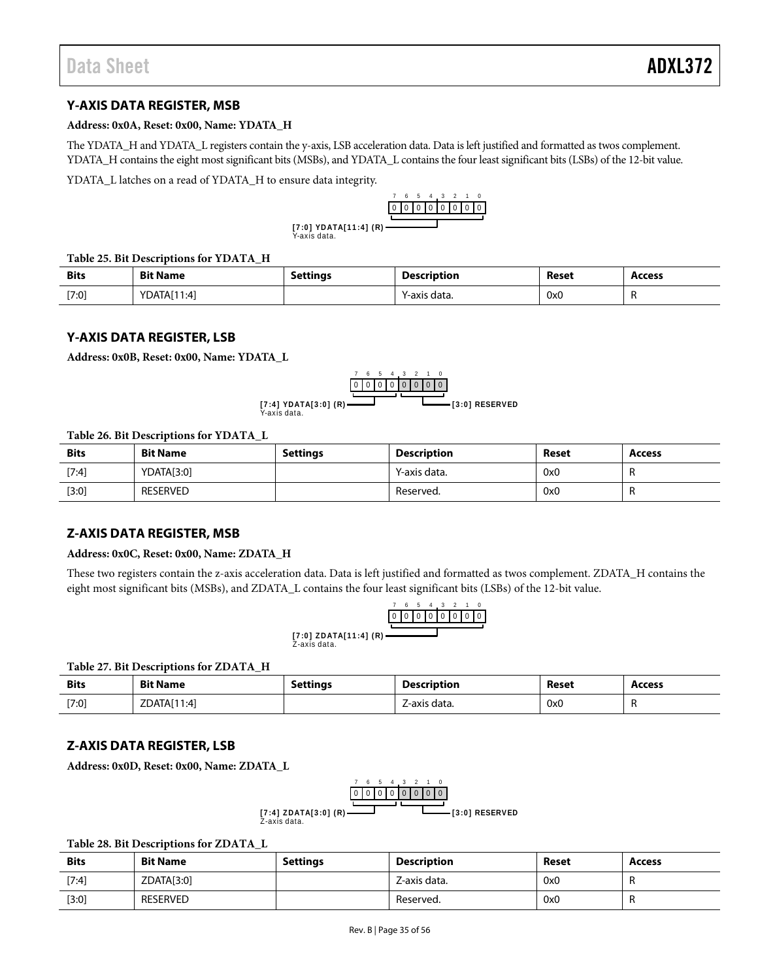# <span id="page-34-0"></span>**Y-AXIS DATA REGISTER, MSB**

#### **Address: 0x0A, Reset: 0x00, Name: YDATA\_H**

The YDATA\_H and YDATA\_L registers contain the y-axis, LSB acceleration data. Data is left justified and formatted as twos complement. YDATA\_H contains the eight most significant bits (MSBs), and YDATA\_L contains the four least significant bits (LSBs) of the 12-bit value.

YDATA\_L latches on a read of YDATA\_H to ensure data integrity.



Y-axis data. **[7:0] YDATA[11:4] (R)**

#### **Table 25. Bit Descriptions for YDATA\_H**

| <b>Bits</b> | <b>Bit Name</b> | Settings | <b>Description</b> | Reset | Access |
|-------------|-----------------|----------|--------------------|-------|--------|
| [7:0]       | YDATA[11:4]     |          | data.<br>-axis     | 0x0   |        |

## <span id="page-34-1"></span>**Y-AXIS DATA REGISTER, LSB**

**Address: 0x0B, Reset: 0x00, Name: YDATA\_L**



#### **Table 26. Bit Descriptions for YDATA\_L**

| <b>Bits</b> | <b>Bit Name</b> | <b>Settings</b> | <b>Description</b> | Reset | <b>Access</b> |
|-------------|-----------------|-----------------|--------------------|-------|---------------|
| $[7:4]$     | YDATA[3:0]      |                 | Y-axis data.       | 0x0   |               |
| [3:0]       | <b>RESERVED</b> |                 | Reserved.          | 0x0   | . .           |

### <span id="page-34-2"></span>**Z-AXIS DATA REGISTER, MSB**

#### **Address: 0x0C, Reset: 0x00, Name: ZDATA\_H**

These two registers contain the z-axis acceleration data. Data is left justified and formatted as twos complement. ZDATA\_H contains the eight most significant bits (MSBs), and ZDATA\_L contains the four least significant bits (LSBs) of the 12-bit value.



Z-axis data. **[7:0] ZDATA[11:4] (R)**

#### **Table 27. Bit Descriptions for ZDATA\_H**

| <b>Bits</b> | <b>Bit Name</b> | <b>Settings</b> | <b>Description</b> | Reset | <b>Access</b> |
|-------------|-----------------|-----------------|--------------------|-------|---------------|
| [7:0]       | ZDATA[11:4]     |                 | Z-axis data.       | 0x0   |               |

### <span id="page-34-3"></span>**Z-AXIS DATA REGISTER, LSB**

**Address: 0x0D, Reset: 0x00, Name: ZDATA\_L**



#### **Table 28. Bit Descriptions for ZDATA\_L**

| <b>Bits</b> | <b>Bit Name</b> | <b>Settings</b> | Description  | Reset | <b>Access</b> |
|-------------|-----------------|-----------------|--------------|-------|---------------|
| [7:4]       | ZDATA[3:0]      |                 | Z-axis data. | 0x0   |               |
| $[3:0]$     | <b>RESERVED</b> |                 | Reserved.    | 0x0   |               |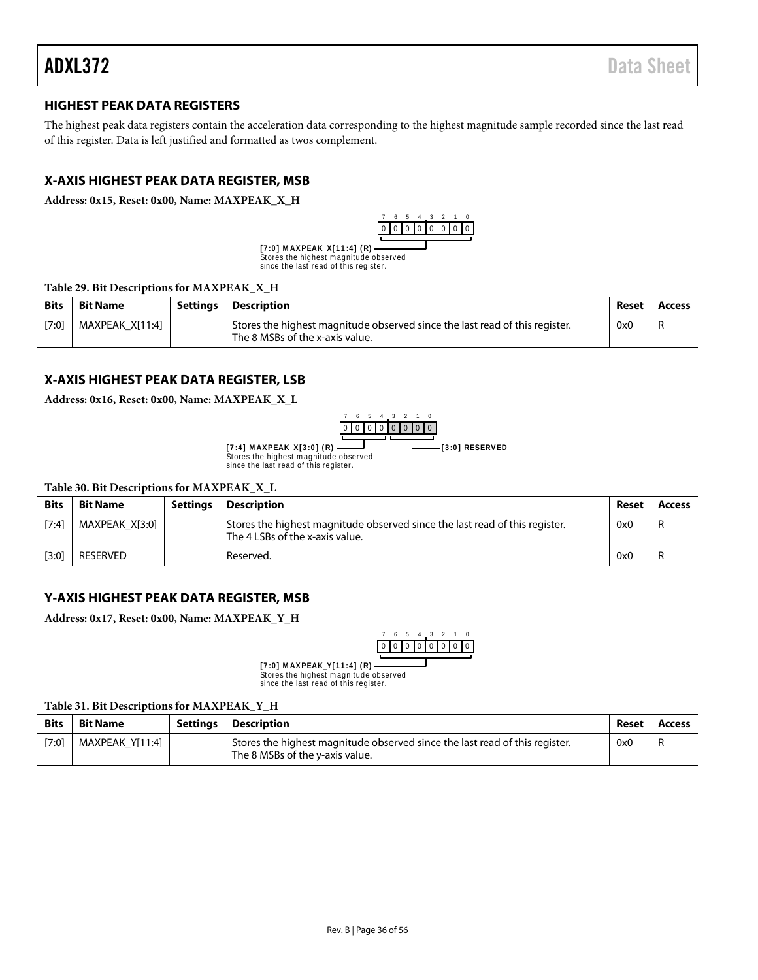# <span id="page-35-0"></span>**HIGHEST PEAK DATA REGISTERS**

The highest peak data registers contain the acceleration data corresponding to the highest magnitude sample recorded since the last read of this register. Data is left justified and formatted as twos complement.

# <span id="page-35-1"></span>**X-AXIS HIGHEST PEAK DATA REGISTER, MSB**

**Address: 0x15, Reset: 0x00, Name: MAXPEAK\_X\_H**



Stores the highest magnitude observed since the last read of this register. **[ 7 :0 ] M AX PEAK\_X [ 1 1 :4 ] ( R)**

#### **Table 29. Bit Descriptions for MAXPEAK\_X\_H**

| <b>Bits</b> | <b>Bit Name</b> | Settings | <b>Description</b>                                                                                             | Reset | Access |
|-------------|-----------------|----------|----------------------------------------------------------------------------------------------------------------|-------|--------|
| [7:0]       | MAXPEAK X[11:4] |          | Stores the highest magnitude observed since the last read of this register.<br>The 8 MSBs of the x-axis value. | 0x0   | -R     |

#### <span id="page-35-2"></span>**X-AXIS HIGHEST PEAK DATA REGISTER, LSB**

**Address: 0x16, Reset: 0x00, Name: MAXPEAK\_X\_L**



**[ 7 :4 ] M AX PEAK\_X [ 3 :0 ] ( R) [3:0] RESERVED**

Stores the highest m agnitude observed since the last read of this register.

**Table 30. Bit Descriptions for MAXPEAK\_X\_L**

| <b>Bits</b> | <b>Bit Name</b> | Settinas | <b>Description</b>                                                                                             | Reset | Access |
|-------------|-----------------|----------|----------------------------------------------------------------------------------------------------------------|-------|--------|
| [7:4]       | MAXPEAK X[3:0]  |          | Stores the highest magnitude observed since the last read of this register.<br>The 4 LSBs of the x-axis value. | 0x0   | -R     |
| [3:0]       | RESERVED        |          | Reserved.                                                                                                      | 0x0   |        |

# <span id="page-35-3"></span>**Y-AXIS HIGHEST PEAK DATA REGISTER, MSB**

**Address: 0x17, Reset: 0x00, Name: MAXPEAK\_Y\_H**



Stores the highest m agnitude observed since the last read of this register. **[ 7 :0 ] M AX PEAK\_Y[ 1 1 :4 ] ( R)**

#### **Table 31. Bit Descriptions for MAXPEAK\_Y\_H**

| <b>Bits</b> | <b>Bit Name</b> | Settings   Description                                                                                         | Reset | Access |
|-------------|-----------------|----------------------------------------------------------------------------------------------------------------|-------|--------|
| [7:0]       | MAXPEAK Y[11:4] | Stores the highest magnitude observed since the last read of this register.<br>The 8 MSBs of the y-axis value. | 0x0   |        |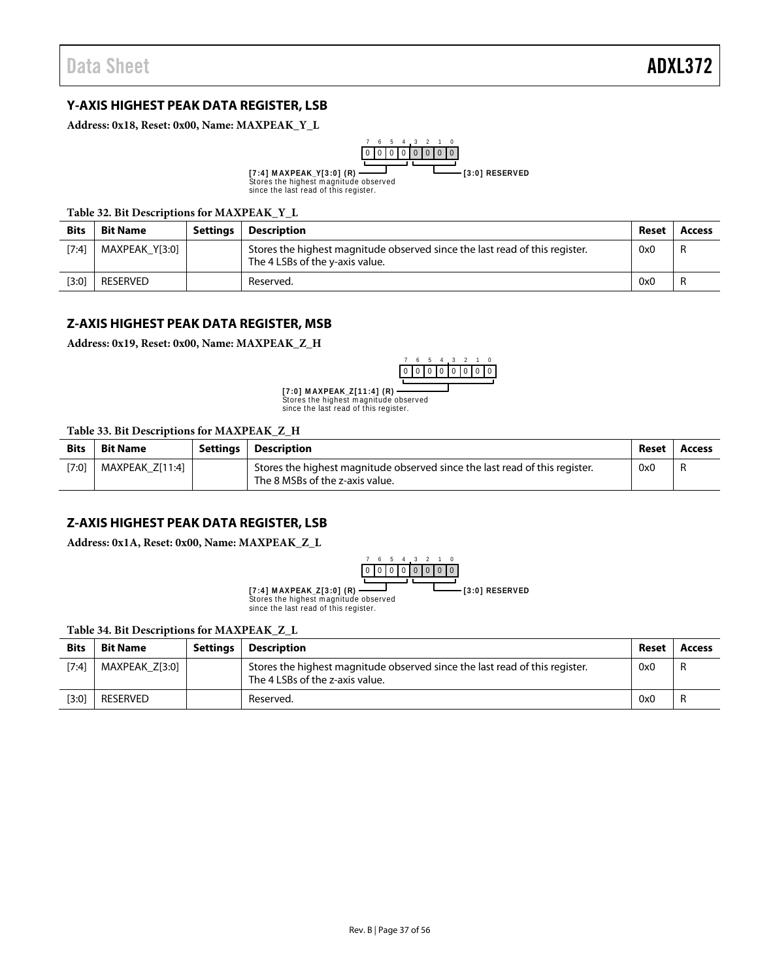# <span id="page-36-0"></span>**Y-AXIS HIGHEST PEAK DATA REGISTER, LSB**

**Address: 0x18, Reset: 0x00, Name: MAXPEAK\_Y\_L**



#### **Table 32. Bit Descriptions for MAXPEAK\_Y\_L**

| <b>Bits</b> | <b>Bit Name</b> | Settings | Description                                                                                                    | Reset | Access |
|-------------|-----------------|----------|----------------------------------------------------------------------------------------------------------------|-------|--------|
| [7:4]       | MAXPEAK Y[3:0]  |          | Stores the highest magnitude observed since the last read of this register.<br>The 4 LSBs of the y-axis value. | 0x0   | -R     |
| [3:0]       | RESERVED        |          | Reserved.                                                                                                      | 0x0   | R      |

#### <span id="page-36-1"></span>**Z-AXIS HIGHEST PEAK DATA REGISTER, MSB**

**Address: 0x19, Reset: 0x00, Name: MAXPEAK\_Z\_H**



Stores the highest m agnitude observed since the last read of this register. **[ 7 :0 ] M AX PEAK\_Z [ 1 1 :4 ] ( R)**

#### **Table 33. Bit Descriptions for MAXPEAK\_Z\_H**

| <b>Bits</b> | <b>Bit Name</b> | Settings   Description                                                                                         | Reset | Access |
|-------------|-----------------|----------------------------------------------------------------------------------------------------------------|-------|--------|
| [7:0]       | MAXPEAK Z[11:4] | Stores the highest magnitude observed since the last read of this register.<br>The 8 MSBs of the z-axis value. | 0x0   |        |

### <span id="page-36-2"></span>**Z-AXIS HIGHEST PEAK DATA REGISTER, LSB**

**Address: 0x1A, Reset: 0x00, Name: MAXPEAK\_Z\_L**



**[ 7 :4 ] M AX PEAK\_Z [ 3 :0 ] ( R) [3:0] RESERVED**

Stores the highest m agnitude observed since the last read of this register.

**Table 34. Bit Descriptions for MAXPEAK\_Z\_L**

| <b>Bits</b> | <b>Bit Name</b> | Settings | Description                                                                                                    | Reset | Access |
|-------------|-----------------|----------|----------------------------------------------------------------------------------------------------------------|-------|--------|
| [7:4]       | MAXPEAK Z[3:0]  |          | Stores the highest magnitude observed since the last read of this register.<br>The 4 LSBs of the z-axis value. | 0x0   | -R     |
| [3:0]       | <b>RESERVED</b> |          | Reserved.                                                                                                      | 0x0   |        |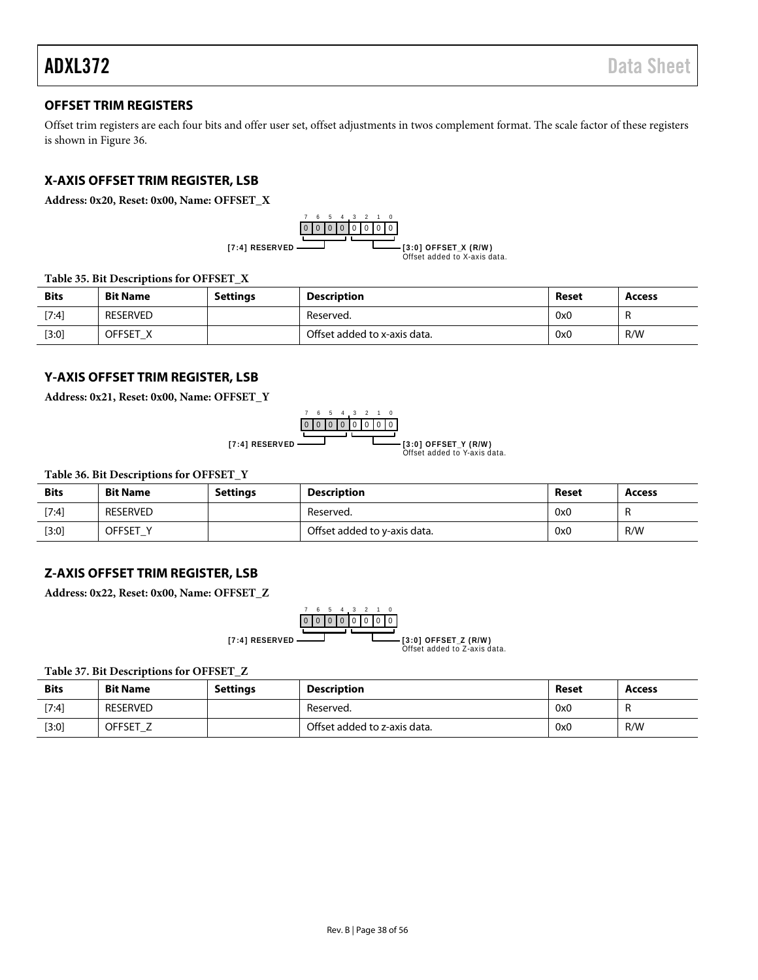# <span id="page-37-0"></span>**OFFSET TRIM REGISTERS**

Offset trim registers are each four bits and offer user set, offset adjustments in twos complement format. The scale factor of these registers is shown in [Figure 36.](#page-24-2) 

# <span id="page-37-1"></span>**X-AXIS OFFSET TRIM REGISTER, LSB**

**Address: 0x20, Reset: 0x00, Name: OFFSET\_X**



**Table 35. Bit Descriptions for OFFSET\_X**

| <b>Bits</b> | <b>Bit Name</b> | <b>Settings</b> | Description                  | Reset | <b>Access</b> |
|-------------|-----------------|-----------------|------------------------------|-------|---------------|
| [7:4]       | <b>RESERVED</b> |                 | Reserved.                    | 0x0   |               |
| [3:0]       | OFFSET X        |                 | Offset added to x-axis data. | 0x0   | R/W           |

# <span id="page-37-2"></span>**Y-AXIS OFFSET TRIM REGISTER, LSB**

**Address: 0x21, Reset: 0x00, Name: OFFSET\_Y**

$$
[7:4] \text{ RESERVED} \xrightarrow{\begin{array}{c} 7 & 6 & 5 & 4 & 3 & 2 & 1 & 0 \\ \hline 0 & 0 & 0 & 0 & 0 & 0 & 0 \\ \hline \end{array}} \xrightarrow{\begin{array}{c} 7 & 6 & 5 & 4 & 3 & 2 & 1 & 0 \\ \hline 0 & 0 & 0 & 0 & 0 & 0 \\ \hline \end{array}} \xrightarrow{\begin{array}{c} 8 & 5 & 4 & 3 & 2 & 1 & 0 \\ \hline \end{array}} \xrightarrow{\begin{array}{c} 8 & 3 & 2 & 1 & 0 \\ \hline \end{array}} \xrightarrow{\begin{array}{c} 13:0 \text{J OFFSET}_Y \text{ (R/W)} \end{array}}
$$

**Table 36. Bit Descriptions for OFFSET\_Y**

| <b>Bits</b> | <b>Bit Name</b> | <b>Settings</b> | <b>Description</b>           | Reset | Access |
|-------------|-----------------|-----------------|------------------------------|-------|--------|
| [7:4]       | RESERVED        |                 | Reserved.                    | 0x0   |        |
| [3:0]       | OFFSET Y        |                 | Offset added to y-axis data. | 0x0   | R/W    |

# <span id="page-37-3"></span>**Z-AXIS OFFSET TRIM REGISTER, LSB**

**Address: 0x22, Reset: 0x00, Name: OFFSET\_Z**



**Table 37. Bit Descriptions for OFFSET\_Z**

| <b>Bits</b> | <b>Bit Name</b> | <b>Settings</b> | <b>Description</b>           | Reset | Access |
|-------------|-----------------|-----------------|------------------------------|-------|--------|
| [7:4]       | <b>RESERVED</b> |                 | Reserved.                    | 0x0   |        |
| $[3:0]$     | OFFSET_Z        |                 | Offset added to z-axis data. | 0x0   | R/W    |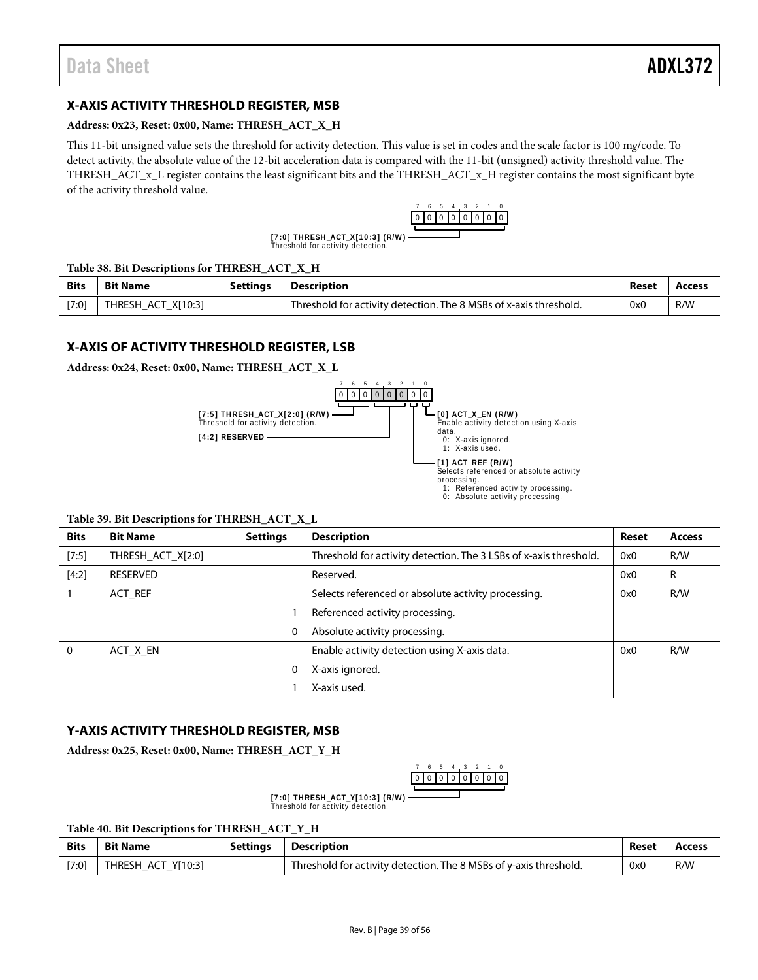# <span id="page-38-0"></span>**X-AXIS ACTIVITY THRESHOLD REGISTER, MSB**

#### **Address: 0x23, Reset: 0x00, Name: THRESH\_ACT\_X\_H**

This 11-bit unsigned value sets the threshold for activity detection. This value is set in codes and the scale factor is 100 m*g*/code. To detect activity, the absolute value of the 12-bit acceleration data is compared with the 11-bit (unsigned) activity threshold value. The THRESH\_ACT\_x\_L register contains the least significant bits and the THRESH\_ACT\_x\_H register contains the most significant byte of the activity threshold value.



**[7:0] THRESH\_ACT\_X[10:3] (R/W)**<br>Threshold for activity detection.

#### **Table 38. Bit Descriptions for THRESH\_ACT\_X\_H**

| <b>Bits</b> | <b>Bit Name</b>    | <b>Settings</b> | Description                                                       | Reset | Access |
|-------------|--------------------|-----------------|-------------------------------------------------------------------|-------|--------|
| $[7:0]$     | THRESH ACT X[10:3] |                 | Threshold for activity detection. The 8 MSBs of x-axis threshold. | 0x0   | R/W    |

# <span id="page-38-1"></span>**X-AXIS OF ACTIVITY THRESHOLD REGISTER, LSB**

**Address: 0x24, Reset: 0x00, Name: THRESH\_ACT\_X\_L**



### **Table 39. Bit Descriptions for THRESH\_ACT\_X\_L**

| <b>Bits</b> | <b>Bit Name</b>   | <b>Settings</b> | <b>Description</b>                                                | <b>Reset</b> | <b>Access</b> |
|-------------|-------------------|-----------------|-------------------------------------------------------------------|--------------|---------------|
| [7:5]       | THRESH ACT X[2:0] |                 | Threshold for activity detection. The 3 LSBs of x-axis threshold. | 0x0          | R/W           |
| [4:2]       | RESERVED          |                 | Reserved.                                                         | 0x0          | R             |
|             | ACT REF           |                 | Selects referenced or absolute activity processing.               | 0x0          | R/W           |
|             |                   |                 | Referenced activity processing.                                   |              |               |
|             |                   | 0               | Absolute activity processing.                                     |              |               |
| $\Omega$    | ACT X EN          |                 | Enable activity detection using X-axis data.                      | 0x0          | R/W           |
|             |                   | 0               | X-axis ignored.                                                   |              |               |
|             |                   |                 | X-axis used.                                                      |              |               |

# <span id="page-38-2"></span>**Y-AXIS ACTIVITY THRESHOLD REGISTER, MSB**

**Address: 0x25, Reset: 0x00, Name: THRESH\_ACT\_Y\_H**



**[7:0] THRESH\_ACT\_Y[10:3] (R/W)**<br>Threshold for activity detection.

| <b>Bits</b> | <b>Bit Name</b>    | Settings | <b>Description</b>                                                | Reset | Access |
|-------------|--------------------|----------|-------------------------------------------------------------------|-------|--------|
| $[7:0]$     | THRESH ACT Y[10:3] |          | Threshold for activity detection. The 8 MSBs of y-axis threshold. | 0x0   | R/W    |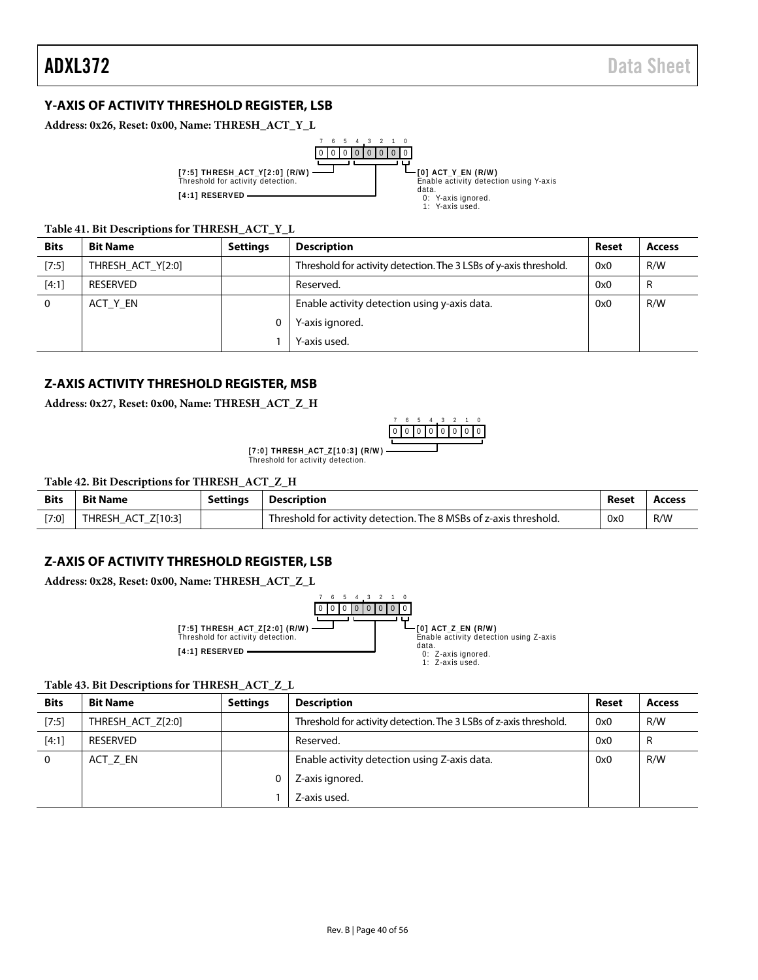# <span id="page-39-0"></span>**Y-AXIS OF ACTIVITY THRESHOLD REGISTER, LSB**

**Address: 0x26, Reset: 0x00, Name: THRESH\_ACT\_Y\_L**



#### **Table 41. Bit Descriptions for THRESH\_ACT\_Y\_L**

| <b>Bits</b> | <b>Bit Name</b>   | <b>Settings</b> | <b>Description</b>                                                | Reset | <b>Access</b> |
|-------------|-------------------|-----------------|-------------------------------------------------------------------|-------|---------------|
| [7:5]       | THRESH ACT Y[2:0] |                 | Threshold for activity detection. The 3 LSBs of y-axis threshold. | 0x0   | R/W           |
| [4:1]       | RESERVED          |                 | Reserved.                                                         | 0x0   | R             |
|             | ACT_Y_EN          |                 | Enable activity detection using y-axis data.                      | 0x0   | R/W           |
|             |                   |                 | Y-axis ignored.                                                   |       |               |
|             |                   |                 | Y-axis used.                                                      |       |               |

# <span id="page-39-1"></span>**Z-AXIS ACTIVITY THRESHOLD REGISTER, MSB**

**Address: 0x27, Reset: 0x00, Name: THRESH\_ACT\_Z\_H**



[7:0] THRESH\_ACT\_Z[10:3] (R/W)<br>Threshold for activity detection.

| Table 42. Bit Descriptions for THRESH_ACT_Z_H |  |
|-----------------------------------------------|--|
|-----------------------------------------------|--|

| <b>Bits</b> | <b>Bit Name</b>    | <b>Settings</b> | Description                                                       | Reset | <b>Access</b> |
|-------------|--------------------|-----------------|-------------------------------------------------------------------|-------|---------------|
| $[7:0]$     | THRESH ACT Z[10:3] |                 | Threshold for activity detection. The 8 MSBs of z-axis threshold. | 0x0   | R/W           |

### <span id="page-39-2"></span>**Z-AXIS OF ACTIVITY THRESHOLD REGISTER, LSB**

**Address: 0x28, Reset: 0x00, Name: THRESH\_ACT\_Z\_L**



#### **Table 43. Bit Descriptions for THRESH\_ACT\_Z\_L**

| <b>Bits</b> | <b>Bit Name</b>   | <b>Settings</b> | <b>Description</b>                                                | <b>Reset</b> | <b>Access</b> |
|-------------|-------------------|-----------------|-------------------------------------------------------------------|--------------|---------------|
| [7:5]       | THRESH ACT Z[2:0] |                 | Threshold for activity detection. The 3 LSBs of z-axis threshold. | 0x0          | R/W           |
| [4:1]       | <b>RESERVED</b>   |                 | Reserved.                                                         | 0x0          | R             |
|             | ACT Z EN          |                 | Enable activity detection using Z-axis data.                      | 0x0          | R/W           |
|             |                   |                 | Z-axis ignored.                                                   |              |               |
|             |                   |                 | Z-axis used.                                                      |              |               |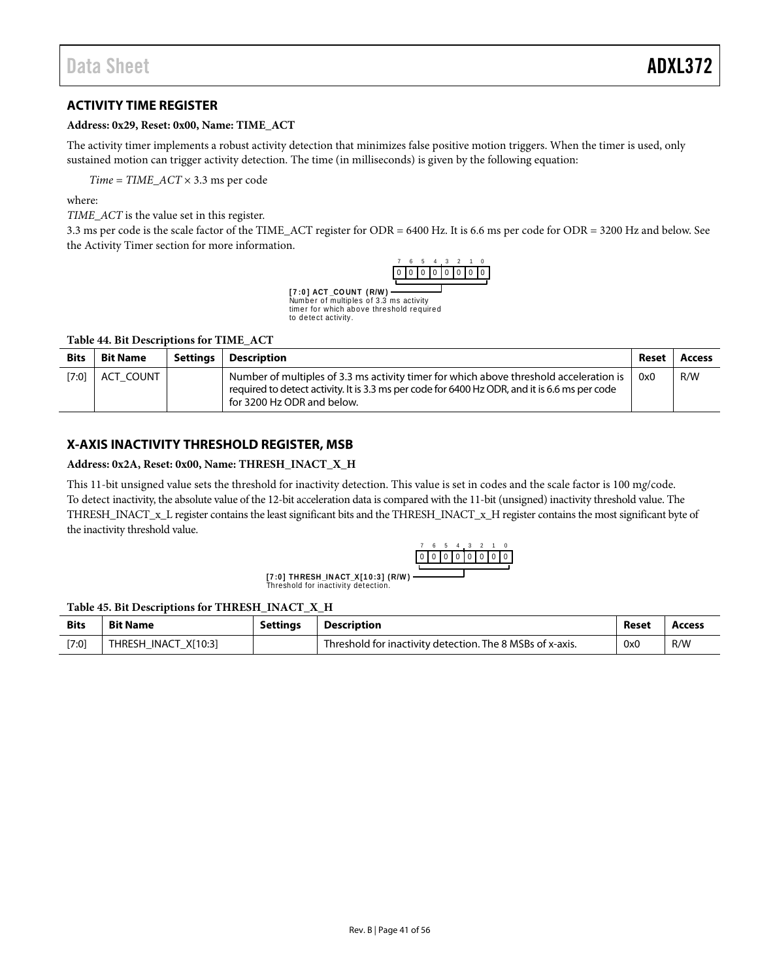# <span id="page-40-0"></span>**ACTIVITY TIME REGISTER**

#### **Address: 0x29, Reset: 0x00, Name: TIME\_ACT**

The activity timer implements a robust activity detection that minimizes false positive motion triggers. When the timer is used, only sustained motion can trigger activity detection. The time (in milliseconds) is given by the following equation:

*Time* = *TIME\_ACT* × 3.3 ms per code

where:

*TIME\_ACT* is the value set in this register.

3.3 ms per code is the scale factor of the TIME\_ACT register for ODR = 6400 Hz. It is 6.6 ms per code for ODR = 3200 Hz and below. See the [Activity Timer](#page-15-2) section for more information.



Numb e r o f multip le s o f 3 .3 ms activity **[ 7 :0 ] ACT \_CO UN T ( R/W )** timer for which above threshold required to detect activity.

#### **Table 44. Bit Descriptions for TIME\_ACT**

| <b>Bits</b> | <b>Bit Name</b> | Settinas | Description                                                                                                                                                                                                           | Reset | <b>Access</b> |
|-------------|-----------------|----------|-----------------------------------------------------------------------------------------------------------------------------------------------------------------------------------------------------------------------|-------|---------------|
| [7:0]       | ACT COUNT       |          | Number of multiples of 3.3 ms activity timer for which above threshold acceleration is<br>required to detect activity. It is 3.3 ms per code for 6400 Hz ODR, and it is 6.6 ms per code<br>for 3200 Hz ODR and below. | 0x0   | R/W           |

# <span id="page-40-1"></span>**X-AXIS INACTIVITY THRESHOLD REGISTER, MSB**

#### **Address: 0x2A, Reset: 0x00, Name: THRESH\_INACT\_X\_H**

This 11-bit unsigned value sets the threshold for inactivity detection. This value is set in codes and the scale factor is 100 m*g*/code. To detect inactivity, the absolute value of the 12-bit acceleration data is compared with the 11-bit (unsigned) inactivity threshold value. The THRESH\_INACT\_x\_L register contains the least significant bits and the THRESH\_INACT\_x\_H register contains the most significant byte of the inactivity threshold value.

|  |  |  | n. |  |
|--|--|--|----|--|
|  |  |  |    |  |

Threshold for inactivity detection.  $[7:0]$  THRESH INACT X $[10:3]$  (R/W) –

#### **Table 45. Bit Descriptions for THRESH\_INACT\_X\_H**

| <b>Bits</b> | <b>Bit Name</b>      | <b>Settings</b> | <b>Description</b>                                        | Reset | Access |
|-------------|----------------------|-----------------|-----------------------------------------------------------|-------|--------|
| [7:0]       | THRESH INACT X[10:3] |                 | Threshold for inactivity detection. The 8 MSBs of x-axis. | 0x0   | R/W    |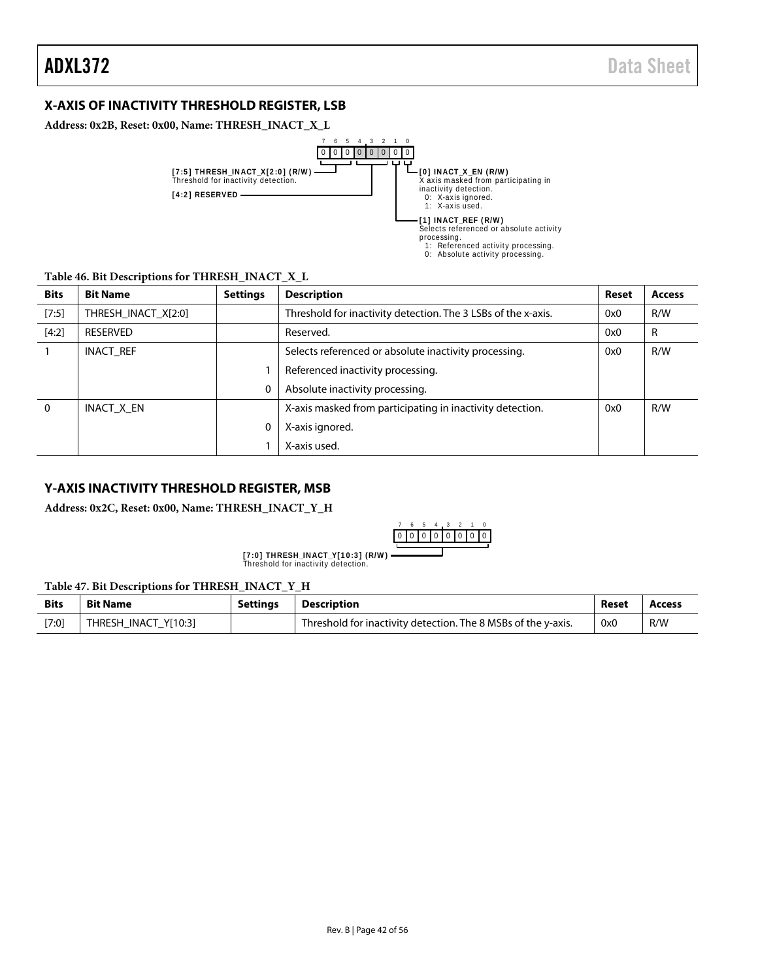# <span id="page-41-0"></span>**X-AXIS OF INACTIVITY THRESHOLD REGISTER, LSB**

**Address: 0x2B, Reset: 0x00, Name: THRESH\_INACT\_X\_L**



### **Table 46. Bit Descriptions for THRESH\_INACT\_X\_L**

| <b>Bits</b> | <b>Bit Name</b>     | <b>Settings</b> | <b>Description</b>                                            | Reset | <b>Access</b> |
|-------------|---------------------|-----------------|---------------------------------------------------------------|-------|---------------|
| [7:5]       | THRESH_INACT_X[2:0] |                 | Threshold for inactivity detection. The 3 LSBs of the x-axis. | 0x0   | R/W           |
| [4:2]       | RESERVED            |                 | Reserved.                                                     | 0x0   | R             |
|             | INACT_REF           |                 | Selects referenced or absolute inactivity processing.         | 0x0   | R/W           |
|             |                     |                 | Referenced inactivity processing.                             |       |               |
|             |                     | 0               | Absolute inactivity processing.                               |       |               |
| $\Omega$    | INACT X EN          |                 | X-axis masked from participating in inactivity detection.     | 0x0   | R/W           |
|             |                     | 0               | X-axis ignored.                                               |       |               |
|             |                     |                 | X-axis used.                                                  |       |               |

### <span id="page-41-1"></span>**Y-AXIS INACTIVITY THRESHOLD REGISTER, MSB**

**Address: 0x2C, Reset: 0x00, Name: THRESH\_INACT\_Y\_H**



[7:0] THRESH\_INACT\_Y[10:3] (R/W)<br>Threshold for inactivity detection.

#### **Table 47. Bit Descriptions for THRESH\_INACT\_Y\_H**

| <b>Bits</b> | <b>Bit Name</b>      | <b>Settings</b> | Description                                                   | Reset | Access |
|-------------|----------------------|-----------------|---------------------------------------------------------------|-------|--------|
| [7:0]       | THRESH INACT Y[10:3] |                 | Threshold for inactivity detection. The 8 MSBs of the y-axis. | 0x0   | R/W    |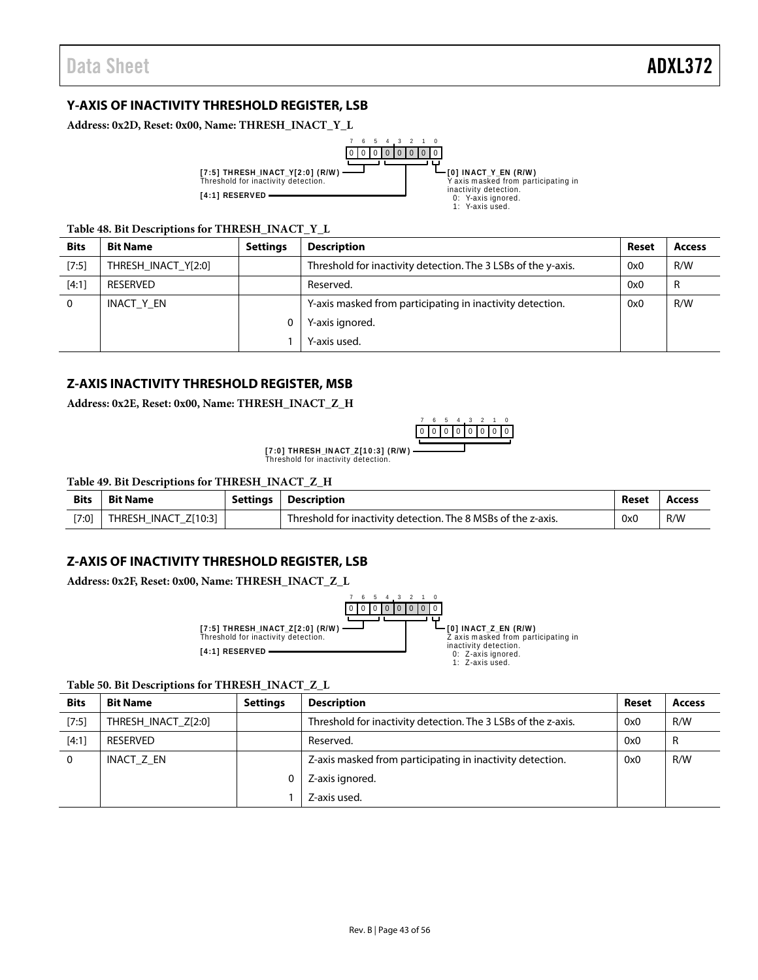# <span id="page-42-0"></span>**Y-AXIS OF INACTIVITY THRESHOLD REGISTER, LSB**

**Address: 0x2D, Reset: 0x00, Name: THRESH\_INACT\_Y\_L**



#### **Table 48. Bit Descriptions for THRESH\_INACT\_Y\_L**

| <b>Bits</b> | <b>Bit Name</b>     | <b>Settings</b> | <b>Description</b>                                            | Reset | <b>Access</b> |
|-------------|---------------------|-----------------|---------------------------------------------------------------|-------|---------------|
| [7:5]       | THRESH_INACT_Y[2:0] |                 | Threshold for inactivity detection. The 3 LSBs of the y-axis. | 0x0   | R/W           |
| $[4:1]$     | RESERVED            |                 | Reserved.                                                     | 0x0   | R             |
| 0           | INACT Y EN          |                 | Y-axis masked from participating in inactivity detection.     | 0x0   | R/W           |
|             |                     | 0               | Y-axis ignored.                                               |       |               |
|             |                     |                 | Y-axis used.                                                  |       |               |

# <span id="page-42-1"></span>**Z-AXIS INACTIVITY THRESHOLD REGISTER, MSB**

**Address: 0x2E, Reset: 0x00, Name: THRESH\_INACT\_Z\_H**



[7:0] THRESH\_INACT\_Z[10:3] (R/W)<br>Threshold for inactivity detection.

#### **Table 49. Bit Descriptions for THRESH\_INACT\_Z\_H**

| <b>Bits</b> | <b>Bit Name</b>      | Settings | <b>Description</b>                                            | Reset | Access |
|-------------|----------------------|----------|---------------------------------------------------------------|-------|--------|
| [7:0]       | THRESH INACT Z[10:3] |          | Threshold for inactivity detection. The 8 MSBs of the z-axis. | 0x0   | R/W    |

# <span id="page-42-2"></span>**Z-AXIS OF INACTIVITY THRESHOLD REGISTER, LSB**

**Address: 0x2F, Reset: 0x00, Name: THRESH\_INACT\_Z\_L**



#### **Table 50. Bit Descriptions for THRESH\_INACT\_Z\_L**

| <b>Bits</b> | <b>Bit Name</b>     | <b>Settings</b> | <b>Description</b>                                            | <b>Reset</b> | <b>Access</b> |
|-------------|---------------------|-----------------|---------------------------------------------------------------|--------------|---------------|
| [7:5]       | THRESH INACT Z[2:0] |                 | Threshold for inactivity detection. The 3 LSBs of the z-axis. | 0x0          | R/W           |
| [4:1]       | RESERVED            |                 | Reserved.                                                     | 0x0          | R             |
|             | INACT Z EN          |                 | Z-axis masked from participating in inactivity detection.     | 0x0          | R/W           |
|             |                     |                 | Z-axis ignored.                                               |              |               |
|             |                     |                 | Z-axis used.                                                  |              |               |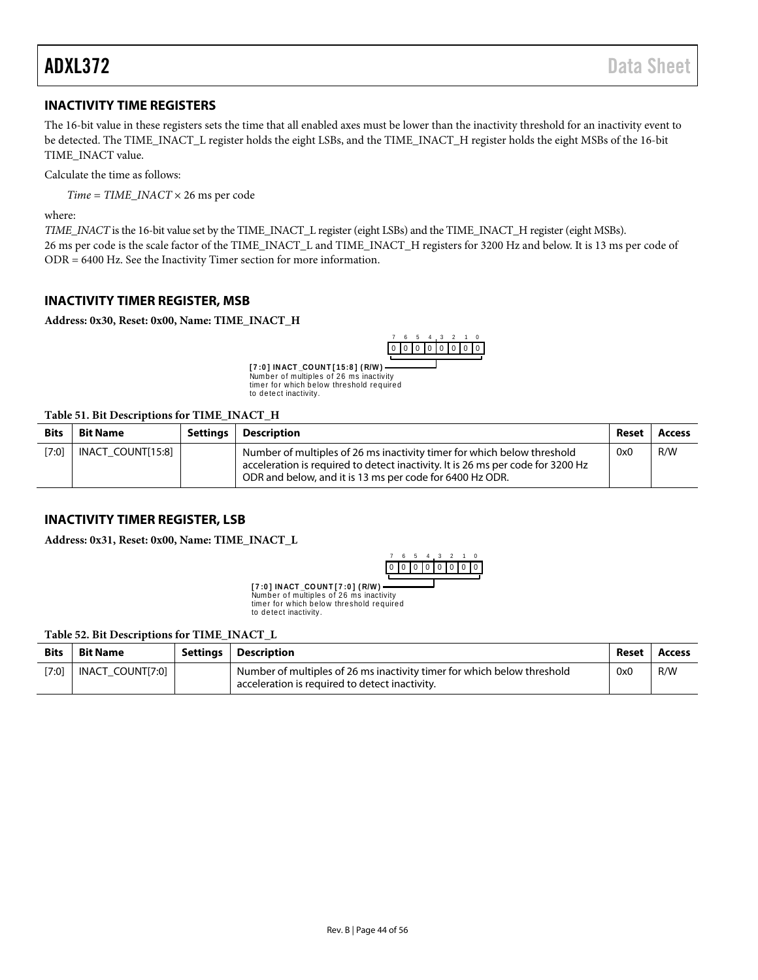# <span id="page-43-0"></span>**INACTIVITY TIME REGISTERS**

The 16-bit value in these registers sets the time that all enabled axes must be lower than the inactivity threshold for an inactivity event to be detected. The TIME\_INACT\_L register holds the eight LSBs, and the TIME\_INACT\_H register holds the eight MSBs of the 16-bit TIME\_INACT value.

Calculate the time as follows:

*Time = TIME\_INACT* × 26 ms per code

where:

*TIME\_INACT* is the 16-bit value set by the TIME\_INACT\_L register (eight LSBs) and the TIME\_INACT\_H register (eight MSBs). 26 ms per code is the scale factor of the TIME\_INACT\_L and TIME\_INACT\_H registers for 3200 Hz and below. It is 13 ms per code of ODR = 6400 Hz. See th[e Inactivity Timer](#page-16-1) section for more information.

# <span id="page-43-1"></span>**INACTIVITY TIMER REGISTER, MSB**

**Address: 0x30, Reset: 0x00, Name: TIME\_INACT\_H**



**[7:0] INACT\_COUNT[15:8] (R/W) —**<br>Number of multiples of 26 ms inactivity timer for which below threshold required to detect inactivity.

#### **Table 51. Bit Descriptions for TIME\_INACT\_H**

| <b>Bits</b> | <b>Bit Name</b>   | Settings | <b>Description</b>                                                                                                                                                                                                     | Reset | Access |
|-------------|-------------------|----------|------------------------------------------------------------------------------------------------------------------------------------------------------------------------------------------------------------------------|-------|--------|
| [7:0]       | INACT COUNT[15:8] |          | Number of multiples of 26 ms inactivity timer for which below threshold<br>acceleration is required to detect inactivity. It is 26 ms per code for 3200 Hz<br>ODR and below, and it is 13 ms per code for 6400 Hz ODR. | 0x0   | R/W    |

# <span id="page-43-2"></span>**INACTIVITY TIMER REGISTER, LSB**

**Address: 0x31, Reset: 0x00, Name: TIME\_INACT\_L**



Number of multiples of 26 ms inactivity timer for which below threshold required to detect inactivity. **[ 7 :0 ] IN ACT \_CO UN T [ 7 :0 ] ( R/W )**

#### **Table 52. Bit Descriptions for TIME\_INACT\_L**

| <b>Bits</b> | <b>Bit Name</b>  | Settings | Description                                                                                                               | Reset | Access |
|-------------|------------------|----------|---------------------------------------------------------------------------------------------------------------------------|-------|--------|
| [7:0]       | INACT COUNT[7:0] |          | Number of multiples of 26 ms inactivity timer for which below threshold<br>acceleration is required to detect inactivity. | 0x0   | R/W    |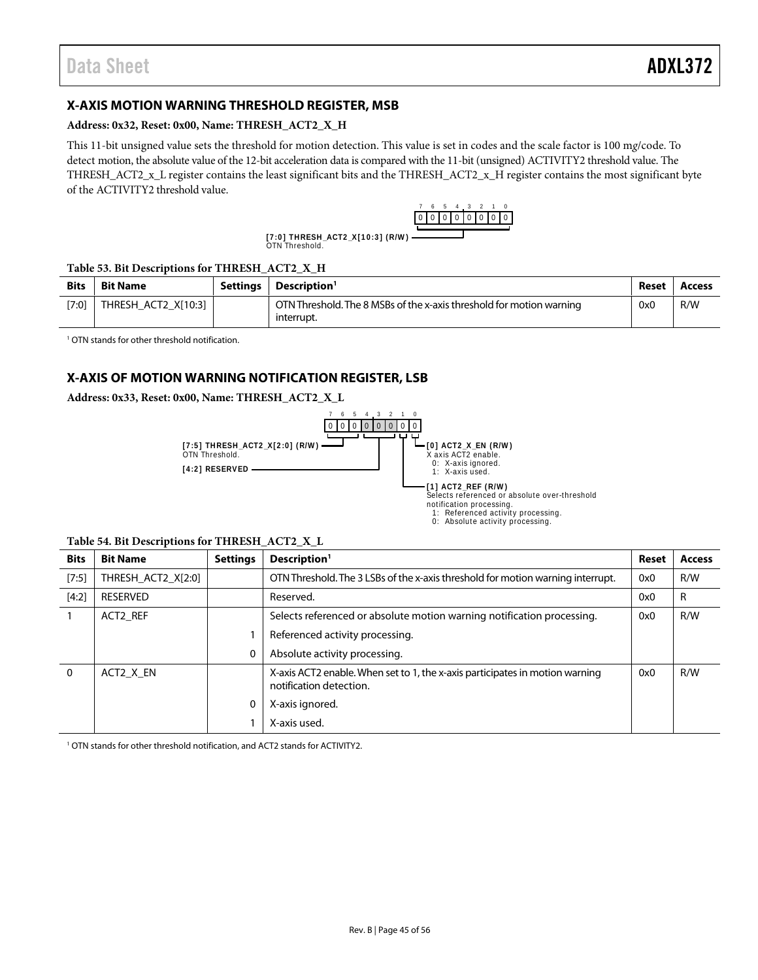# <span id="page-44-0"></span>**X-AXIS MOTION WARNING THRESHOLD REGISTER, MSB**

#### **Address: 0x32, Reset: 0x00, Name: THRESH\_ACT2\_X\_H**

This 11-bit unsigned value sets the threshold for motion detection. This value is set in codes and the scale factor is 100 m*g*/code. To detect motion, the absolute value of the 12-bit acceleration data is compared with the 11-bit (unsigned) ACTIVITY2 threshold value. The THRESH\_ACT2\_x\_L register contains the least significant bits and the THRESH\_ACT2\_x\_H register contains the most significant byte of the ACTIVITY2 threshold value.



[7:0] THRESH\_ACT2\_X[10:3] (R/W)<br>OTN Threshold.

#### **Table 53. Bit Descriptions for THRESH\_ACT2\_X\_H**

| <b>Bits</b> | <b>Bit Name</b>     | <b>Settings</b> | Description <sup>1</sup>                                                           | Reset | <b>Access</b> |
|-------------|---------------------|-----------------|------------------------------------------------------------------------------------|-------|---------------|
| $[7:0]$     | THRESH ACT2 X[10:3] |                 | OTN Threshold. The 8 MSBs of the x-axis threshold for motion warning<br>interrupt. | 0x0   | R/W           |

<sup>1</sup> OTN stands for other threshold notification.

# <span id="page-44-1"></span>**X-AXIS OF MOTION WARNING NOTIFICATION REGISTER, LSB**

**Address: 0x33, Reset: 0x00, Name: THRESH\_ACT2\_X\_L**



#### **Table 54. Bit Descriptions for THRESH\_ACT2\_X\_L**

| <b>Bits</b> | <b>Bit Name</b>    | <b>Settings</b> | Description <sup>1</sup>                                                                                | Reset | <b>Access</b> |
|-------------|--------------------|-----------------|---------------------------------------------------------------------------------------------------------|-------|---------------|
| $[7:5]$     | THRESH ACT2 X[2:0] |                 | OTN Threshold. The 3 LSBs of the x-axis threshold for motion warning interrupt.                         | 0x0   | R/W           |
| [4:2]       | <b>RESERVED</b>    |                 | Reserved.                                                                                               | 0x0   | R             |
|             | ACT2 REF           |                 | Selects referenced or absolute motion warning notification processing.                                  | 0x0   | R/W           |
|             |                    |                 | Referenced activity processing.                                                                         |       |               |
|             |                    | 0               | Absolute activity processing.                                                                           |       |               |
| 0           | ACT2 X EN          |                 | X-axis ACT2 enable. When set to 1, the x-axis participates in motion warning<br>notification detection. | 0x0   | R/W           |
|             |                    |                 | X-axis ignored.                                                                                         |       |               |
|             |                    |                 | X-axis used.                                                                                            |       |               |

<sup>1</sup> OTN stands for other threshold notification, and ACT2 stands for ACTIVITY2.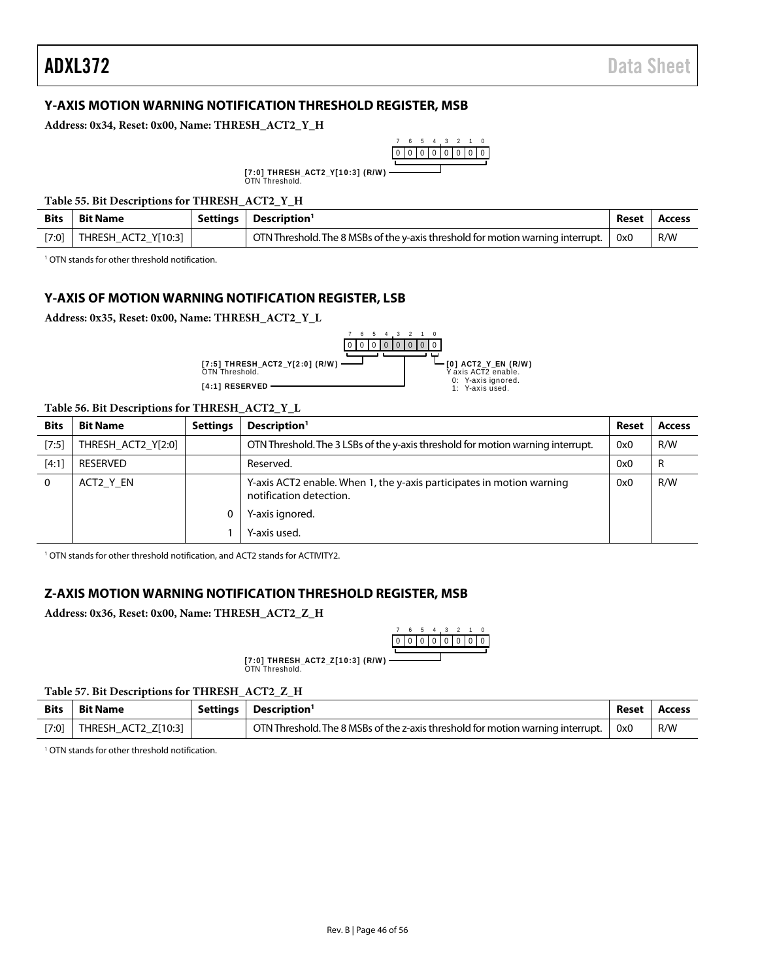# <span id="page-45-0"></span>**Y-AXIS MOTION WARNING NOTIFICATION THRESHOLD REGISTER, MSB**

**Address: 0x34, Reset: 0x00, Name: THRESH\_ACT2\_Y\_H**



[7:0] THRESH\_ACT2\_Y[10:3] (R/W)<br>OTN Threshold.

#### **Table 55. Bit Descriptions for THRESH\_ACT2\_Y\_H**

| <b>Bits</b> | <b>Bit Name</b>     | Settings | Description <sup>1</sup>                                                        | Reset | Access |
|-------------|---------------------|----------|---------------------------------------------------------------------------------|-------|--------|
| [7:0]       | THRESH_ACT2_Y[10:3] |          | OTN Threshold. The 8 MSBs of the y-axis threshold for motion warning interrupt. | 0x0   | R/W    |

3 4 5 6 7

<sup>1</sup> OTN stands for other threshold notification.

### <span id="page-45-1"></span>**Y-AXIS OF MOTION WARNING NOTIFICATION REGISTER, LSB**

**Address: 0x35, Reset: 0x00, Name: THRESH\_ACT2\_Y\_L**

**[4:1] RESERVED**



#### **Table 56. Bit Descriptions for THRESH\_ACT2\_Y\_L**

| <b>Bits</b> | <b>Bit Name</b>    | <b>Settings</b> | Description <sup>1</sup>                                                                         | Reset | <b>Access</b> |
|-------------|--------------------|-----------------|--------------------------------------------------------------------------------------------------|-------|---------------|
| $[7:5]$     | THRESH ACT2 Y[2:0] |                 | OTN Threshold. The 3 LSBs of the y-axis threshold for motion warning interrupt.                  | 0x0   | R/W           |
| [4:1]       | <b>RESERVED</b>    |                 | Reserved.<br>0x0                                                                                 |       | R             |
| 0           | ACT2 Y EN          |                 | Y-axis ACT2 enable. When 1, the y-axis participates in motion warning<br>notification detection. | 0x0   | R/W           |
|             |                    |                 | Y-axis ignored.                                                                                  |       |               |
|             |                    |                 | Y-axis used.                                                                                     |       |               |

<sup>1</sup> OTN stands for other threshold notification, and ACT2 stands for ACTIVITY2.

### <span id="page-45-2"></span>**Z-AXIS MOTION WARNING NOTIFICATION THRESHOLD REGISTER, MSB**

**Address: 0x36, Reset: 0x00, Name: THRESH\_ACT2\_Z\_H**



[7:0] THRESH\_ACT2\_Z[10:3] (R/W)<br>OTN Threshold.

#### **Table 57. Bit Descriptions for THRESH\_ACT2\_Z\_H**

| <b>Bits</b> | Bit Name            | Settinas | Description <sup>1</sup>                                                        |     | Access |
|-------------|---------------------|----------|---------------------------------------------------------------------------------|-----|--------|
| $[7:0]$     | THRESH ACT2 Z[10:3] |          | OTN Threshold. The 8 MSBs of the z-axis threshold for motion warning interrupt. | 0x0 | R/W    |
|             |                     |          |                                                                                 |     |        |

<sup>1</sup> OTN stands for other threshold notification.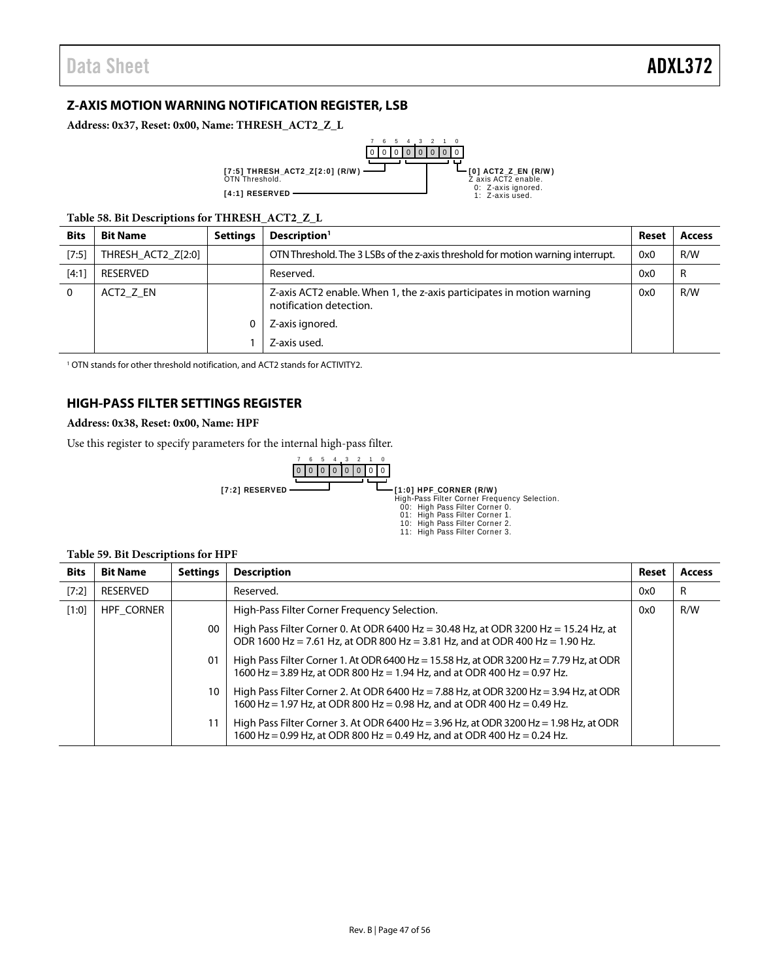# <span id="page-46-0"></span>**Z-AXIS MOTION WARNING NOTIFICATION REGISTER, LSB**

**Address: 0x37, Reset: 0x00, Name: THRESH\_ACT2\_Z\_L**



**Table 58. Bit Descriptions for THRESH\_ACT2\_Z\_L**

| <b>Bits</b> | <b>Bit Name</b>    | <b>Settings</b> | Description <sup>1</sup>                                                                         |     | <b>Access</b> |
|-------------|--------------------|-----------------|--------------------------------------------------------------------------------------------------|-----|---------------|
| $[7:5]$     | THRESH ACT2 Z[2:0] |                 | OTN Threshold. The 3 LSBs of the z-axis threshold for motion warning interrupt.                  |     | R/W           |
| [4:1]       | RESERVED           |                 | Reserved.                                                                                        | 0x0 | R             |
| 0           | ACT2 Z EN          |                 | Z-axis ACT2 enable. When 1, the z-axis participates in motion warning<br>notification detection. | 0x0 | R/W           |
|             |                    |                 | Z-axis ignored.                                                                                  |     |               |
|             |                    |                 | Z-axis used.                                                                                     |     |               |

<sup>1</sup> OTN stands for other threshold notification, and ACT2 stands for ACTIVITY2.

# <span id="page-46-1"></span>**HIGH-PASS FILTER SETTINGS REGISTER**

### **Address: 0x38, Reset: 0x00, Name: HPF**

Use this register to specify parameters for the internal high-pass filter.



#### **Table 59. Bit Descriptions for HPF**

| <b>Bits</b> | <b>Bit Name</b>   | <b>Settings</b> | <b>Description</b>                                                                                                                                                  | Reset | Access |
|-------------|-------------------|-----------------|---------------------------------------------------------------------------------------------------------------------------------------------------------------------|-------|--------|
| [7:2]       | <b>RESERVED</b>   |                 | Reserved.                                                                                                                                                           | 0x0   | R      |
| [1:0]       | <b>HPF CORNER</b> |                 | High-Pass Filter Corner Frequency Selection.                                                                                                                        | 0x0   | R/W    |
|             |                   | $00\,$          | High Pass Filter Corner 0. At ODR 6400 Hz = 30.48 Hz, at ODR 3200 Hz = 15.24 Hz, at<br>ODR 1600 Hz = 7.61 Hz, at ODR 800 Hz = 3.81 Hz, and at ODR 400 Hz = 1.90 Hz. |       |        |
|             |                   | 01              | High Pass Filter Corner 1. At ODR 6400 Hz = 15.58 Hz, at ODR 3200 Hz = 7.79 Hz, at ODR<br>1600 Hz = 3.89 Hz, at ODR 800 Hz = 1.94 Hz, and at ODR 400 Hz = 0.97 Hz.  |       |        |
|             |                   | 10              | High Pass Filter Corner 2. At ODR 6400 Hz = 7.88 Hz, at ODR 3200 Hz = 3.94 Hz, at ODR<br>1600 Hz = 1.97 Hz, at ODR 800 Hz = 0.98 Hz, and at ODR 400 Hz = 0.49 Hz.   |       |        |
|             |                   | 11              | High Pass Filter Corner 3. At ODR 6400 Hz = 3.96 Hz, at ODR 3200 Hz = 1.98 Hz, at ODR<br>1600 Hz = 0.99 Hz, at ODR 800 Hz = 0.49 Hz, and at ODR 400 Hz = 0.24 Hz.   |       |        |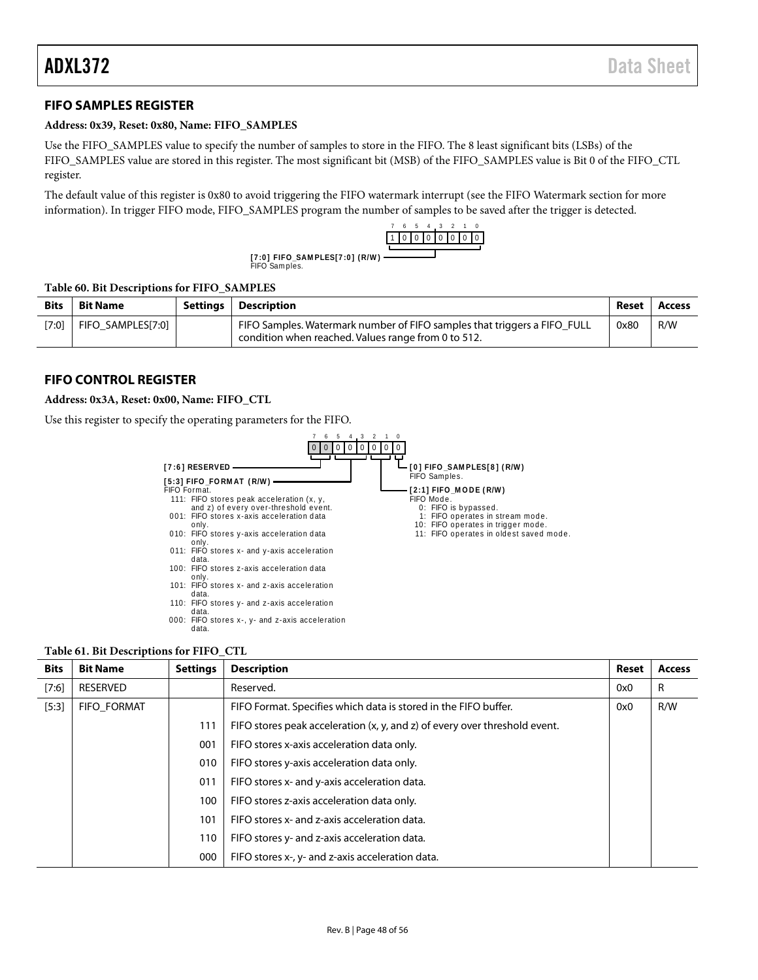# <span id="page-47-0"></span>**FIFO SAMPLES REGISTER**

#### **Address: 0x39, Reset: 0x80, Name: FIFO\_SAMPLES**

Use the FIFO\_SAMPLES value to specify the number of samples to store in the FIFO. The 8 least significant bits (LSBs) of the FIFO\_SAMPLES value are stored in this register. The most significant bit (MSB) of the FIFO\_SAMPLES value is Bit 0 of the FIFO\_CTL register.

The default value of this register is 0x80 to avoid triggering the FIFO watermark interrupt (see th[e FIFO Watermark](#page-21-3) section for more information). In trigger FIFO mode, FIFO\_SAMPLES program the number of samples to be saved after the trigger is detected.

FIFO Sam ples.



# **Table 60. Bit Descriptions for FIFO\_SAMPLES**

| <b>Bits</b> | <b>Bit Name</b>   | Settings | <b>Description</b>                                                                                                              | Reset | Access |
|-------------|-------------------|----------|---------------------------------------------------------------------------------------------------------------------------------|-------|--------|
| [7:0]       | FIFO SAMPLES[7:0] |          | FIFO Samples. Watermark number of FIFO samples that triggers a FIFO FULL<br>condition when reached. Values range from 0 to 512. | 0x80  | R/W    |

### <span id="page-47-1"></span>**FIFO CONTROL REGISTER**

#### **Address: 0x3A, Reset: 0x00, Name: FIFO\_CTL**

Use this register to specify the operating parameters for the FIFO.



#### **Table 61. Bit Descriptions for FIFO\_CTL**

| <b>Bits</b> | <b>Bit Name</b>    | <b>Settings</b> | <b>Description</b>                                                         | Reset | <b>Access</b> |
|-------------|--------------------|-----------------|----------------------------------------------------------------------------|-------|---------------|
| [7:6]       | RESERVED           |                 | Reserved.                                                                  | 0x0   | R             |
| $[5:3]$     | <b>FIFO FORMAT</b> |                 | FIFO Format. Specifies which data is stored in the FIFO buffer.            | 0x0   | R/W           |
|             |                    | 111             | FIFO stores peak acceleration (x, y, and z) of every over threshold event. |       |               |
|             |                    | 001             | FIFO stores x-axis acceleration data only.                                 |       |               |
|             |                    | 010             | FIFO stores y-axis acceleration data only.                                 |       |               |
|             |                    | 011             | FIFO stores x- and y-axis acceleration data.                               |       |               |
|             |                    | 100             | FIFO stores z-axis acceleration data only.                                 |       |               |
|             |                    | 101             | FIFO stores x- and z-axis acceleration data.                               |       |               |
|             |                    | 110             | FIFO stores y- and z-axis acceleration data.                               |       |               |
|             |                    | 000             | FIFO stores x-, y- and z-axis acceleration data.                           |       |               |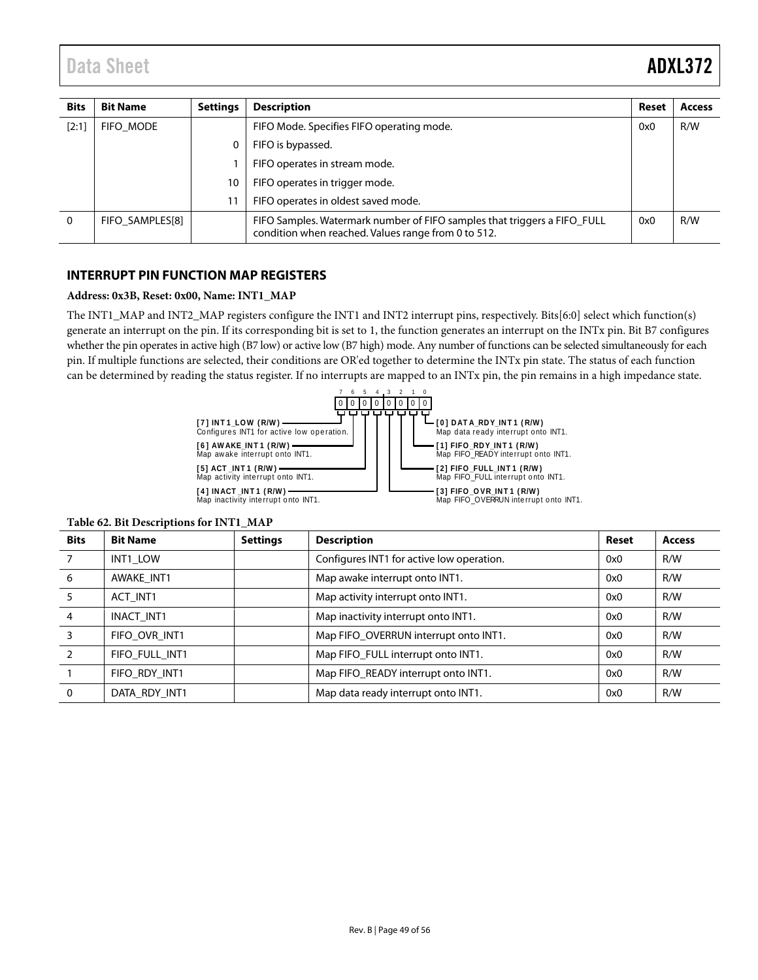| <b>Bits</b> | <b>Bit Name</b> | <b>Settings</b> | <b>Description</b>                                                                                                              | Reset | <b>Access</b> |
|-------------|-----------------|-----------------|---------------------------------------------------------------------------------------------------------------------------------|-------|---------------|
| [2:1]       | FIFO MODE       |                 | FIFO Mode. Specifies FIFO operating mode.                                                                                       | 0x0   | R/W           |
|             |                 |                 | FIFO is bypassed.                                                                                                               |       |               |
|             |                 |                 | FIFO operates in stream mode.                                                                                                   |       |               |
|             |                 | 10              | FIFO operates in trigger mode.                                                                                                  |       |               |
|             |                 |                 | FIFO operates in oldest saved mode.                                                                                             |       |               |
| $\Omega$    | FIFO SAMPLES[8] |                 | FIFO Samples. Watermark number of FIFO samples that triggers a FIFO FULL<br>condition when reached. Values range from 0 to 512. | 0x0   | R/W           |

## <span id="page-48-0"></span>**INTERRUPT PIN FUNCTION MAP REGISTERS**

#### **Address: 0x3B, Reset: 0x00, Name: INT1\_MAP**

The INT1\_MAP and INT2\_MAP registers configure the INT1 and INT2 interrupt pins, respectively. Bits[6:0] select which function(s) generate an interrupt on the pin. If its corresponding bit is set to 1, the function generates an interrupt on the INTx pin. Bit B7 configures whether the pin operates in active high (B7 low) or active low (B7 high) mode. Any number of functions can be selected simultaneously for each pin. If multiple functions are selected, their conditions are OR'ed together to determine the INTx pin state. The status of each function can be determined by reading the status register. If no interrupts are mapped to an INTx pin, the pin remains in a high impedance state.



| <b>Bits</b> | <b>Bit Name</b>   | <b>Settings</b> | <b>Description</b>                        | Reset | <b>Access</b> |
|-------------|-------------------|-----------------|-------------------------------------------|-------|---------------|
|             | INT1 LOW          |                 | Configures INT1 for active low operation. | 0x0   | R/W           |
| 6           | AWAKE INT1        |                 | Map awake interrupt onto INT1.            | 0x0   | R/W           |
| 5           | ACT INT1          |                 | Map activity interrupt onto INT1.         | 0x0   | R/W           |
| 4           | <b>INACT INT1</b> |                 | Map inactivity interrupt onto INT1.       | 0x0   | R/W           |
|             | FIFO OVR INT1     |                 | Map FIFO OVERRUN interrupt onto INT1.     | 0x0   | R/W           |
|             | FIFO FULL INT1    |                 | Map FIFO_FULL interrupt onto INT1.        | 0x0   | R/W           |
|             | FIFO RDY INT1     |                 | Map FIFO READY interrupt onto INT1.       | 0x0   | R/W           |
| $\Omega$    | DATA RDY INT1     |                 | Map data ready interrupt onto INT1.       | 0x0   | R/W           |

#### **Table 62. Bit Descriptions for INT1\_MAP**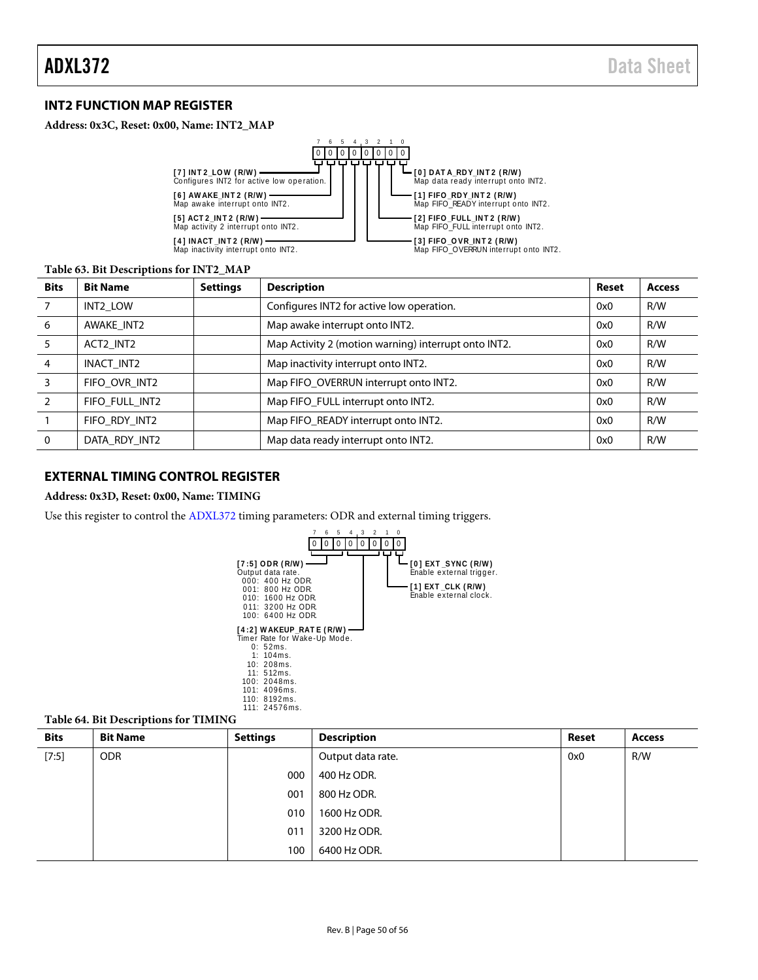# <span id="page-49-0"></span>**INT2 FUNCTION MAP REGISTER**

#### **Address: 0x3C, Reset: 0x00, Name: INT2\_MAP**



#### **Table 63. Bit Descriptions for INT2\_MAP**

| <b>Bits</b>    | <b>Bit Name</b> | <b>Settings</b> | <b>Description</b>                                   | Reset | <b>Access</b> |
|----------------|-----------------|-----------------|------------------------------------------------------|-------|---------------|
|                | INT2 LOW        |                 | Configures INT2 for active low operation.            | 0x0   | R/W           |
| 6              | AWAKE INT2      |                 | Map awake interrupt onto INT2.                       | 0x0   | R/W           |
| 5              | ACT2 INT2       |                 | Map Activity 2 (motion warning) interrupt onto INT2. | 0x0   | R/W           |
| $\overline{4}$ | INACT INT2      |                 | Map inactivity interrupt onto INT2.                  | 0x0   | R/W           |
|                | FIFO OVR INT2   |                 | Map FIFO OVERRUN interrupt onto INT2.                | 0x0   | R/W           |
|                | FIFO FULL INT2  |                 | Map FIFO_FULL interrupt onto INT2.                   | 0x0   | R/W           |
|                | FIFO RDY INT2   |                 | Map FIFO READY interrupt onto INT2.                  | 0x0   | R/W           |
| $\Omega$       | DATA RDY INT2   |                 | Map data ready interrupt onto INT2.                  | 0x0   | R/W           |

### <span id="page-49-1"></span>**EXTERNAL TIMING CONTROL REGISTER**

#### **Address: 0x3D, Reset: 0x00, Name: TIMING**

Use this register to control the [ADXL372](http://www.analog.com/ADXL372?doc=ADXL372.pdf) timing parameters: ODR and external timing triggers.



#### **Table 64. Bit Descriptions for TIMING**

| <b>Bits</b> | <b>Bit Name</b> | <b>Settings</b> | <b>Description</b> | Reset | <b>Access</b> |
|-------------|-----------------|-----------------|--------------------|-------|---------------|
| [7:5]       | <b>ODR</b>      |                 | Output data rate.  | 0x0   | R/W           |
|             |                 | 000             | 400 Hz ODR.        |       |               |
|             |                 | 001             | 800 Hz ODR.        |       |               |
|             |                 | 010             | 1600 Hz ODR.       |       |               |
|             |                 | 011             | 3200 Hz ODR.       |       |               |
|             |                 | 100             | 6400 Hz ODR.       |       |               |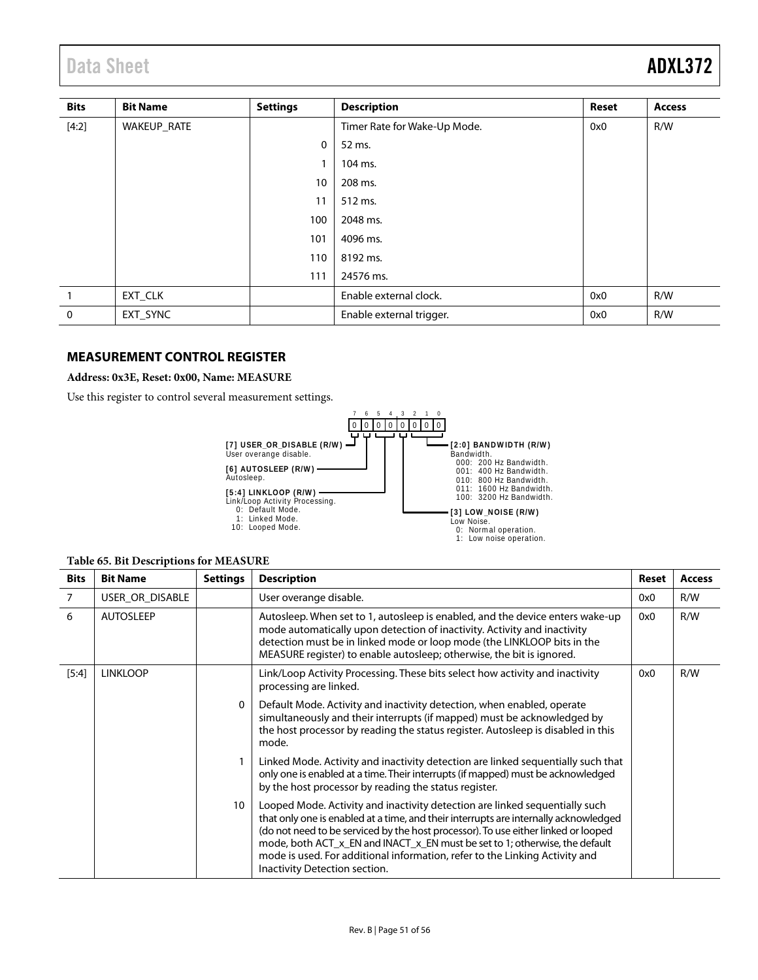# Data Sheet **ADXL372**

| <b>Bits</b>  | <b>Bit Name</b> | <b>Settings</b> | <b>Description</b>           | <b>Reset</b> | <b>Access</b> |
|--------------|-----------------|-----------------|------------------------------|--------------|---------------|
| [4:2]        | WAKEUP_RATE     |                 | Timer Rate for Wake-Up Mode. | 0x0          | R/W           |
|              |                 | 0               | 52 ms.                       |              |               |
|              |                 |                 | 104 ms.                      |              |               |
|              |                 | 10              | 208 ms.                      |              |               |
|              |                 | 11              | 512 ms.                      |              |               |
|              |                 | 100             | 2048 ms.                     |              |               |
|              |                 | 101             | 4096 ms.                     |              |               |
|              |                 | 110             | 8192 ms.                     |              |               |
|              |                 | 111             | 24576 ms.                    |              |               |
|              | EXT CLK         |                 | Enable external clock.       | 0x0          | R/W           |
| $\mathbf{0}$ | EXT_SYNC        |                 | Enable external trigger.     | 0x0          | R/W           |

## <span id="page-50-0"></span>**MEASUREMENT CONTROL REGISTER**

### **Address: 0x3E, Reset: 0x00, Name: MEASURE**

Use this register to control several measurement settings.



#### **Table 65. Bit Descriptions for MEASURE**

| <b>Bits</b>                                          | <b>Bit Name</b>  | <b>Settings</b>                                                              | <b>Description</b>                                                                                                                                                                                                                                                                                                                                                                                                                                       | Reset | <b>Access</b> |
|------------------------------------------------------|------------------|------------------------------------------------------------------------------|----------------------------------------------------------------------------------------------------------------------------------------------------------------------------------------------------------------------------------------------------------------------------------------------------------------------------------------------------------------------------------------------------------------------------------------------------------|-------|---------------|
| $\overline{7}$                                       | USER OR DISABLE  |                                                                              | User overange disable.                                                                                                                                                                                                                                                                                                                                                                                                                                   | 0x0   | R/W           |
| 6                                                    | <b>AUTOSLEEP</b> |                                                                              | Autosleep. When set to 1, autosleep is enabled, and the device enters wake-up<br>mode automatically upon detection of inactivity. Activity and inactivity<br>detection must be in linked mode or loop mode (the LINKLOOP bits in the<br>MEASURE register) to enable autosleep; otherwise, the bit is ignored.                                                                                                                                            | 0x0   | R/W           |
| $[5:4]$<br><b>LINKLOOP</b><br>processing are linked. |                  | Link/Loop Activity Processing. These bits select how activity and inactivity | 0x0                                                                                                                                                                                                                                                                                                                                                                                                                                                      | R/W   |               |
|                                                      |                  | 0                                                                            | Default Mode. Activity and inactivity detection, when enabled, operate<br>simultaneously and their interrupts (if mapped) must be acknowledged by<br>the host processor by reading the status register. Autosleep is disabled in this<br>mode.                                                                                                                                                                                                           |       |               |
|                                                      |                  | 1                                                                            | Linked Mode. Activity and inactivity detection are linked sequentially such that<br>only one is enabled at a time. Their interrupts (if mapped) must be acknowledged<br>by the host processor by reading the status register.                                                                                                                                                                                                                            |       |               |
|                                                      |                  | 10                                                                           | Looped Mode. Activity and inactivity detection are linked sequentially such<br>that only one is enabled at a time, and their interrupts are internally acknowledged<br>(do not need to be serviced by the host processor). To use either linked or looped<br>mode, both ACT_x_EN and INACT_x_EN must be set to 1; otherwise, the default<br>mode is used. For additional information, refer to the Linking Activity and<br>Inactivity Detection section. |       |               |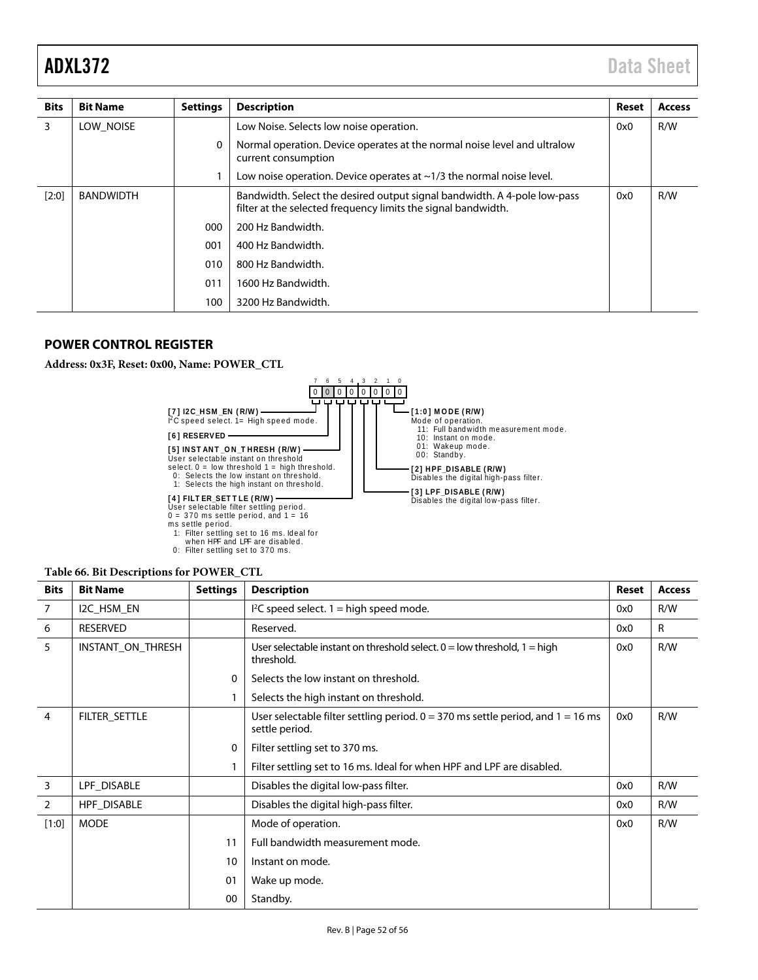| <b>Bits</b> | <b>Bit Name</b>  | <b>Settings</b> | <b>Description</b>                                                                                                                        | Reset | <b>Access</b> |
|-------------|------------------|-----------------|-------------------------------------------------------------------------------------------------------------------------------------------|-------|---------------|
| 3           | LOW NOISE        |                 | Low Noise. Selects low noise operation.                                                                                                   | 0x0   | R/W           |
|             |                  | 0               | Normal operation. Device operates at the normal noise level and ultralow<br>current consumption                                           |       |               |
|             |                  |                 | Low noise operation. Device operates at $\sim$ 1/3 the normal noise level.                                                                |       |               |
| $[2:0]$     | <b>BANDWIDTH</b> |                 | Bandwidth. Select the desired output signal bandwidth. A 4-pole low-pass<br>filter at the selected frequency limits the signal bandwidth. | 0x0   | R/W           |
|             |                  | 000             | 200 Hz Bandwidth.                                                                                                                         |       |               |
|             |                  | 001             | 400 Hz Bandwidth.                                                                                                                         |       |               |
|             |                  | 010             | 800 Hz Bandwidth.                                                                                                                         |       |               |
|             |                  | 011             | 1600 Hz Bandwidth.                                                                                                                        |       |               |
|             |                  | 100             | 3200 Hz Bandwidth.                                                                                                                        |       |               |

# <span id="page-51-0"></span>**POWER CONTROL REGISTER**

**Address: 0x3F, Reset: 0x00, Name: POWER\_CTL**



when HPF and LPF are disabled.<br>0: Filter settling set to 370 ms.

| Table 66. Bit Descriptions for POWER_CTL |  |  |
|------------------------------------------|--|--|
|                                          |  |  |

| <b>Bits</b>    | <b>Bit Name</b>   | <b>Settings</b> | <b>Description</b>                                                                                           | Reset | <b>Access</b> |
|----------------|-------------------|-----------------|--------------------------------------------------------------------------------------------------------------|-------|---------------|
| 7              | I2C_HSM_EN        |                 | $l^2C$ speed select. 1 = high speed mode.                                                                    | 0x0   | R/W           |
| 6              | <b>RESERVED</b>   |                 | Reserved.                                                                                                    | 0x0   | R             |
| 5              | INSTANT ON THRESH |                 | User selectable instant on threshold select. $0 =$ low threshold, $1 =$ high<br>threshold.                   | 0x0   | R/W           |
|                |                   | 0               | Selects the low instant on threshold.                                                                        |       |               |
|                |                   | 1               | Selects the high instant on threshold.                                                                       |       |               |
| $\overline{4}$ | FILTER_SETTLE     |                 | User selectable filter settling period. $0 = 370$ ms settle period, and $1 = 16$ ms<br>0x0<br>settle period. |       | R/W           |
|                |                   | 0               | Filter settling set to 370 ms.                                                                               |       |               |
|                |                   |                 | Filter settling set to 16 ms. Ideal for when HPF and LPF are disabled.                                       |       |               |
| 3              | LPF_DISABLE       |                 | Disables the digital low-pass filter.                                                                        | 0x0   | R/W           |
| $\overline{2}$ | HPF_DISABLE       |                 | Disables the digital high-pass filter.                                                                       | 0x0   | R/W           |
| [1:0]          | <b>MODE</b>       |                 | Mode of operation.                                                                                           | 0x0   | R/W           |
|                |                   | 11              | Full bandwidth measurement mode.                                                                             |       |               |
|                |                   | 10              | Instant on mode.                                                                                             |       |               |
|                |                   | 01              | Wake up mode.                                                                                                |       |               |
|                |                   | 00              | Standby.                                                                                                     |       |               |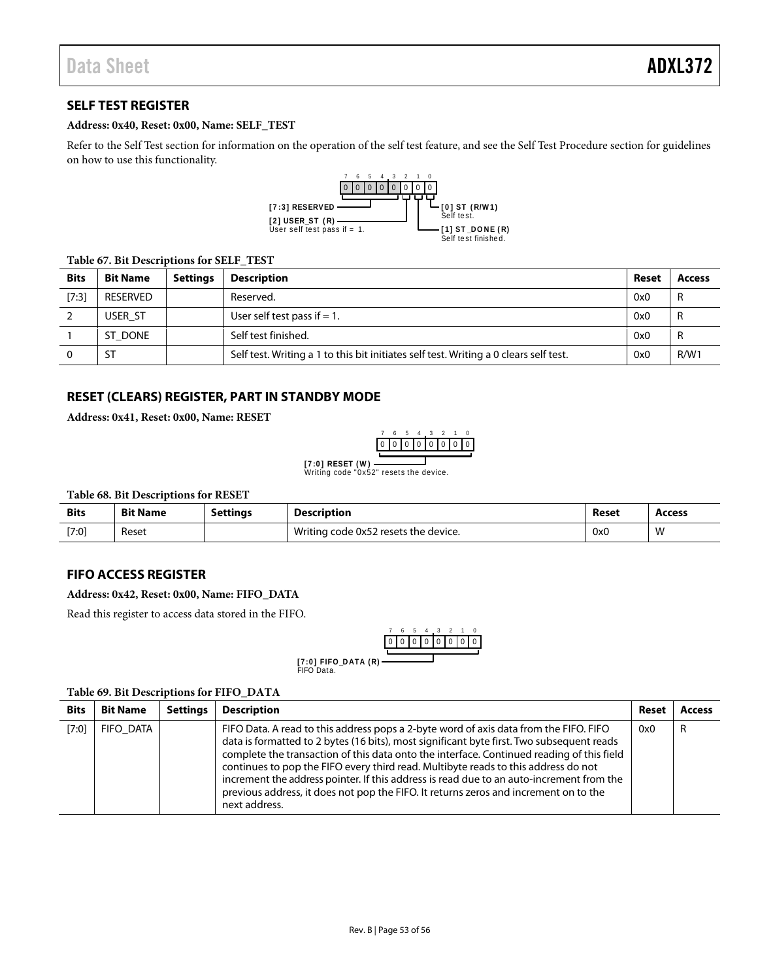# <span id="page-52-0"></span>**SELF TEST REGISTER**

#### **Address: 0x40, Reset: 0x00, Name: SELF\_TEST**

Refer to th[e Self Test](#page-23-3) section for information on the operation of the self test feature, and see th[e Self Test Procedure](#page-23-4) section for guidelines on how to use this functionality.



#### **Table 67. Bit Descriptions for SELF\_TEST**

| <b>Bits</b> | <b>Bit Name</b> | <b>Settings</b> | <b>Description</b>                                                                    | Reset | <b>Access</b> |
|-------------|-----------------|-----------------|---------------------------------------------------------------------------------------|-------|---------------|
| [7:3]       | RESERVED        |                 | Reserved.                                                                             | 0x0   | R             |
|             | USER ST         |                 | User self test pass if $= 1$ .                                                        | 0x0   | R             |
|             | ST DONE         |                 | Self test finished.                                                                   | 0x0   | R             |
|             | ST              |                 | Self test. Writing a 1 to this bit initiates self test. Writing a 0 clears self test. | 0x0   | R/W1          |

# <span id="page-52-1"></span>**RESET (CLEARS) REGISTER, PART IN STANDBY MODE**

**Address: 0x41, Reset: 0x00, Name: RESET**



Writing code "0x52" resets the device. **[7:0] RESET (W )**

**Table 68. Bit Descriptions for RESET**

| <b>Bits</b> | <b>Bit Name</b> | <b>Settings</b> | <b>Description</b>                   | Reset | Access |
|-------------|-----------------|-----------------|--------------------------------------|-------|--------|
| [7:0]       | Reset           |                 | Writing code 0x52 resets the device. | 0x0   | W      |

### <span id="page-52-2"></span>**FIFO ACCESS REGISTER**

#### **Address: 0x42, Reset: 0x00, Name: FIFO\_DATA**

Read this register to access data stored in the FIFO.



#### **Table 69. Bit Descriptions for FIFO\_DATA**

| <b>Bits</b> | <b>Bit Name</b>  | <b>Settings</b> | <b>Description</b>                                                                                                                                                                                                                                                                                                                                                                                                                                                                                                                                                         | Reset | <b>Access</b> |
|-------------|------------------|-----------------|----------------------------------------------------------------------------------------------------------------------------------------------------------------------------------------------------------------------------------------------------------------------------------------------------------------------------------------------------------------------------------------------------------------------------------------------------------------------------------------------------------------------------------------------------------------------------|-------|---------------|
| [7:0]       | <b>FIFO DATA</b> |                 | FIFO Data. A read to this address pops a 2-byte word of axis data from the FIFO. FIFO<br>data is formatted to 2 bytes (16 bits), most significant byte first. Two subsequent reads<br>complete the transaction of this data onto the interface. Continued reading of this field<br>continues to pop the FIFO every third read. Multibyte reads to this address do not<br>increment the address pointer. If this address is read due to an auto-increment from the<br>previous address, it does not pop the FIFO. It returns zeros and increment on to the<br>next address. | 0x0   | R             |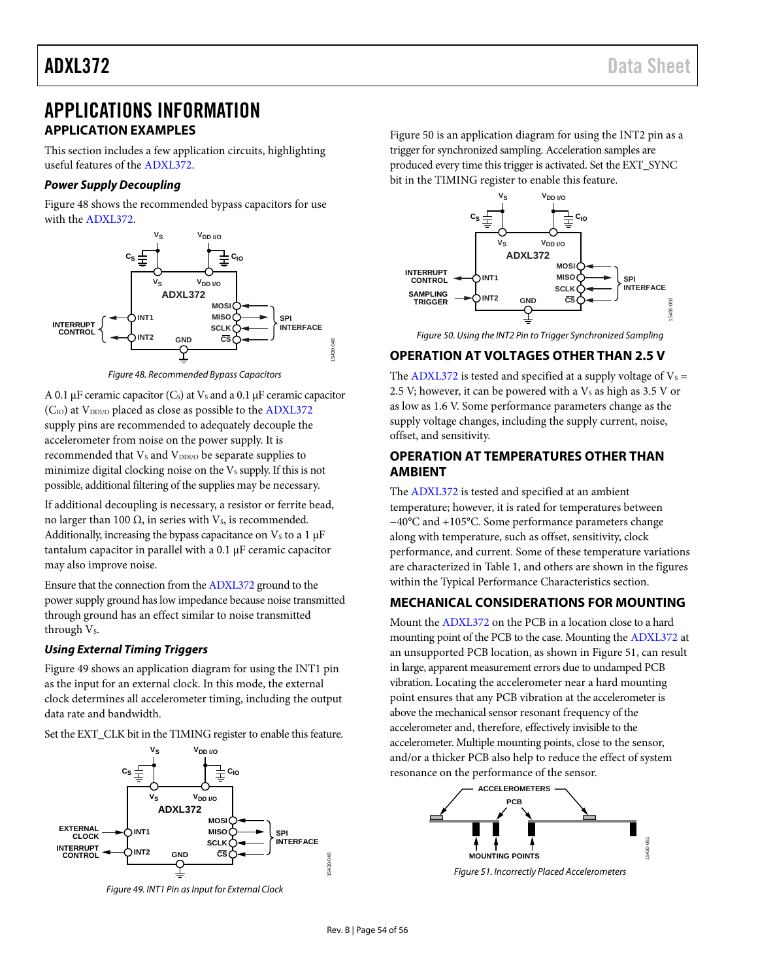# <span id="page-53-0"></span>APPLICATIONS INFORMATION **APPLICATION EXAMPLES**

<span id="page-53-1"></span>This section includes a few application circuits, highlighting useful features of th[e ADXL372.](http://www.analog.com/ADXL372?doc=ADXL372.pdf)

## *Power Supply Decoupling*

[Figure 48](#page-53-5) shows the recommended bypass capacitors for use with the [ADXL372.](http://www.analog.com/ADXL372?doc=ADXL372.pdf) 



*Figure 48. Recommended Bypass Capacitors*

<span id="page-53-5"></span>A 0.1 µF ceramic capacitor  $(C<sub>s</sub>)$  at  $V<sub>s</sub>$  and a 0.1 µF ceramic capacitor  $(C_{IO})$  at  $V_{DDIO}$  placed as close as possible to th[e ADXL372](http://www.analog.com/ADXL372?doc=ADXL372.pdf) supply pins are recommended to adequately decouple the accelerometer from noise on the power supply. It is recommended that  $V_s$  and  $V_{DDI/O}$  be separate supplies to minimize digital clocking noise on the  $V<sub>S</sub>$  supply. If this is not possible, additional filtering of the supplies may be necessary.

If additional decoupling is necessary, a resistor or ferrite bead, no larger than 100  $\Omega$ , in series with V<sub>s</sub>, is recommended. Additionally, increasing the bypass capacitance on  $V_s$  to a 1  $\mu$ F tantalum capacitor in parallel with a 0.1 µF ceramic capacitor may also improve noise.

Ensure that the connection from th[e ADXL372](http://www.analog.com/ADXL372?doc=ADXL372.pdf) ground to the power supply ground has low impedance because noise transmitted through ground has an effect similar to noise transmitted through  $V_s$ .

# *Using External Timing Triggers*

[Figure 49](#page-53-6) shows an application diagram for using the INT1 pin as the input for an external clock. In this mode, the external clock determines all accelerometer timing, including the output data rate and bandwidth.

Set the EXT\_CLK bit in the TIMING register to enable this feature.



<span id="page-53-6"></span>*Figure 49. INT1 Pin as Input for External Clock*

[Figure 50](#page-53-7) is an application diagram for using the INT2 pin as a trigger for synchronized sampling. Acceleration samples are produced every time this trigger is activated. Set the EXT\_SYNC bit in the TIMING register to enable this feature.



*Figure 50. Using the INT2 Pin to Trigger Synchronized Sampling*

# <span id="page-53-7"></span><span id="page-53-2"></span>**OPERATION AT VOLTAGES OTHER THAN 2.5 V**

The [ADXL372](http://www.analog.com/ADXL372?doc=ADXL372.pdf) is tested and specified at a supply voltage of  $V_s$  = 2.5 V; however, it can be powered with a  $V_s$  as high as 3.5 V or as low as 1.6 V. Some performance parameters change as the supply voltage changes, including the supply current, noise, offset, and sensitivity.

# <span id="page-53-3"></span>**OPERATION AT TEMPERATURES OTHER THAN AMBIENT**

The [ADXL372](http://www.analog.com/ADXL372?doc=ADXL372.pdf) is tested and specified at an ambient temperature; however, it is rated for temperatures between −40°C and +105°C. Some performance parameters change along with temperature, such as offset, sensitivity, clock performance, and current. Some of these temperature variations are characterized in [Table 1,](#page-3-2) and others are shown in the figures within the [Typical Performance Characteristics](#page-7-0) section.

# <span id="page-53-4"></span>**MECHANICAL CONSIDERATIONS FOR MOUNTING**

Mount th[e ADXL372](http://www.analog.com/ADXL372?doc=ADXL372.pdf) on the PCB in a location close to a hard mounting point of the PCB to the case. Mounting th[e ADXL372](http://www.analog.com/ADXL372?doc=ADXL372.pdf) at an unsupported PCB location, as shown i[n Figure 51,](#page-53-8) can result in large, apparent measurement errors due to undamped PCB vibration. Locating the accelerometer near a hard mounting point ensures that any PCB vibration at the accelerometer is above the mechanical sensor resonant frequency of the accelerometer and, therefore, effectively invisible to the accelerometer. Multiple mounting points, close to the sensor, and/or a thicker PCB also help to reduce the effect of system resonance on the performance of the sensor.

<span id="page-53-8"></span>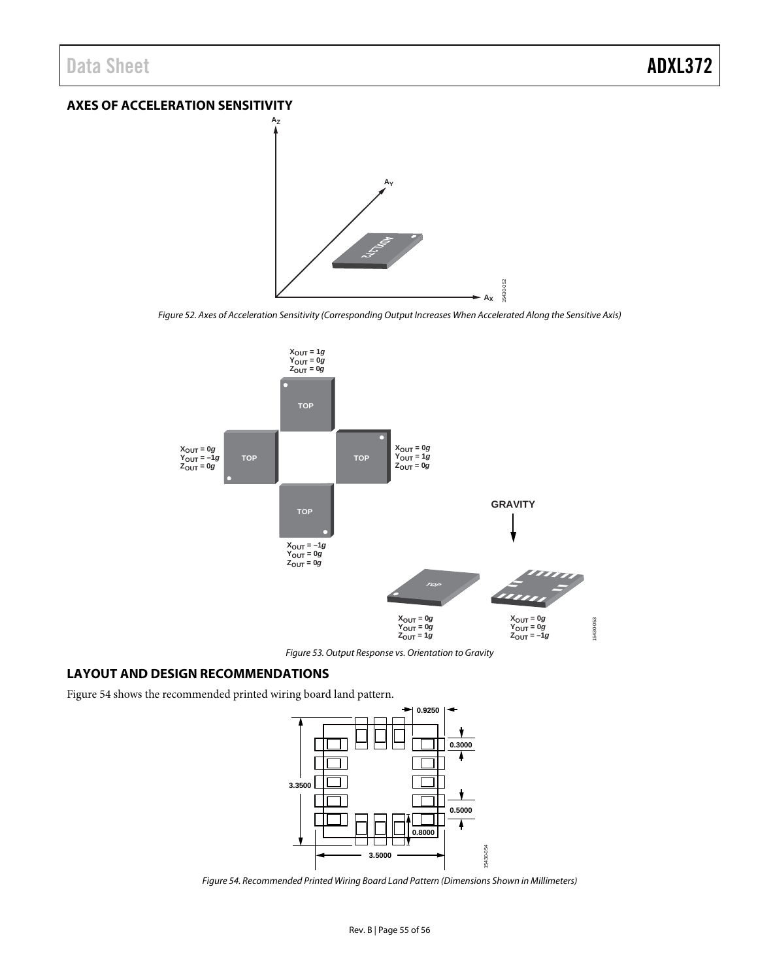# <span id="page-54-0"></span>**AXES OF ACCELERATION SENSITIVITY**



*Figure 52. Axes of Acceleration Sensitivity (Corresponding Output Increases When Accelerated Along the Sensitive Axis)*

15430-052



*Figure 53. Output Response vs. Orientation to Gravity*

# <span id="page-54-1"></span>**LAYOUT AND DESIGN RECOMMENDATIONS**

[Figure 54](#page-54-2) shows the recommended printed wiring board land pattern.



<span id="page-54-2"></span>*Figure 54. Recommended Printed Wiring Board Land Pattern (Dimensions Shown in Millimeters)*

15430-054